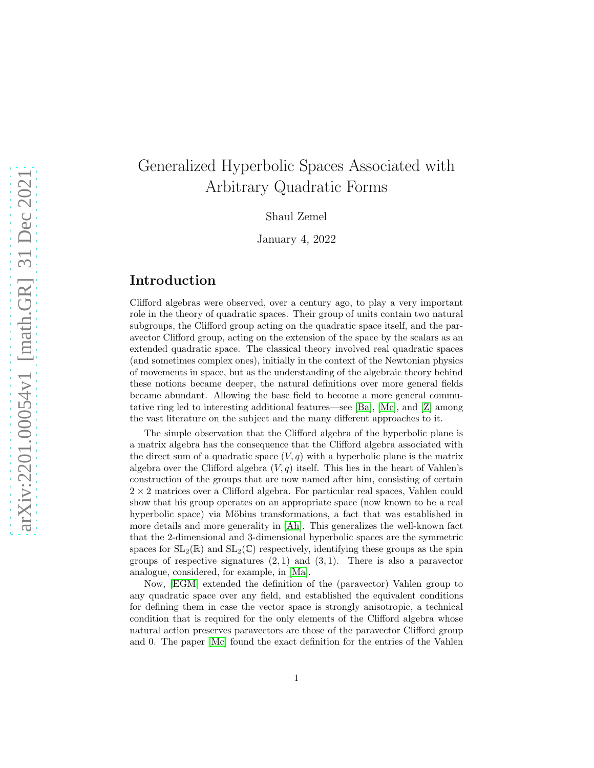# Generalized Hyperbolic Spaces Associated with Arbitrary Quadratic Forms

Shaul Zemel

January 4, 2022

## Introduction

Clifford algebras were observed, over a century ago, to play a very important role in the theory of quadratic spaces. Their group of units contain two natural subgroups, the Clifford group acting on the quadratic space itself, and the paravector Clifford group, acting on the extension of the space by the scalars as an extended quadratic space. The classical theory involved real quadratic spaces (and sometimes complex ones), initially in the context of the Newtonian physics of movements in space, but as the understanding of the algebraic theory behind these notions became deeper, the natural definitions over more general fields became abundant. Allowing the base field to become a more general commutative ring led to interesting additional features—see [Ba], [Mc], and [Z] among the vast literature on the subject and the many different approaches to it.

The simple observation that the Clifford algebra of the hyperbolic plane is a matrix algebra has the consequence that the Clifford algebra associated with the direct sum of a quadratic space  $(V, q)$  with a hyperbolic plane is the matrix algebra over the Clifford algebra  $(V, q)$  itself. This lies in the heart of Vahlen's construction of the groups that are now named after him, consisting of certain  $2 \times 2$  matrices over a Clifford algebra. For particular real spaces, Vahlen could show that his group operates on an appropriate space (now known to be a real hyperbolic space) via Möbius transformations, a fact that was established in more details and more generality in [Ah]. This generalizes the well-known fact that the 2-dimensional and 3-dimensional hyperbolic spaces are the symmetric spaces for  $SL_2(\mathbb{R})$  and  $SL_2(\mathbb{C})$  respectively, identifying these groups as the spin groups of respective signatures  $(2, 1)$  and  $(3, 1)$ . There is also a paravector analogue, considered, for example, in [Ma].

Now, [EGM] extended the definition of the (paravector) Vahlen group to any quadratic space over any field, and established the equivalent conditions for defining them in case the vector space is strongly anisotropic, a technical condition that is required for the only elements of the Clifford algebra whose natural action preserves paravectors are those of the paravector Clifford group and 0. The paper [Mc] found the exact definition for the entries of the Vahlen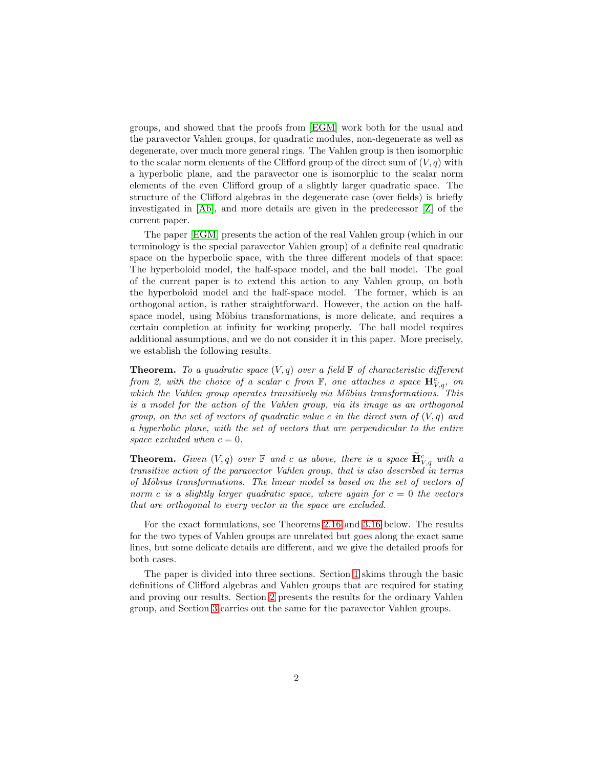groups, and showed that the proofs from [EGM] work both for the usual and the paravector Vahlen groups, for quadratic modules, non-degenerate as well as degenerate, over much more general rings. The Vahlen group is then isomorphic to the scalar norm elements of the Clifford group of the direct sum of  $(V, q)$  with a hyperbolic plane, and the paravector one is isomorphic to the scalar norm elements of the even Clifford group of a slightly larger quadratic space. The structure of the Clifford algebras in the degenerate case (over fields) is briefly investigated in [Ab], and more details are given in the predecessor [Z] of the current paper.

The paper [EGM] presents the action of the real Vahlen group (which in our terminology is the special paravector Vahlen group) of a definite real quadratic space on the hyperbolic space, with the three different models of that space: The hyperboloid model, the half-space model, and the ball model. The goal of the current paper is to extend this action to any Vahlen group, on both the hyperboloid model and the half-space model. The former, which is an orthogonal action, is rather straightforward. However, the action on the halfspace model, using Möbius transformations, is more delicate, and requires a certain completion at infinity for working properly. The ball model requires additional assumptions, and we do not consider it in this paper. More precisely, we establish the following results.

**Theorem.** To a quadratic space  $(V, q)$  over a field  $\mathbb{F}$  of characteristic different from 2, with the choice of a scalar c from  $\mathbb{F}$ , one attaches a space  $\mathbf{H}^c_{V,q}$ , on which the Vahlen group operates transitively via Möbius transformations. This is a model for the action of the Vahlen group, via its image as an orthogonal group, on the set of vectors of quadratic value c in the direct sum of  $(V, q)$  and a hyperbolic plane, with the set of vectors that are perpendicular to the entire space excluded when  $c = 0$ .

**Theorem.** Given  $(V, q)$  over  $\mathbb F$  and c as above, there is a space  $\mathbf{H}_{V,q}^c$  with a transitive action of the paravector Vahlen group, that is also described in terms of Möbius transformations. The linear model is based on the set of vectors of norm c is a slightly larger quadratic space, where again for  $c = 0$  the vectors that are orthogonal to every vector in the space are excluded.

For the exact formulations, see Theorems [2.16](#page-20-0) and [3.16](#page-29-0) below. The results for the two types of Vahlen groups are unrelated but goes along the exact same lines, but some delicate details are different, and we give the detailed proofs for both cases.

The paper is divided into three sections. Section [1](#page-2-0) skims through the basic definitions of Clifford algebras and Vahlen groups that are required for stating and proving our results. Section [2](#page-11-0) presents the results for the ordinary Vahlen group, and Section [3](#page-20-1) carries out the same for the paravector Vahlen groups.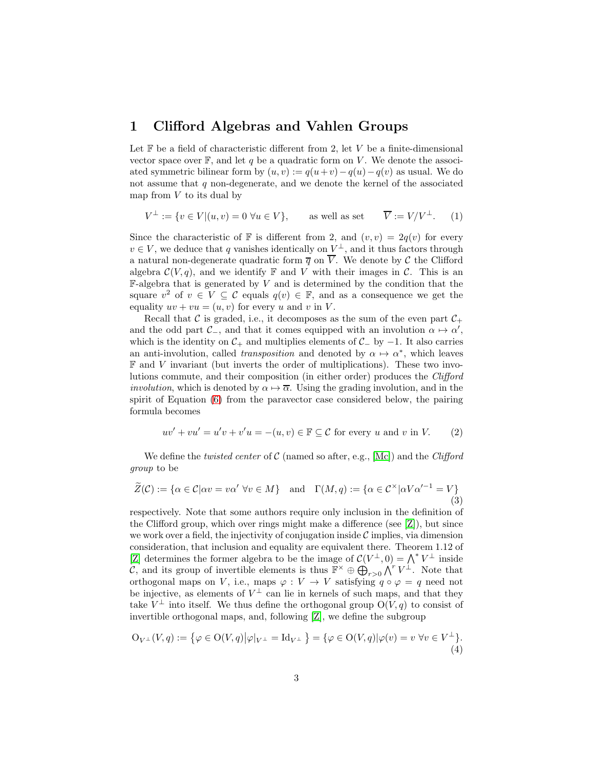### <span id="page-2-0"></span>1 Clifford Algebras and Vahlen Groups

Let  $F$  be a field of characteristic different from 2, let  $V$  be a finite-dimensional vector space over  $\mathbb{F}$ , and let q be a quadratic form on V. We denote the associated symmetric bilinear form by  $(u, v) := q(u+v) - q(u) - q(v)$  as usual. We do not assume that  $q$  non-degenerate, and we denote the kernel of the associated map from  $V$  to its dual by

<span id="page-2-2"></span>
$$
V^{\perp} := \{ v \in V | (u, v) = 0 \,\,\forall u \in V \}, \qquad \text{as well as set} \qquad \overline{V} := V/V^{\perp}.
$$
 (1)

Since the characteristic of  $\mathbb F$  is different from 2, and  $(v, v) = 2q(v)$  for every  $v \in V$ , we deduce that q vanishes identically on  $V^{\perp}$ , and it thus factors through a natural non-degenerate quadratic form  $\overline{q}$  on  $\overline{V}$ . We denote by  $\mathcal C$  the Clifford algebra  $\mathcal{C}(V, q)$ , and we identify  $\mathbb F$  and  $V$  with their images in  $\mathcal{C}$ . This is an  $\mathbb{F}\text{-algebra that is generated by }V$  and is determined by the condition that the square  $v^2$  of  $v \in V \subseteq \mathcal{C}$  equals  $q(v) \in \mathbb{F}$ , and as a consequence we get the equality  $uv + vu = (u, v)$  for every u and v in V.

Recall that C is graded, i.e., it decomposes as the sum of the even part  $C_+$ and the odd part  $\mathcal{C}_-$ , and that it comes equipped with an involution  $\alpha \mapsto \alpha'$ , which is the identity on  $C_+$  and multiplies elements of  $C_+$  by  $-1$ . It also carries an anti-involution, called *transposition* and denoted by  $\alpha \mapsto \alpha^*$ , which leaves  $\mathbb F$  and  $V$  invariant (but inverts the order of multiplications). These two involutions commute, and their composition (in either order) produces the Clifford *involution*, which is denoted by  $\alpha \mapsto \overline{\alpha}$ . Using the grading involution, and in the spirit of Equation [\(6\)](#page-4-0) from the paravector case considered below, the pairing formula becomes

<span id="page-2-3"></span>
$$
uv' + vu' = u'v + v'u = -(u, v) \in \mathbb{F} \subseteq \mathcal{C} \text{ for every } u \text{ and } v \text{ in } V. \tag{2}
$$

We define the *twisted center* of  $C$  (named so after, e.g., [Mc]) and the *Clifford* group to be

<span id="page-2-1"></span>
$$
\widetilde{Z}(\mathcal{C}) := \{ \alpha \in \mathcal{C} | \alpha v = v \alpha' \ \forall v \in M \} \quad \text{and} \quad \Gamma(M, q) := \{ \alpha \in \mathcal{C}^{\times} | \alpha V \alpha'^{-1} = V \}
$$
\n(3)

respectively. Note that some authors require only inclusion in the definition of the Clifford group, which over rings might make a difference (see  $[Z]$ ), but since we work over a field, the injectivity of conjugation inside  $\mathcal C$  implies, via dimension consideration, that inclusion and equality are equivalent there. Theorem 1.12 of [Z] determines the former algebra to be the image of  $\mathcal{C}(V^{\perp},0) = \bigwedge^* V^{\perp}$  inside  $\mathcal{C}$ , and its group of invertible elements is thus  $\mathbb{F}^{\times} \oplus \mathbb{Q}_{r>0} \bigwedge^{r} V^{\perp}$ . Note that orthogonal maps on V, i.e., maps  $\varphi: V \to V$  satisfying  $q \circ \varphi = q$  need not be injective, as elements of  $V^{\perp}$  can lie in kernels of such maps, and that they take  $V^{\perp}$  into itself. We thus define the orthogonal group  $O(V, q)$  to consist of invertible orthogonal maps, and, following [Z], we define the subgroup

<span id="page-2-4"></span>
$$
\mathcal{O}_{V^{\perp}}(V,q) := \{ \varphi \in \mathcal{O}(V,q) \big| \varphi|_{V^{\perp}} = \mathrm{Id}_{V^{\perp}} \} = \{ \varphi \in \mathcal{O}(V,q) \big| \varphi(v) = v \,\,\forall v \in V^{\perp} \}.
$$
\n(4)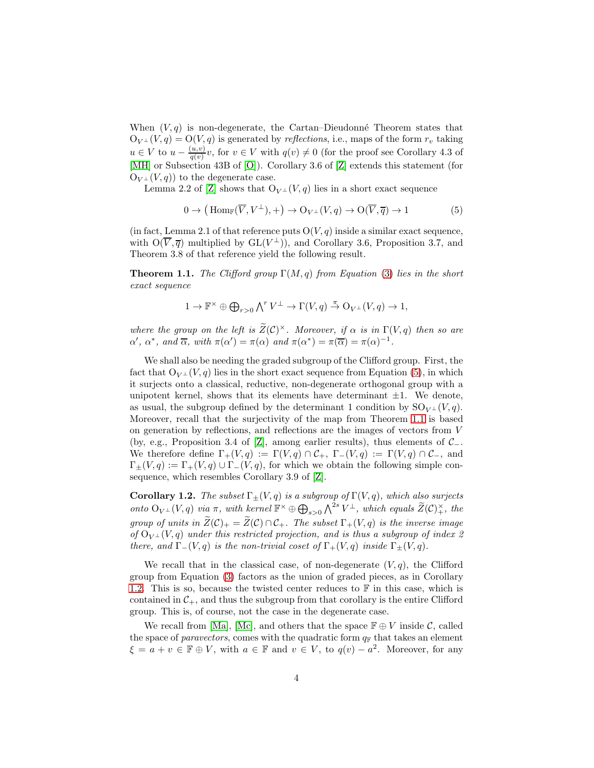When  $(V, q)$  is non-degenerate, the Cartan–Dieudonné Theorem states that  $O_{V^{\perp}}(V, q) = O(V, q)$  is generated by *reflections*, i.e., maps of the form  $r_v$  taking  $u \in V$  to  $u - \frac{(u,v)}{a(v)}$  $\frac{u,v}{q(v)}v$ , for  $v \in V$  with  $q(v) \neq 0$  (for the proof see Corollary 4.3 of [MH] or Subsection 43B of [O]). Corollary 3.6 of [Z] extends this statement (for  $O_{V^{\perp}}(V, q)$  to the degenerate case.

Lemma 2.2 of [Z] shows that  $O_{V^{\perp}}(V, q)$  lies in a short exact sequence

<span id="page-3-0"></span>
$$
0 \to (\text{Hom}_{\mathbb{F}}(\overline{V}, V^{\perp}), +) \to \mathcal{O}_{V^{\perp}}(V, q) \to \mathcal{O}(\overline{V}, \overline{q}) \to 1 \tag{5}
$$

(in fact, Lemma 2.1 of that reference puts  $O(V, q)$  inside a similar exact sequence, with  $O(\overline{V}, \overline{q})$  multiplied by  $GL(V^{\perp})$ , and Corollary 3.6, Proposition 3.7, and Theorem 3.8 of that reference yield the following result.

<span id="page-3-1"></span>**Theorem 1.1.** The Clifford group  $\Gamma(M,q)$  from Equation [\(3\)](#page-2-1) lies in the short exact sequence

$$
1 \to \mathbb{F}^{\times} \oplus \bigoplus_{r>0} \bigwedge^r V^{\perp} \to \Gamma(V, q) \stackrel{\pi}{\to} O_{V^{\perp}}(V, q) \to 1,
$$

where the group on the left is  $\widetilde{Z}(\mathcal{C})^{\times}$ . Moreover, if  $\alpha$  is in  $\Gamma(V, q)$  then so are  $\alpha'$ ,  $\alpha^*$ , and  $\overline{\alpha}$ , with  $\pi(\alpha') = \pi(\alpha)$  and  $\pi(\alpha^*) = \pi(\overline{\alpha}) = \pi(\alpha)^{-1}$ .

We shall also be needing the graded subgroup of the Clifford group. First, the fact that  $O_{V^{\perp}}(V, q)$  lies in the short exact sequence from Equation [\(5\)](#page-3-0), in which it surjects onto a classical, reductive, non-degenerate orthogonal group with a unipotent kernel, shows that its elements have determinant  $\pm 1$ . We denote, as usual, the subgroup defined by the determinant 1 condition by  $SO_{V^{\perp}}(V,q)$ . Moreover, recall that the surjectivity of the map from Theorem [1.1](#page-3-1) is based on generation by reflections, and reflections are the images of vectors from V (by, e.g., Proposition 3.4 of [Z], among earlier results), thus elements of C−. We therefore define  $\Gamma_+(V,q) := \Gamma(V,q) \cap C_+$ ,  $\Gamma_-(V,q) := \Gamma(V,q) \cap C_-$ , and  $\Gamma_{+}(V, q) := \Gamma_{+}(V, q) \cup \Gamma_{-}(V, q)$ , for which we obtain the following simple consequence, which resembles Corollary 3.9 of [Z].

<span id="page-3-2"></span>Corollary 1.2. The subset  $\Gamma_{\pm}(V, q)$  is a subgroup of  $\Gamma(V, q)$ , which also surjects onto  $O_{V^{\perp}}(V,q)$  via  $\pi$ , with kernel  $\mathbb{F}^{\times} \oplus \bigoplus_{s>0} \bigwedge^{2s} V^{\perp}$ , which equals  $\widetilde{Z}(\mathcal{C})_{+}^{\times}$ , the group of units in  $\widetilde{Z}(\mathcal{C})_+ = \widetilde{Z}(\mathcal{C}) \cap \mathcal{C}_+$ . The subset  $\Gamma_+(V,q)$  is the inverse image of  $O_{V^{\perp}}(V, q)$  under this restricted projection, and is thus a subgroup of index 2 there, and  $\Gamma_-(V, q)$  is the non-trivial coset of  $\Gamma_+(V, q)$  inside  $\Gamma_+(V, q)$ .

We recall that in the classical case, of non-degenerate  $(V, q)$ , the Clifford group from Equation [\(3\)](#page-2-1) factors as the union of graded pieces, as in Corollary [1.2.](#page-3-2) This is so, because the twisted center reduces to  $\mathbb F$  in this case, which is contained in  $C_+$ , and thus the subgroup from that corollary is the entire Clifford group. This is, of course, not the case in the degenerate case.

We recall from [Ma], [Mc], and others that the space  $\mathbb{F} \oplus V$  inside C, called the space of *paravectors*, comes with the quadratic form  $q_F$  that takes an element  $\xi = a + v \in \mathbb{F} \oplus V$ , with  $a \in \mathbb{F}$  and  $v \in V$ , to  $q(v) - a^2$ . Moreover, for any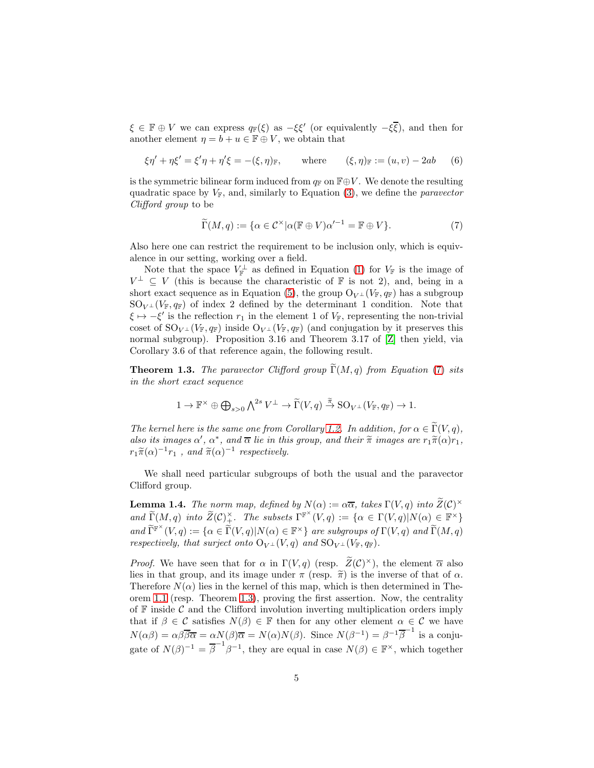$\xi \in \mathbb{F} \oplus V$  we can express  $q_{\mathbb{F}}(\xi)$  as  $-\xi \xi'$  (or equivalently  $-\xi \overline{\xi}$ ), and then for another element  $\eta = b + u \in \mathbb{F} \oplus V$ , we obtain that

<span id="page-4-0"></span>
$$
\xi \eta' + \eta \xi' = \xi' \eta + \eta' \xi = -(\xi, \eta)_{\mathbb{F}}, \quad \text{where} \quad (\xi, \eta)_{\mathbb{F}} := (u, v) - 2ab \quad (6)
$$

is the symmetric bilinear form induced from  $q_F$  on  $\mathbb{F} \oplus V$ . We denote the resulting quadratic space by  $V_{\mathbb{F}}$ , and, similarly to Equation [\(3\)](#page-2-1), we define the *paravector* Clifford group to be

<span id="page-4-1"></span>
$$
\widetilde{\Gamma}(M,q) := \{ \alpha \in \mathcal{C}^{\times} | \alpha(\mathbb{F} \oplus V)\alpha'^{-1} = \mathbb{F} \oplus V \}. \tag{7}
$$

Also here one can restrict the requirement to be inclusion only, which is equivalence in our setting, working over a field.

Note that the space  $V_{\mathbb{F}}^{\perp}$  as defined in Equation [\(1\)](#page-2-2) for  $V_{\mathbb{F}}$  is the image of  $V^{\perp} \subseteq V$  (this is because the characteristic of  $\mathbb F$  is not 2), and, being in a short exact sequence as in Equation [\(5\)](#page-3-0), the group  $O_{V^{\perp}}(V_{\mathbb{F}}, q_{\mathbb{F}})$  has a subgroup  $SO_{V^{\perp}}(V_{\mathbb{F}}, q_{\mathbb{F}})$  of index 2 defined by the determinant 1 condition. Note that  $\xi \mapsto -\xi'$  is the reflection  $r_1$  in the element 1 of  $V_{\mathbb{F}}$ , representing the non-trivial coset of  $\text{SO}_{V^{\perp}}(V_{\mathbb{F}}, q_{\mathbb{F}})$  inside  $\text{O}_{V^{\perp}}(V_{\mathbb{F}}, q_{\mathbb{F}})$  (and conjugation by it preserves this normal subgroup). Proposition 3.16 and Theorem 3.17 of [Z] then yield, via Corollary 3.6 of that reference again, the following result.

<span id="page-4-2"></span>**Theorem 1.3.** The paravector Clifford group  $\widetilde{\Gamma}(M, q)$  from Equation [\(7\)](#page-4-1) sits in the short exact sequence

$$
1 \to \mathbb{F}^{\times} \oplus \bigoplus_{s>0} \textstyle\bigwedge^{2s} V^{\perp} \to \widetilde{\Gamma}(V,q) \stackrel{\widetilde{\pi}}{\to} {\rm SO}_{V^{\perp}}(V_{\mathbb{F}},q_{\mathbb{F}}) \to 1.
$$

The kernel here is the same one from Corollary [1.2.](#page-3-2) In addition, for  $\alpha \in \widetilde{\Gamma}(V, q)$ , also its images  $\alpha'$ ,  $\alpha^*$ , and  $\overline{\alpha}$  lie in this group, and their  $\widetilde{\pi}$  images are  $r_1\widetilde{\pi}(\alpha)r_1$ ,  $r_1\widetilde{\pi}(\alpha)^{-1}r_1$ , and  $\widetilde{\pi}(\alpha)^{-1}$  respectively.

We shall need particular subgroups of both the usual and the paravector Clifford group.

<span id="page-4-3"></span>**Lemma 1.4.** The norm map, defined by  $N(\alpha) := \alpha \overline{\alpha}$ , takes  $\Gamma(V, q)$  into  $\widetilde{Z}(\mathcal{C})^{\times}$ and  $\widetilde{\Gamma}(M,q)$  into  $\widetilde{Z}(\mathcal{C})^{\times}_+$ . The subsets  $\Gamma^{\mathbb{F}^{\times}}(V,q) := {\alpha \in \Gamma(V,q) | N(\alpha) \in \mathbb{F}^{\times}}$ and  $\widetilde{\Gamma}^{\mathbb{F}^{\times}}(V,q) := \{ \alpha \in \widetilde{\Gamma}(V,q) | N(\alpha) \in \mathbb{F}^{\times} \}$  are subgroups of  $\Gamma(V,q)$  and  $\widetilde{\Gamma}(M,q)$ respectively, that surject onto  $O_{V^{\perp}}(V,q)$  and  $SO_{V^{\perp}}(V_{\mathbb{F}},q_{\mathbb{F}})$ .

*Proof.* We have seen that for  $\alpha$  in  $\Gamma(V, q)$  (resp.  $\widetilde{Z}(\mathcal{C})^{\times}$ ), the element  $\overline{\alpha}$  also lies in that group, and its image under  $\pi$  (resp.  $\tilde{\pi}$ ) is the inverse of that of  $\alpha$ . Therefore  $N(\alpha)$  lies in the kernel of this map, which is then determined in Theorem [1.1](#page-3-1) (resp. Theorem [1.3\)](#page-4-2), proving the first assertion. Now, the centrality of  $\mathbb F$  inside  $\mathcal C$  and the Clifford involution inverting multiplication orders imply that if  $\beta \in \mathcal{C}$  satisfies  $N(\beta) \in \mathbb{F}$  then for any other element  $\alpha \in \mathcal{C}$  we have  $N(\alpha\beta) = \alpha\beta\overline{\beta\alpha} = \alpha N(\beta)\overline{\alpha} = N(\alpha)N(\beta)$ . Since  $N(\beta^{-1}) = \beta^{-1}\overline{\beta}^{-1}$  is a conjugate of  $N(\beta)^{-1} = \overline{\beta}^{-1} \beta^{-1}$ , they are equal in case  $N(\beta) \in \mathbb{F}^{\times}$ , which together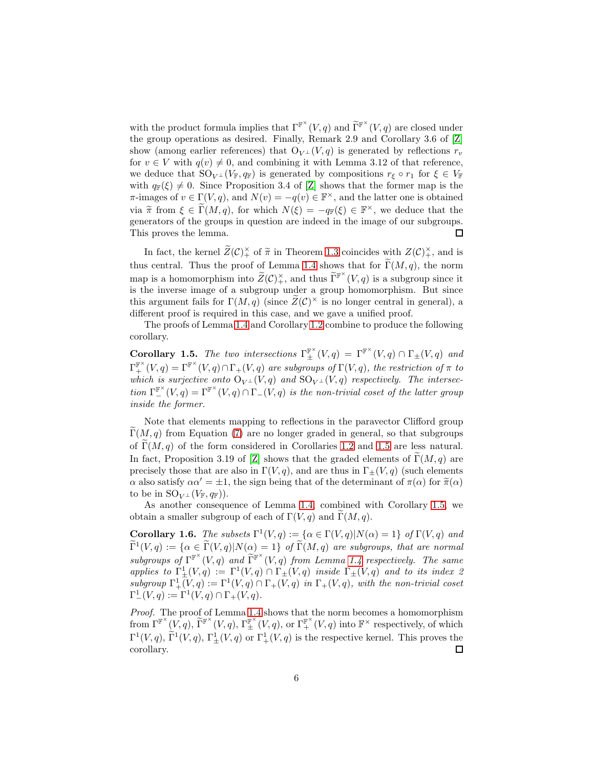with the product formula implies that  $\Gamma^{\mathbb{F}^{\times}}(V,q)$  and  $\widetilde{\Gamma}^{\mathbb{F}^{\times}}(V,q)$  are closed under the group operations as desired. Finally, Remark 2.9 and Corollary 3.6 of [Z] show (among earlier references) that  $O_{V^{\perp}}(V, q)$  is generated by reflections  $r_v$ for  $v \in V$  with  $q(v) \neq 0$ , and combining it with Lemma 3.12 of that reference, we deduce that  $SO_{V^{\perp}}(V_{\mathbb{F}}, q_{\mathbb{F}})$  is generated by compositions  $r_{\xi} \circ r_1$  for  $\xi \in V_{\mathbb{F}}$ with  $q_F(\xi) \neq 0$ . Since Proposition 3.4 of [Z] shows that the former map is the  $\pi$ -images of  $v \in \Gamma(V, q)$ , and  $N(v) = -q(v) \in \mathbb{F}^{\times}$ , and the latter one is obtained via  $\tilde{\pi}$  from  $\xi \in \tilde{\Gamma}(M, q)$ , for which  $N(\xi) = -q_{\mathbb{F}}(\xi) \in \mathbb{F}^{\times}$ , we deduce that the generators of the groups in question are indeed in the image of our subgroups. This proves the lemma.  $\Box$ 

In fact, the kernel  $\widetilde{Z}(\mathcal{C})_+^{\times}$  of  $\widetilde{\pi}$  in Theorem [1.3](#page-4-2) coincides with  $Z(\mathcal{C})_+^{\times}$ , and is thus central. Thus the proof of Lemma [1.4](#page-4-3) shows that for  $\widetilde{\Gamma}(M, q)$ , the norm map is a homomorphism into  $\widetilde{Z}(\mathcal{C})^{\times}_+$ , and thus  $\widetilde{\Gamma}^{\mathbb{F}^{\times}}(V,q)$  is a subgroup since it is the inverse image of a subgroup under a group homomorphism. But since this argument fails for  $\Gamma(M, q)$  (since  $\widetilde{Z}(\mathcal{C})^{\times}$  is no longer central in general), a different proof is required in this case, and we gave a unified proof.

The proofs of Lemma [1.4](#page-4-3) and Corollary [1.2](#page-3-2) combine to produce the following corollary.

<span id="page-5-0"></span>Corollary 1.5. The two intersections  $\Gamma_{\pm}^{\mathbb{F}^{\times}}(V,q) = \Gamma^{\mathbb{F}^{\times}}(V,q) \cap \Gamma_{\pm}(V,q)$  and  $\Gamma_{+}^{\mathbb{F}^{\times}}(V,q)=\Gamma_{+}^{\mathbb{F}^{\times}}(V,q)\cap\Gamma_{+}(V,q)$  are subgroups of  $\Gamma(V,q)$ , the restriction of  $\pi$  to which is surjective onto  $O_{V^{\perp}}(V,q)$  and  $SO_{V^{\perp}}(V,q)$  respectively. The intersection  $\Gamma^{\mathbb{F}^{\times}}_-(V,q) = \Gamma^{\mathbb{F}^{\times}}(V,q) \cap \Gamma_-(V,q)$  is the non-trivial coset of the latter group inside the former.

Note that elements mapping to reflections in the paravector Clifford group  $\Gamma(M, q)$  from Equation [\(7\)](#page-4-1) are no longer graded in general, so that subgroups of  $\Gamma(M, q)$  of the form considered in Corollaries [1.2](#page-3-2) and [1.5](#page-5-0) are less natural. In fact, Proposition 3.19 of [Z] shows that the graded elements of  $\tilde{\Gamma}(M, q)$  are precisely those that are also in  $\Gamma(V, q)$ , and are thus in  $\Gamma_{\pm}(V, q)$  (such elements α also satisfy  $\alpha \alpha' = \pm 1$ , the sign being that of the determinant of  $\pi(\alpha)$  for  $\tilde{\pi}(\alpha)$ to be in  $\mathrm{SO}_{V^{\perp}}(V_{\mathbb{F}}, q_{\mathbb{F}})$ ).

As another consequence of Lemma [1.4,](#page-4-3) combined with Corollary [1.5,](#page-5-0) we obtain a smaller subgroup of each of  $\Gamma(V, q)$  and  $\Gamma(M, q)$ .

<span id="page-5-1"></span>**Corollary 1.6.** The subsets  $\Gamma^1(V,q) := {\alpha \in \Gamma(V,q) | N(\alpha) = 1}$  of  $\Gamma(V,q)$  and  $\widetilde{\Gamma}^1(V,q) := \{ \alpha \in \widetilde{\Gamma}(V,q) | N(\alpha) = 1 \}$  of  $\widetilde{\Gamma}(M,q)$  are subgroups, that are normal subgroups of  $\Gamma^{\mathbb{F}^{\times}}(V,q)$  and  $\widetilde{\Gamma}^{\mathbb{F}^{\times}}(V,q)$  from Lemma [1.4](#page-4-3) respectively. The same applies to  $\Gamma_{\pm}^1(V,q) := \Gamma^1(V,q) \cap \Gamma_{\pm}(V,q)$  inside  $\Gamma_{\pm}(V,q)$  and to its index 2 subgroup  $\Gamma^1_+(V,q) := \Gamma^1(V,q) \cap \Gamma_+(V,q)$  in  $\Gamma_+(V,q)$ , with the non-trivial coset  $\Gamma^1_-(V,q) := \Gamma^1(V,q) \cap \Gamma_+(V,q).$ 

Proof. The proof of Lemma [1.4](#page-4-3) shows that the norm becomes a homomorphism  $\text{from } \Gamma^{\mathbb{F}^{\times}}(V, q), \, \widetilde{\Gamma}^{\mathbb{F}^{\times}}(V, q), \, \Gamma^{\mathbb{F}^{\times}}_{\pm}(V, q), \, \text{or} \, \Gamma^{\mathbb{F}^{\times}}_{+}(V, q) \text{ into } \mathbb{F}^{\times} \text{ respectively, of which}$  $\Gamma^1(V,q)$ ,  $\tilde{\Gamma}^1(V,q)$ ,  $\Gamma^1_{\pm}(V,q)$  or  $\Gamma^1_{+}(V,q)$  is the respective kernel. This proves the corollary.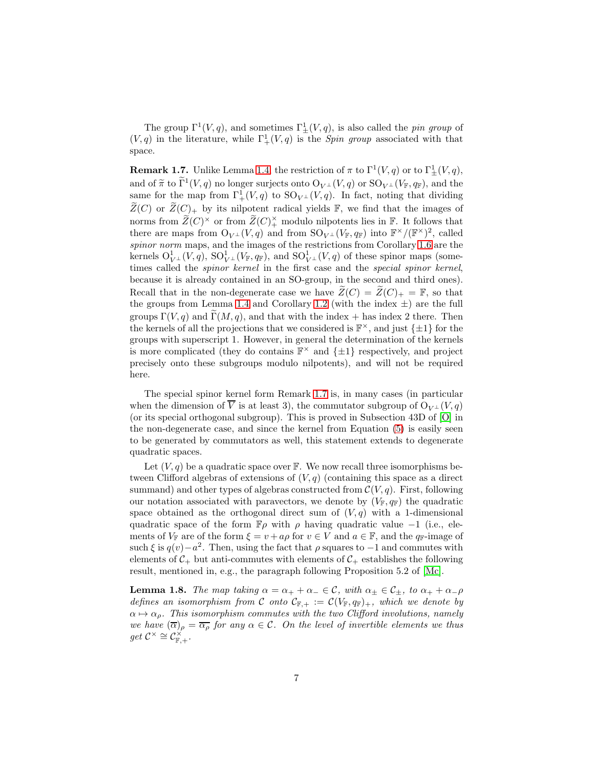The group  $\Gamma^1(V, q)$ , and sometimes  $\Gamma^1_{\pm}(V, q)$ , is also called the *pin group* of  $(V, q)$  in the literature, while  $\Gamma^1_+(V, q)$  is the *Spin group* associated with that space.

<span id="page-6-0"></span>**Remark 1.7.** Unlike Lemma [1.4,](#page-4-3) the restriction of  $\pi$  to  $\Gamma^1(V, q)$  or to  $\Gamma^1_{\pm}(V, q)$ , and of  $\widetilde{\pi}$  to  $\Gamma^1(V,q)$  no longer surjects onto  $O_{V^{\perp}}(V,q)$  or  $SO_{V^{\perp}}(V_{\mathbb{F}},q_{\mathbb{F}})$ , and the same for the map from  $\Gamma^1_+(V,q)$  to  $\text{SO}_{V^{\perp}}(V,q)$ . In fact, noting that dividing  $\widetilde{Z}(C)$  or  $\widetilde{Z}(C)_+$  by its nilpotent radical yields F, we find that the images of norms from  $\widetilde{Z}(C)^{\times}$  or from  $\widetilde{Z}(C)^{\times}$  modulo nilpotents lies in  $\mathbb{F}$ . It follows that there are maps from  $O_{V^{\perp}}(V,q)$  and from  $SO_{V^{\perp}}(V_{\mathbb{F}}, q_{\mathbb{F}})$  into  $\mathbb{F}^{\times}/(\mathbb{F}^{\times})^2$ , called spinor norm maps, and the images of the restrictions from Corollary [1.6](#page-5-1) are the kernels  $O_{V^{\perp}}^1(V,q)$ ,  $SO_{V^{\perp}}^1(V_F,q_F)$ , and  $SO_{V^{\perp}}^1(V,q)$  of these spinor maps (sometimes called the spinor kernel in the first case and the special spinor kernel, because it is already contained in an SO-group, in the second and third ones). Recall that in the non-degenerate case we have  $\widetilde{Z}(C) = \widetilde{Z}(C)_+ = \mathbb{F}$ , so that the groups from Lemma [1.4](#page-4-3) and Corollary [1.2](#page-3-2) (with the index  $\pm$ ) are the full groups  $\Gamma(V, q)$  and  $\widetilde{\Gamma}(M, q)$ , and that with the index + has index 2 there. Then the kernels of all the projections that we considered is  $\mathbb{F}^{\times}$ , and just  $\{\pm 1\}$  for the groups with superscript 1. However, in general the determination of the kernels is more complicated (they do contains  $\mathbb{F}^{\times}$  and  $\{\pm 1\}$  respectively, and project precisely onto these subgroups modulo nilpotents), and will not be required here.

The special spinor kernel form Remark [1.7](#page-6-0) is, in many cases (in particular when the dimension of  $\overline{V}$  is at least 3), the commutator subgroup of  $O_{V^{\perp}}(V, q)$ (or its special orthogonal subgroup). This is proved in Subsection 43D of [O] in the non-degenerate case, and since the kernel from Equation [\(5\)](#page-3-0) is easily seen to be generated by commutators as well, this statement extends to degenerate quadratic spaces.

Let  $(V, q)$  be a quadratic space over  $\mathbb{F}$ . We now recall three isomorphisms between Clifford algebras of extensions of  $(V, q)$  (containing this space as a direct summand) and other types of algebras constructed from  $C(V, q)$ . First, following our notation associated with paravectors, we denote by  $(V_{\mathbb{F}}, q_{\mathbb{F}})$  the quadratic space obtained as the orthogonal direct sum of  $(V, q)$  with a 1-dimensional quadratic space of the form  $\mathbb{F}_{\rho}$  with  $\rho$  having quadratic value −1 (i.e., elements of  $V_{\mathbb{F}}$  are of the form  $\xi = v + a\rho$  for  $v \in V$  and  $a \in \mathbb{F}$ , and the  $q_{\mathbb{F}}$ -image of such  $\xi$  is  $q(v) - a^2$ . Then, using the fact that  $\rho$  squares to  $-1$  and commutes with elements of  $C_+$  but anti-commutes with elements of  $C_+$  establishes the following result, mentioned in, e.g., the paragraph following Proposition 5.2 of [Mc].

<span id="page-6-1"></span>**Lemma 1.8.** The map taking  $\alpha = \alpha_+ + \alpha_- \in \mathcal{C}$ , with  $\alpha_{\pm} \in \mathcal{C}_{\pm}$ , to  $\alpha_+ + \alpha_- \rho$ defines an isomorphism from C onto  $\mathcal{C}_{\mathbb{F},+} := \mathcal{C}(V_{\mathbb{F}}, q_{\mathbb{F}})_+,$  which we denote by  $\alpha \mapsto \alpha_{\rho}$ . This isomorphism commutes with the two Clifford involutions, namely we have  $(\overline{\alpha})_{\rho} = \overline{\alpha_{\rho}}$  for any  $\alpha \in \mathcal{C}$ . On the level of invertible elements we thus  $get C^{\times} \cong C^{\times}_{\mathbb{F},+}.$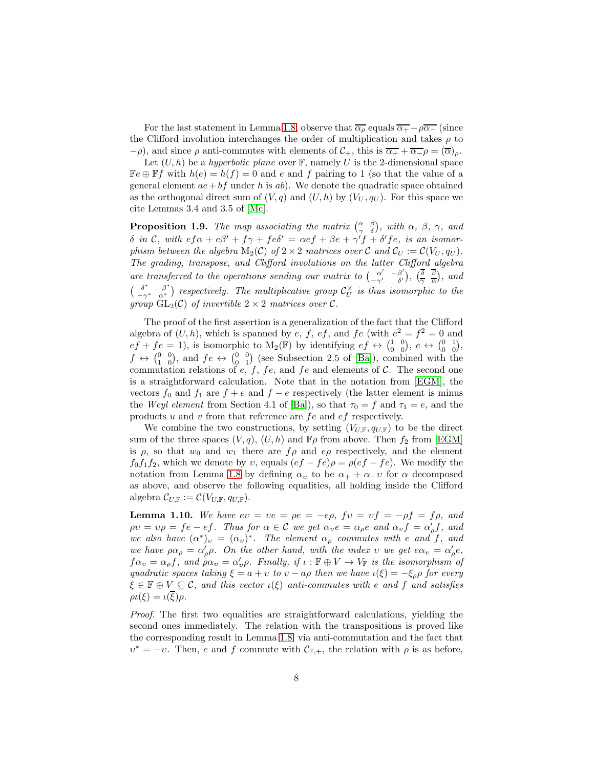For the last statement in Lemma [1.8,](#page-6-1) observe that  $\overline{\alpha_{\rho}}$  equals  $\overline{\alpha_{+}} - \rho \overline{\alpha_{-}}$  (since the Clifford involution interchanges the order of multiplication and takes  $\rho$  to  $-\rho$ ), and since  $\rho$  anti-commutes with elements of  $\mathcal{C}_+$ , this is  $\overline{\alpha_+} + \overline{\alpha_-}\rho = (\overline{\alpha})_\rho$ .

Let  $(U, h)$  be a *hyperbolic plane* over  $\mathbb{F}$ , namely U is the 2-dimensional space  $\mathbb{F}e \oplus \mathbb{F}f$  with  $h(e) = h(f) = 0$  and e and f pairing to 1 (so that the value of a general element  $ae+bf$  under h is ab). We denote the quadratic space obtained as the orthogonal direct sum of  $(V, q)$  and  $(U, h)$  by  $(V_U, q_U)$ . For this space we cite Lemmas 3.4 and 3.5 of [Mc].

<span id="page-7-1"></span>**Proposition 1.9.** The map associating the matrix  $\begin{pmatrix} \alpha & \beta \\ \gamma & \delta \end{pmatrix}$ , with  $\alpha$ ,  $\beta$ ,  $\gamma$ , and  $δ$  in C, with  $efα + eβ' + fγ + feδ' = αef + βe + γ'f + δ'fe$ , is an isomorphism between the algebra  $M_2(\mathcal{C})$  of  $2 \times 2$  matrices over  $\mathcal{C}$  and  $\mathcal{C}_U := \mathcal{C}(V_U, q_U)$ . The grading, transpose, and Clifford involutions on the latter Clifford algebra are transferred to the operations sending our matrix to  $\begin{pmatrix} \alpha' & -\beta' \\ -\gamma' & \delta' \end{pmatrix}$  $\begin{pmatrix} \alpha' & -\beta' \\ -\gamma' & \delta' \end{pmatrix}$ ,  $\begin{pmatrix} \overline{\delta} & \overline{\beta} \\ \overline{\gamma} & \overline{\alpha} \end{pmatrix}$ , and  $\int \delta^* -\beta^*$  $\frac{\delta^*}{\delta^*} - \frac{\beta^*}{\alpha^*}$  respectively. The multiplicative group  $\mathcal{C}_U^{\times}$  $\mathrm{W}^{\times}_U$  is thus isomorphic to the group  $GL_2(\mathcal{C})$  of invertible  $2 \times 2$  matrices over  $\mathcal{C}$ .

The proof of the first assertion is a generalization of the fact that the Clifford algebra of  $(U, h)$ , which is spanned by e, f, ef, and fe (with  $e^2 = f^2 = 0$  and  $ef + fe = 1$ ), is isomorphic to  $M_2(\mathbb{F})$  by identifying  $ef \leftrightarrow {1 \choose 0}{0 \choose 0}, e \leftrightarrow {0 \choose 0}{1 \choose 0}$ ,  $f \leftrightarrow \begin{pmatrix} 0 & 0 \\ 1 & 0 \end{pmatrix}$ , and  $fe \leftrightarrow \begin{pmatrix} 0 & 0 \\ 0 & 1 \end{pmatrix}$  (see Subsection 2.5 of [Ba]), combined with the commutation relations of  $e, f, fe$ , and  $fe$  and elements of C. The second one is a straightforward calculation. Note that in the notation from [EGM], the vectors  $f_0$  and  $f_1$  are  $f + e$  and  $f - e$  respectively (the latter element is minus the Weyl element from Section 4.1 of [Ba]), so that  $\tau_0 = f$  and  $\tau_1 = e$ , and the products  $u$  and  $v$  from that reference are  $fe$  and  $ef$  respectively.

We combine the two constructions, by setting  $(V_{U,\mathbb{F}}, q_{U,\mathbb{F}})$  to be the direct sum of the three spaces  $(V, q)$ ,  $(U, h)$  and  $\mathbb{F}_{\rho}$  from above. Then  $f_2$  from [EGM] is  $\rho$ , so that  $w_0$  and  $w_1$  there are  $f \rho$  and  $e \rho$  respectively, and the element  $f_0f_1f_2$ , which we denote by v, equals  $(ef - fe)\rho = \rho (ef - fe)$ . We modify the notation from Lemma [1.8](#page-6-1) by defining  $\alpha_v$  to be  $\alpha_+ + \alpha_{-}v$  for  $\alpha$  decomposed as above, and observe the following equalities, all holding inside the Clifford algebra  $\mathcal{C}_{U,\mathbb{F}} := \mathcal{C}(V_{U,\mathbb{F}}, q_{U,\mathbb{F}}).$ 

<span id="page-7-0"></span>**Lemma 1.10.** We have  $ev = ve = pe = -ep$ ,  $fv = vf = -pf = fp$ , and  $\rho v = v\rho = fe - ef$ . Thus for  $\alpha \in \mathcal{C}$  we get  $\alpha v e = \alpha \rho e$  and  $\alpha v f = \alpha' \rho f$ , and we also have  $(\alpha^*)_v = (\alpha_v)^*$ . The element  $\alpha_\rho$  commutes with e and f, and we have  $\rho \alpha_{\rho} = \alpha'_{\rho} \rho$ . On the other hand, with the index v we get  $e \alpha_{\nu} = \alpha'_{\rho} e$ ,  $f\alpha_v = \alpha_\rho f$ , and  $\rho \alpha_v = \alpha'_v \rho$ . Finally, if  $\iota : \mathbb{F} \oplus V \to V_{\mathbb{F}}$  is the isomorphism of quadratic spaces taking  $\xi = a + v$  to  $v - a\rho$  then we have  $\iota(\xi) = -\xi_{\rho}\rho$  for every  $\xi \in \mathbb{F} \oplus V \subseteq \mathcal{C}$ , and this vector  $\iota(\xi)$  anti-commutes with e and f and satisfies  $\rho(\xi) = \iota(\overline{\xi})\rho.$ 

Proof. The first two equalities are straightforward calculations, yielding the second ones immediately. The relation with the transpositions is proved like the corresponding result in Lemma [1.8,](#page-6-1) via anti-commutation and the fact that  $v^* = -v$ . Then, e and f commute with  $\mathcal{C}_{F,+}$ , the relation with  $\rho$  is as before,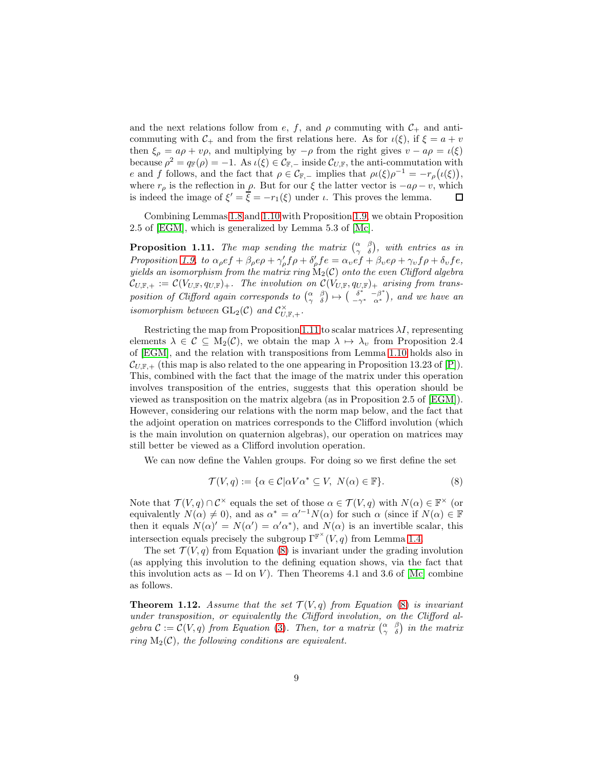and the next relations follow from e, f, and  $\rho$  commuting with  $C_+$  and anticommuting with  $C_+$  and from the first relations here. As for  $\iota(\xi)$ , if  $\xi = a + v$ then  $\xi_{\rho} = a\rho + v\rho$ , and multiplying by  $-\rho$  from the right gives  $v - a\rho = \iota(\xi)$ because  $\rho^2 = q_{\mathbb{F}}(\rho) = -1$ . As  $\iota(\xi) \in \mathcal{C}_{\mathbb{F}, -}$  inside  $\mathcal{C}_{U,\mathbb{F}}$ , the anti-commutation with e and f follows, and the fact that  $\rho \in C_{\mathbb{F}, -}$  implies that  $\rho(\xi) \rho^{-1} = -r_{\rho}(\iota(\xi)),$ where  $r_\rho$  is the reflection in  $\rho$ . But for our  $\xi$  the latter vector is  $-a\rho - v$ , which is indeed the image of  $\xi' = \overline{\xi} = -r_1(\xi)$  under  $\iota$ . This proves the lemma.  $\Box$ 

Combining Lemmas [1.8](#page-6-1) and [1.10](#page-7-0) with Proposition [1.9,](#page-7-1) we obtain Proposition 2.5 of [EGM], which is generalized by Lemma 5.3 of [Mc].

<span id="page-8-0"></span>**Proposition 1.11.** The map sending the matrix  $\begin{pmatrix} \alpha & \beta \\ \gamma & \delta \end{pmatrix}$ , with entries as in Proposition [1.9,](#page-7-1) to  $\alpha_{\rho} e f + \beta_{\rho} e \rho + \gamma_{\rho}' f \rho + \delta_{\rho}' f e = \alpha_{\nu} e f + \beta_{\nu} e \rho + \gamma_{\nu} f \rho + \delta_{\nu} f e$ , yields an isomorphism from the matrix ring  $\mathrm{M}_2(\mathcal{C})$  onto the even Clifford algebra  $\mathcal{C}_{U,\mathbb{F},+} := \mathcal{C}(V_{U,\mathbb{F}},q_{U,\mathbb{F}})_+.$  The involution on  $\mathcal{C}(V_{U,\mathbb{F}},q_{U,\mathbb{F}})_+$  arising from transposition of Clifford again corresponds to  $\begin{pmatrix} \alpha & \beta \\ \gamma & \delta \end{pmatrix} \mapsto \begin{pmatrix} \delta^* & -\beta^* \\ -\gamma^* & \alpha^* \end{pmatrix}$  $\left( \begin{array}{c} \delta^* & -\beta^* \\ -\gamma^* & \alpha^* \end{array} \right)$ , and we have an isomorphism between  $\operatorname{GL}_2(\mathcal{C})$  and  $\mathcal{C}_{U,\mathbb{F},+}^{\times}$ .

Restricting the map from Proposition [1.11](#page-8-0) to scalar matrices  $\lambda I$ , representing elements  $\lambda \in \mathcal{C} \subseteq M_2(\mathcal{C})$ , we obtain the map  $\lambda \mapsto \lambda_v$  from Proposition 2.4 of [EGM], and the relation with transpositions from Lemma [1.10](#page-7-0) holds also in  $\mathcal{C}_{U,\mathbb{F},+}$  (this map is also related to the one appearing in Proposition 13.23 of [P]). This, combined with the fact that the image of the matrix under this operation involves transposition of the entries, suggests that this operation should be viewed as transposition on the matrix algebra (as in Proposition 2.5 of [EGM]). However, considering our relations with the norm map below, and the fact that the adjoint operation on matrices corresponds to the Clifford involution (which is the main involution on quaternion algebras), our operation on matrices may still better be viewed as a Clifford involution operation.

We can now define the Vahlen groups. For doing so we first define the set

<span id="page-8-1"></span>
$$
\mathcal{T}(V, q) := \{ \alpha \in \mathcal{C} | \alpha V \alpha^* \subseteq V, \ N(\alpha) \in \mathbb{F} \}. \tag{8}
$$

Note that  $\mathcal{T}(V,q) \cap \mathcal{C}^{\times}$  equals the set of those  $\alpha \in \mathcal{T}(V,q)$  with  $N(\alpha) \in \mathbb{F}^{\times}$  (or equivalently  $N(\alpha) \neq 0$ , and as  $\alpha^* = \alpha'^{-1}N(\alpha)$  for such  $\alpha$  (since if  $N(\alpha) \in \mathbb{F}$ then it equals  $N(\alpha)' = N(\alpha') = \alpha' \alpha^*$ , and  $N(\alpha)$  is an invertible scalar, this intersection equals precisely the subgroup  $\Gamma^{\mathbb{F}^{\times}}(V,q)$  from Lemma [1.4.](#page-4-3)

The set  $\mathcal{T}(V, q)$  from Equation [\(8\)](#page-8-1) is invariant under the grading involution (as applying this involution to the defining equation shows, via the fact that this involution acts as  $-$  Id on V). Then Theorems 4.1 and 3.6 of [Mc] combine as follows.

**Theorem 1.12.** Assume that the set  $\mathcal{T}(V,q)$  from Equation [\(8\)](#page-8-1) is invariant under transposition, or equivalently the Clifford involution, on the Clifford algebra  $C := C(V, q)$  from Equation [\(3\)](#page-2-1). Then, tor a matrix  $\begin{pmatrix} \alpha & \beta \\ \gamma & \delta \end{pmatrix}$  in the matrix ring  $M_2(\mathcal{C})$ , the following conditions are equivalent.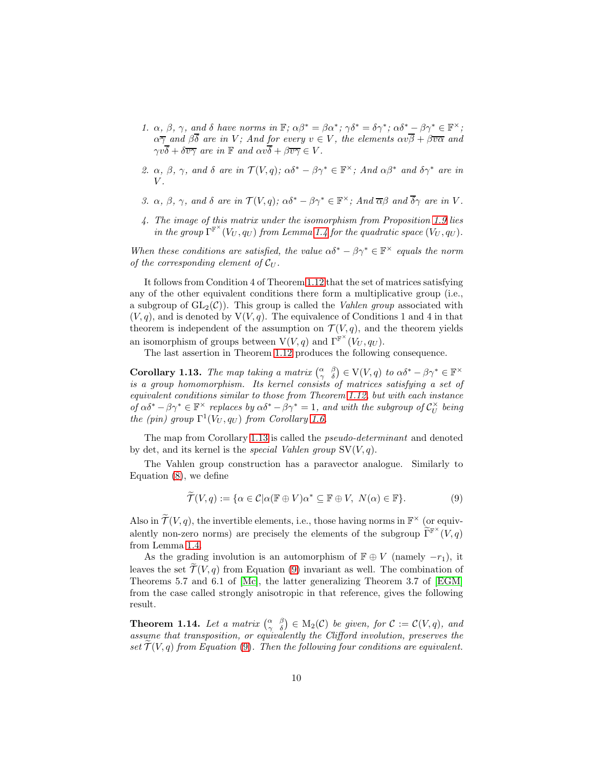- 1.  $\alpha$ ,  $\beta$ ,  $\gamma$ , and  $\delta$  have norms in  $\mathbb{F}; \alpha \beta^* = \beta \alpha^*; \gamma \delta^* = \delta \gamma^*; \alpha \delta^* \beta \gamma^* \in \mathbb{F}^\times;$  $\alpha \overline{\gamma}$  and  $\beta \delta$  are in V; And for every  $v \in V$ , the elements  $\alpha v \beta + \beta \overline{v \alpha}$  and  $\gamma v\delta + \delta \overline{v\gamma}$  are in  $\mathbb F$  and  $\alpha v\delta + \beta \overline{v\gamma} \in V$ .
- 2.  $\alpha$ ,  $\beta$ ,  $\gamma$ , and  $\delta$  are in  $\mathcal{T}(V, q)$ ;  $\alpha \delta^* \beta \gamma^* \in \mathbb{F}^\times$ ; And  $\alpha \beta^*$  and  $\delta \gamma^*$  are in  $V.$
- <span id="page-9-0"></span>3.  $\alpha$ ,  $\beta$ ,  $\gamma$ , and  $\delta$  are in  $\mathcal{T}(V, q)$ ;  $\alpha \delta^* - \beta \gamma^* \in \mathbb{F}^\times$ ; And  $\overline{\alpha} \beta$  and  $\overline{\delta} \gamma$  are in V.
- 4. The image of this matrix under the isomorphism from Proposition [1.9](#page-7-1) lies in the group  $\Gamma^{\mathbb{F}^{\times}}(V_U, q_U)$  from Lemma [1.4](#page-4-3) for the quadratic space  $(V_U, q_U)$ .

When these conditions are satisfied, the value  $\alpha \delta^* - \beta \gamma^* \in \mathbb{F}^\times$  equals the norm of the corresponding element of  $\mathcal{C}_U$ .

It follows from Condition 4 of Theorem [1.12](#page-9-0) that the set of matrices satisfying any of the other equivalent conditions there form a multiplicative group (i.e., a subgroup of  $GL_2(\mathcal{C})$ . This group is called the *Vahlen group* associated with  $(V, q)$ , and is denoted by  $V(V, q)$ . The equivalence of Conditions 1 and 4 in that theorem is independent of the assumption on  $\mathcal{T}(V, q)$ , and the theorem yields an isomorphism of groups between  $V(V, q)$  and  $\Gamma^{\mathbb{F}^{\times}}(V_U, q_U)$ .

The last assertion in Theorem [1.12](#page-9-0) produces the following consequence.

<span id="page-9-1"></span>Corollary 1.13. The map taking a matrix  $\begin{pmatrix} \alpha & \beta \\ \gamma & \delta \end{pmatrix} \in V(V,q)$  to  $\alpha \delta^* - \beta \gamma^* \in \mathbb{F}^\times$ is a group homomorphism. Its kernel consists of matrices satisfying a set of equivalent conditions similar to those from Theorem [1.12,](#page-9-0) but with each instance of  $\alpha\delta^* - \beta\gamma^* \in \mathbb{F}^\times$  replaces by  $\alpha\delta^* - \beta\gamma^* = 1$ , and with the subgroup of  $\mathcal{C}_U^\times$  $\mathrm{u}^{\times}_U$  being the (pin) group  $\Gamma^1(V_U, q_U)$  from Corollary [1.6.](#page-5-1)

The map from Corollary [1.13](#page-9-1) is called the pseudo-determinant and denoted by det, and its kernel is the *special Vahlen group*  $SV(V, q)$ .

The Vahlen group construction has a paravector analogue. Similarly to Equation [\(8\)](#page-8-1), we define

<span id="page-9-2"></span>
$$
\widetilde{\mathcal{T}}(V,q) := \{ \alpha \in \mathcal{C} | \alpha(\mathbb{F} \oplus V)\alpha^* \subseteq \mathbb{F} \oplus V, \ N(\alpha) \in \mathbb{F} \}. \tag{9}
$$

Also in  $\widetilde{\mathcal{T}}(V, q)$ , the invertible elements, i.e., those having norms in  $\mathbb{F}^\times$  (or equivalently non-zero norms) are precisely the elements of the subgroup  $\widetilde{\Gamma}^{\mathbb{F}^{\times}}(V,q)$ from Lemma [1.4.](#page-4-3)

As the grading involution is an automorphism of  $\mathbb{F} \oplus V$  (namely  $-r_1$ ), it leaves the set  $\mathcal{T}(V, q)$  from Equation [\(9\)](#page-9-2) invariant as well. The combination of Theorems 5.7 and 6.1 of [Mc], the latter generalizing Theorem 3.7 of [EGM] from the case called strongly anisotropic in that reference, gives the following result.

**Theorem 1.14.** Let a matrix  $\begin{pmatrix} \alpha & \beta \\ \gamma & \delta \end{pmatrix} \in M_2(\mathcal{C})$  be given, for  $\mathcal{C} := \mathcal{C}(V, q)$ , and assume that transposition, or equivalently the Clifford involution, preserves the set  $\mathcal{T}(V, q)$  from Equation [\(9\)](#page-9-2). Then the following four conditions are equivalent.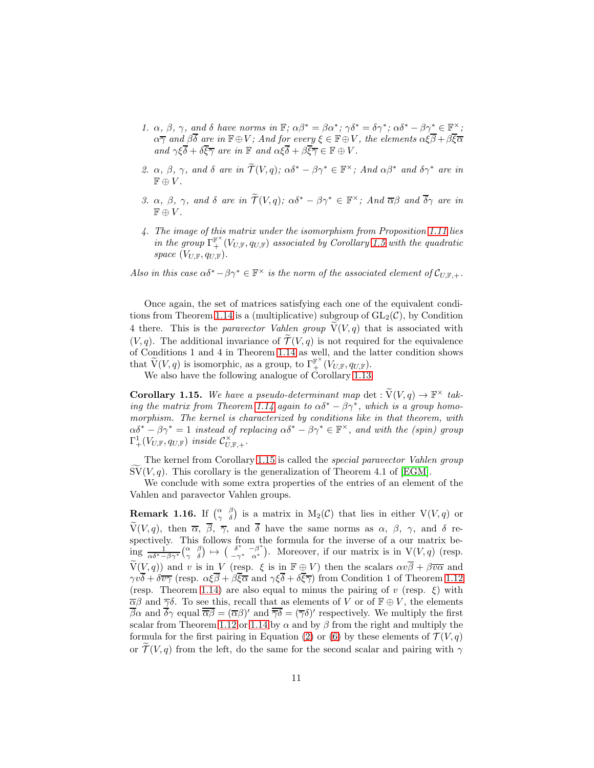- 1.  $\alpha$ ,  $\beta$ ,  $\gamma$ , and  $\delta$  have norms in  $\mathbb{F}; \alpha \beta^* = \beta \alpha^*; \gamma \delta^* = \delta \gamma^*; \alpha \delta^* \beta \gamma^* \in \mathbb{F}^\times;$  $\alpha\overline\gamma$  and  $\beta\delta$  are in  $\mathbb{F}\!\oplus\!V;$  And for every  $\xi\in\mathbb{F}\!\oplus\!V,$  the elements  $\alpha\xi\beta\!+\!\beta\xi\overline\alpha$ and  $\gamma \xi \delta + \delta \xi \overline{\gamma}$  are in  $\mathbb F$  and  $\alpha \xi \delta + \beta \xi \overline{\gamma} \in \mathbb F \oplus V$ .
- 2.  $\alpha$ ,  $\beta$ ,  $\gamma$ , and  $\delta$  are in  $\widetilde{\mathcal{T}}(V, q)$ ;  $\alpha \delta^* \beta \gamma^* \in \mathbb{F}^\times$ ; And  $\alpha \beta^*$  and  $\delta \gamma^*$  are in  $\mathbb{F} \oplus V$ .
- <span id="page-10-0"></span>3.  $\alpha$ ,  $\beta$ ,  $\gamma$ , and  $\delta$  are in  $\widetilde{\mathcal{T}}(V, q)$ ;  $\alpha \delta^* - \beta \gamma^* \in \mathbb{F}^\times$ ; And  $\overline{\alpha} \beta$  and  $\overline{\delta} \gamma$  are in  $\mathbb{F} \oplus V$ .
- 4. The image of this matrix under the isomorphism from Proposition [1.11](#page-8-0) lies in the group  $\Gamma^{\mathbb{F}^{\times}}_+ (V_{U,\mathbb{F}}, q_{U,\mathbb{F}})$  associated by Corollary [1.5](#page-5-0) with the quadratic space  $(V_{U,\mathbb{F}}, q_{U,\mathbb{F}})$ .

Also in this case  $\alpha \delta^* - \beta \gamma^* \in \mathbb{F}^\times$  is the norm of the associated element of  $\mathcal{C}_{U,\mathbb{F},+}$ .

Once again, the set of matrices satisfying each one of the equivalent condi-tions from Theorem [1.14](#page-10-0) is a (multiplicative) subgroup of  $GL_2(\mathcal{C})$ , by Condition 4 there. This is the paravector Vahlen group  $V(V, q)$  that is associated with  $(V, q)$ . The additional invariance of  $\widetilde{\mathcal{T}}(V, q)$  is not required for the equivalence of Conditions 1 and 4 in Theorem [1.14](#page-10-0) as well, and the latter condition shows that  $\widetilde{V}(V, q)$  is isomorphic, as a group, to  $\Gamma^{\mathbb{F}^{\times}}_+ (V_{U, \mathbb{F}}, q_{U, \mathbb{F}})$ .

We also have the following analogue of Corollary [1.13.](#page-9-1)

<span id="page-10-1"></span>**Corollary 1.15.** We have a pseudo-determinant map det :  $\widetilde{V}(V, q) \rightarrow \mathbb{F}^{\times}$  tak-ing the matrix from Theorem [1.14](#page-10-0) again to  $\alpha\delta^* - \beta\gamma^*$ , which is a group homomorphism. The kernel is characterized by conditions like in that theorem, with  $\alpha\delta^* - \beta\gamma^* = 1$  instead of replacing  $\alpha\delta^* - \beta\gamma^* \in \mathbb{F}^\times$ , and with the (spin) group  $\Gamma^1_+(V_{U,\mathbb{F}},q_{U,\mathbb{F}})$  inside  $\mathcal{C}^\times_{U,\mathbb{F},+}.$ 

The kernel from Corollary [1.15](#page-10-1) is called the special paravector Vahlen group  $\text{SV}(V, q)$ . This corollary is the generalization of Theorem 4.1 of [EGM].

We conclude with some extra properties of the entries of an element of the Vahlen and paravector Vahlen groups.

<span id="page-10-2"></span>**Remark 1.16.** If  $\begin{pmatrix} \alpha & \beta \\ \gamma & \delta \end{pmatrix}$  is a matrix in  $M_2(\mathcal{C})$  that lies in either  $V(V, q)$  or  $\widetilde{V}(V, q)$ , then  $\overline{\alpha}$ ,  $\overline{\beta}$ ,  $\overline{\gamma}$ , and  $\overline{\delta}$  have the same norms as  $\alpha$ ,  $\beta$ ,  $\gamma$ , and  $\delta$  respectively. This follows from the formula for the inverse of a our matrix be- $\text{ing } \frac{1}{\alpha \delta^* - \beta \gamma^*} \begin{pmatrix} \alpha & \beta \\ \gamma & \delta \end{pmatrix} \mapsto \begin{pmatrix} \delta^* & -\beta^* \\ -\gamma^* & \alpha^* \end{pmatrix}$  $\frac{\delta^*}{\delta^*} - \frac{\beta^*}{\alpha^*}$ ). Moreover, if our matrix is in  $V(V, q)$  (resp.  $\widetilde{V}(V,q)$  and v is in V (resp.  $\xi$  is in  $\mathbb{F} \oplus V$ ) then the scalars  $\alpha v\overline{\beta} + \beta\overline{v\alpha}$  and  $\gamma v\overline{\delta} + \delta \overline{v\gamma}$  (resp.  $\alpha \xi \overline{\beta} + \beta \overline{\xi} \overline{\alpha}$  and  $\gamma \xi \overline{\delta} + \delta \overline{\xi} \overline{\gamma}$ ) from Condition 1 of Theorem [1.12](#page-9-0) (resp. Theorem [1.14\)](#page-10-0) are also equal to minus the pairing of v (resp.  $\xi$ ) with  $\overline{\alpha}\beta$  and  $\overline{\gamma}\delta$ . To see this, recall that as elements of V or of  $\mathbb{F} \oplus V$ , the elements  $\overline{\beta}\alpha$  and  $\overline{\delta}\gamma$  equal  $\overline{\alpha}\overline{\beta} = (\overline{\alpha}\beta)'$  and  $\overline{\overline{\gamma}\delta} = (\overline{\gamma}\delta)'$  respectively. We multiply the first scalar from Theorem [1.12](#page-9-0) or [1.14](#page-10-0) by  $\alpha$  and by  $\beta$  from the right and multiply the formula for the first pairing in Equation [\(2\)](#page-2-3) or [\(6\)](#page-4-0) by these elements of  $\mathcal{T}(V,q)$ or  $\mathcal{T}(V, q)$  from the left, do the same for the second scalar and pairing with  $\gamma$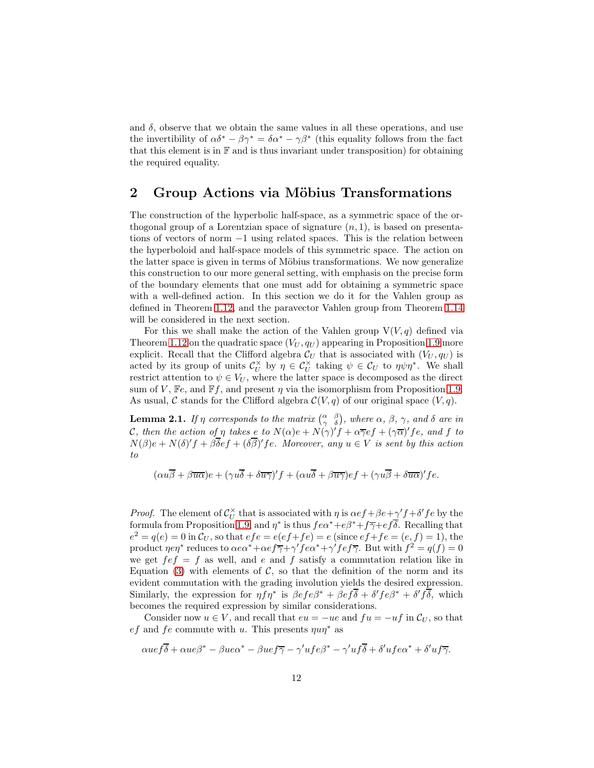and  $\delta$ , observe that we obtain the same values in all these operations, and use the invertibility of  $\alpha \delta^* - \beta \gamma^* = \delta \alpha^* - \gamma \beta^*$  (this equality follows from the fact that this element is in  $\mathbb F$  and is thus invariant under transposition) for obtaining the required equality.

### <span id="page-11-0"></span>2 Group Actions via Möbius Transformations

The construction of the hyperbolic half-space, as a symmetric space of the orthogonal group of a Lorentzian space of signature  $(n, 1)$ , is based on presentations of vectors of norm −1 using related spaces. This is the relation between the hyperboloid and half-space models of this symmetric space. The action on the latter space is given in terms of Möbius transformations. We now generalize this construction to our more general setting, with emphasis on the precise form of the boundary elements that one must add for obtaining a symmetric space with a well-defined action. In this section we do it for the Vahlen group as defined in Theorem [1.12,](#page-9-0) and the paravector Vahlen group from Theorem [1.14](#page-10-0) will be considered in the next section.

For this we shall make the action of the Vahlen group  $V(V, q)$  defined via Theorem [1.12](#page-9-0) on the quadratic space  $(V_U, q_U)$  appearing in Proposition [1.9](#page-7-1) more explicit. Recall that the Clifford algebra  $\mathcal{C}_U$  that is associated with  $(V_U, q_U)$  is acted by its group of units  $\mathcal{C}_U^{\times}$  $\tilde{U}_U$  by  $\eta \in C_U^{\times}$  taking  $\psi \in C_U$  to  $\eta \psi \eta^*$ . We shall restrict attention to  $\psi \in V_U$ , where the latter space is decomposed as the direct sum of V, Fe, and Ff, and present  $\eta$  via the isomorphism from Proposition [1.9.](#page-7-1) As usual, C stands for the Clifford algebra  $C(V, q)$  of our original space  $(V, q)$ .

<span id="page-11-1"></span>**Lemma 2.1.** If  $\eta$  corresponds to the matrix  $\begin{pmatrix} \alpha & \beta \\ \gamma & \delta \end{pmatrix}$ , where  $\alpha$ ,  $\beta$ ,  $\gamma$ , and  $\delta$  are in C, then the action of  $\eta$  takes e to  $N(\alpha)e + N(\gamma)^{r}f + \alpha \overline{\gamma}ef + (\gamma \overline{\alpha})^{r}fe$ , and f to  $N(\beta)e + N(\delta)'f + \beta \overline{\delta}ef + (\delta \overline{\beta})'fe$ . Moreover, any  $u \in V$  is sent by this action to

$$
(\alpha u \overline{\beta} + \beta \overline{u \alpha})e + (\gamma u \overline{\delta} + \delta \overline{u \gamma})'f + (\alpha u \overline{\delta} + \beta \overline{u \gamma})ef + (\gamma u \overline{\beta} + \delta \overline{u \alpha})'fe.
$$

*Proof.* The element of  $C_U^{\times}$  $U$ <sup> $\times$ </sup> that is associated with  $\eta$  is  $\alpha ef + \beta e + \gamma' f + \delta' fe$  by the formula from Proposition [1.9,](#page-7-1) and  $\eta^*$  is thus  $fe\alpha^*+e\beta^*+f\overline{\gamma}+e\overline{f\delta}$ . Recalling that  $e^{2} = q(e) = 0$  in  $C_{U}$ , so that  $efe = e(ef + fe) = e$  (since  $ef + fe = (e, f) = 1$ ), the product  $\eta e \eta^*$  reduces to  $\alpha e \alpha^* + \alpha e f \overline{\gamma} + \gamma' f e \alpha^* + \gamma' f e f \overline{\gamma}$ . But with  $f^2 = q(f) = 0$ we get  $f \in f = f$  as well, and e and f satisfy a commutation relation like in Equation [\(3\)](#page-2-1) with elements of  $\mathcal{C}$ , so that the definition of the norm and its evident commutation with the grading involution yields the desired expression. Similarly, the expression for  $\eta \tilde{f} \eta^*$  is  $\beta e f e \beta^* + \beta e f \overline{\delta} + \delta' f e \beta^* + \delta' f \overline{\delta}$ , which becomes the required expression by similar considerations.

Consider now  $u \in V$ , and recall that  $eu = -ue$  and  $fu = -uf$  in  $\mathcal{C}_U$ , so that ef and fe commute with u. This presents  $\eta u \eta^*$  as

$$
\alpha u e f\overline{\delta} + \alpha u e \beta^* - \beta u e \alpha^* - \beta u e f \overline{\gamma} - \gamma' u f e \beta^* - \gamma' u f \overline{\delta} + \delta' u f e \alpha^* + \delta' u f \overline{\gamma}.
$$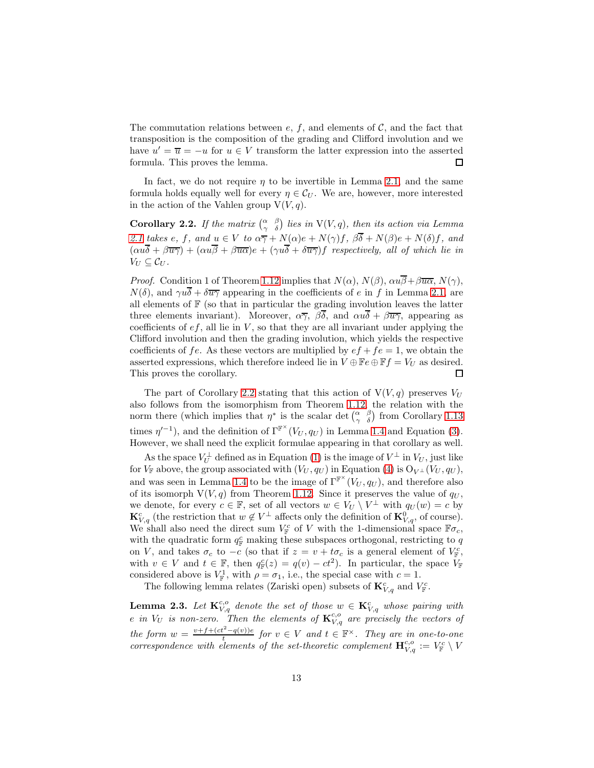The commutation relations between  $e, f$ , and elements of  $C$ , and the fact that transposition is the composition of the grading and Clifford involution and we have  $u' = \overline{u} = -u$  for  $u \in V$  transform the latter expression into the asserted formula. This proves the lemma. □

In fact, we do not require  $\eta$  to be invertible in Lemma [2.1,](#page-11-1) and the same formula holds equally well for every  $\eta \in C_U$ . We are, however, more interested in the action of the Vahlen group  $V(V, q)$ .

<span id="page-12-0"></span>**Corollary 2.2.** If the matrix  $\begin{pmatrix} \alpha & \beta \\ \gamma & \delta \end{pmatrix}$  lies in  $V(V, q)$ , then its action via Lemma [2.1](#page-11-1) takes e, f, and  $u \in V$  to  $\alpha \overline{\gamma} + N(\alpha)e + N(\gamma)f$ ,  $\beta \overline{\delta} + N(\beta)e + N(\delta)f$ , and  $(\alpha u\overline{\delta} + \beta \overline{u}\overline{\gamma}) + (\alpha u\overline{\beta} + \beta \overline{u}\overline{\alpha})e + (\gamma u\overline{\delta} + \delta \overline{u}\overline{\gamma})f$  respectively, all of which lie in  $V_U \subseteq \mathcal{C}_U$ .

*Proof.* Condition 1 of Theorem [1.12](#page-9-0) implies that  $N(\alpha)$ ,  $N(\beta)$ ,  $\alpha u\overline{\beta}+\beta\overline{u\alpha}$ ,  $N(\gamma)$ ,  $N(\delta)$ , and  $\gamma u\overline{\delta} + \delta \overline{u\gamma}$  appearing in the coefficients of e in f in Lemma [2.1,](#page-11-1) are all elements of  $F$  (so that in particular the grading involution leaves the latter three elements invariant). Moreover,  $\alpha \overline{\gamma}$ ,  $\beta \overline{\delta}$ , and  $\alpha u \overline{\delta} + \beta \overline{u \gamma}$ , appearing as coefficients of  $ef$ , all lie in  $V$ , so that they are all invariant under applying the Clifford involution and then the grading involution, which yields the respective coefficients of fe. As these vectors are multiplied by  $ef + fe = 1$ , we obtain the asserted expressions, which therefore indeed lie in  $V \oplus \mathbb{F}e \oplus \mathbb{F}f = V_U$  as desired. This proves the corollary.  $\Box$ 

The part of Corollary [2.2](#page-12-0) stating that this action of  $V(V, q)$  preserves  $V_U$ also follows from the isomorphism from Theorem [1.12,](#page-9-0) the relation with the norm there (which implies that  $\eta^*$  is the scalar det  $\begin{pmatrix} \alpha & \beta \\ \gamma & \delta \end{pmatrix}$  from Corollary [1.13](#page-9-1) times  $\eta'^{-1}$ ), and the definition of  $\Gamma^{\mathbb{F}^{\times}}(V_U, q_U)$  in Lemma [1.4](#page-4-3) and Equation [\(3\)](#page-2-1). However, we shall need the explicit formulae appearing in that corollary as well.

As the space  $V_U^{\perp}$  defined as in Equation [\(1\)](#page-2-2) is the image of  $V^{\perp}$  in  $V_U$ , just like for  $V_{\mathbb{F}}$  above, the group associated with  $(V_U, q_U)$  in Equation [\(4\)](#page-2-4) is  $O_{V^{\perp}}(V_U, q_U)$ , and was seen in Lemma [1.4](#page-4-3) to be the image of  $\Gamma^{\mathbb{F}^{\times}}(V_U, q_U)$ , and therefore also of its isomorph  $V(V, q)$  from Theorem [1.12.](#page-9-0) Since it preserves the value of  $q_U$ , we denote, for every  $c \in \mathbb{F}$ , set of all vectors  $w \in V_U \setminus V^{\perp}$  with  $q_U(w) = c$  by  $\mathbf{K}_{V,q}^c$  (the restriction that  $w \notin V^{\perp}$  affects only the definition of  $\mathbf{K}_{V,q}^0$ , of course). We shall also need the direct sum  $V_{\mathbb{F}}^c$  of V with the 1-dimensional space  $\mathbb{F}\sigma_c$ , with the quadratic form  $q_F^c$  making these subspaces orthogonal, restricting to q on V, and takes  $\sigma_c$  to  $-c$  (so that if  $z = v + t\sigma_c$  is a general element of  $V_{\mathbb{F}}^c$ , with  $v \in V$  and  $t \in \mathbb{F}$ , then  $q_{\mathbb{F}}^c(z) = q(v) - ct^2$ . In particular, the space  $V_{\mathbb{F}}$ considered above is  $V_{\mathbb{F}}^1$ , with  $\rho = \sigma_1$ , i.e., the special case with  $c = 1$ .

The following lemma relates (Zariski open) subsets of  $\mathbf{K}^c_{V,q}$  and  $V^c_{\mathbb{F}}$ .

<span id="page-12-1"></span>**Lemma 2.3.** Let  $\mathbf{K}_{V,q}^{c,o}$  denote the set of those  $w \in \mathbf{K}_{V,q}^{c}$  whose pairing with e in  $V_U$  is non-zero. Then the elements of  $\mathbf{K}_{V,q}^{c,o}$  are precisely the vectors of the form  $w = \frac{v + f + (ct^2 - q(v))e}{t}$  for  $v \in V$  and  $t \in \mathbb{F}^\times$ . They are in one-to-one the form  $w =$ <br>correspondence with elements of the set-theoretic complement  $\mathbf{H}_{V,q}^{c,0} := V_{\mathbb{F}}^{\circ} \setminus V$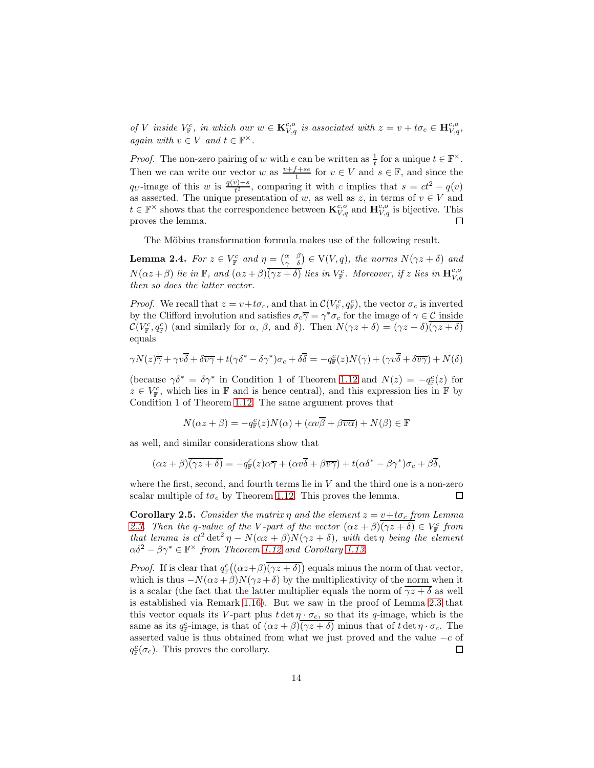of V inside  $V_{\mathbb{F}}^c$ , in which our  $w \in \mathbf{K}_{V,q}^{c,o}$  is associated with  $z = v + t\sigma_c \in \mathbf{H}_{V,q}^{c,o}$ , again with  $v \in V$  and  $t \in \mathbb{F}^{\times}$ .

*Proof.* The non-zero pairing of w with e can be written as  $\frac{1}{t}$  for a unique  $t \in \mathbb{F}^{\times}$ . Then we can write our vector w as  $\frac{v+f+se}{t}$  for  $v \in V$  and  $s \in \mathbb{F}$ , and since the q<sub>U</sub>-image of this w is  $\frac{q(v)+s}{t^2}$ , comparing it with c implies that  $s = ct^2 - q(v)$ as asserted. The unique presentation of w, as well as z, in terms of  $v \in V$  and  $t \in \mathbb{F}^\times$  shows that the correspondence between  $\mathbf{K}_{V,q}^{c,o}$  and  $\mathbf{H}_{V,q}^{c,o}$  is bijective. This proves the lemma.  $\Box$ 

The Möbius transformation formula makes use of the following result.

<span id="page-13-0"></span>**Lemma 2.4.** For  $z \in V_{\mathbb{F}}^c$  and  $\eta = \begin{pmatrix} \alpha & \beta \\ \gamma & \delta \end{pmatrix} \in V(V, q)$ , the norms  $N(\gamma z + \delta)$  and  $N(\alpha z + \beta)$  lie in F, and  $(\alpha z + \beta) \overline{(\gamma z + \delta)}$  lies in  $V_{\mathbb{F}}^c$ . Moreover, if z lies in  $\mathbf{H}_{V,q}^{c,o}$ then so does the latter vector.

*Proof.* We recall that  $z = v + t\sigma_c$ , and that in  $\mathcal{C}(V_F^c, q_F^c)$ , the vector  $\sigma_c$  is inverted by the Clifford involution and satisfies  $\sigma_c \overline{\gamma} = \gamma^* \sigma_c$  for the image of  $\gamma \in \mathcal{C}$  inside  $\mathcal{C}(V^c_{\mathbb{F}}, q^c_{\mathbb{F}})$  (and similarly for  $\alpha$ ,  $\beta$ , and  $\delta$ ). Then  $N(\gamma z + \delta) = (\gamma z + \delta)(\overline{\gamma z + \delta})$ equals

$$
\gamma N(z)\overline{\gamma} + \gamma v\overline{\delta} + \delta \overline{v\gamma} + t(\gamma \delta^* - \delta \gamma^*)\sigma_c + \delta \overline{\delta} = -q_{\mathbb{F}}^c(z)N(\gamma) + (\gamma v\overline{\delta} + \delta \overline{v\gamma}) + N(\delta)
$$

(because  $\gamma \delta^* = \delta \gamma^*$  in Condition 1 of Theorem [1.12](#page-9-0) and  $N(z) = -q_{\mathbb{F}}^c(z)$  for  $z \in V_{\mathbb{F}}^c$ , which lies in  $\mathbb{F}$  and is hence central), and this expression lies in  $\mathbb{F}$  by Condition 1 of Theorem [1.12.](#page-9-0) The same argument proves that

$$
N(\alpha z + \beta) = -q_{\mathbb{F}}^c(z)N(\alpha) + (\alpha v \overline{\beta} + \beta \overline{v \alpha}) + N(\beta) \in \mathbb{F}
$$

as well, and similar considerations show that

$$
(\alpha z + \beta)\overline{(\gamma z + \delta)} = -q_{\mathbb{F}}^c(z)\alpha \overline{\gamma} + (\alpha v \overline{\delta} + \beta \overline{v \gamma}) + t(\alpha \delta^* - \beta \gamma^*) \sigma_c + \beta \overline{\delta},
$$

where the first, second, and fourth terms lie in  $V$  and the third one is a non-zero scalar multiple of  $t\sigma_c$  by Theorem [1.12.](#page-9-0) This proves the lemma. П

<span id="page-13-1"></span>**Corollary 2.5.** Consider the matrix  $\eta$  and the element  $z = v + t\sigma_c$  from Lemma [2.3.](#page-12-1) Then the q-value of the V-part of the vector  $(\alpha z + \beta)\overline{(\gamma z + \delta)} \in V_{\mathbb{F}}^c$  from that lemma is  $ct^2 \det^2 \eta - N(\alpha z + \beta)N(\gamma z + \delta)$ , with  $\det \eta$  being the element  $\alpha\delta^2 - \beta\gamma^* \in \mathbb{F}^\times$  from Theorem [1.12](#page-9-0) and Corollary [1.13.](#page-9-1)

*Proof.* If is clear that  $q_F^c((\alpha z+\beta)\overline{(\gamma z+\delta)})$  equals minus the norm of that vector, which is thus  $-N(\alpha z + \beta)N(\gamma z + \delta)$  by the multiplicativity of the norm when it is a scalar (the fact that the latter multiplier equals the norm of  $\overline{\gamma z + \delta}$  as well is established via Remark [1.16\)](#page-10-2). But we saw in the proof of Lemma [2.3](#page-12-1) that this vector equals its V-part plus  $t \det \eta \cdot \sigma_c$ , so that its q-image, which is the same as its  $q_{\mathbb{F}}^c$ -image, is that of  $(\alpha z + \beta)\overline{(\gamma z + \delta)}$  minus that of  $t \det \eta \cdot \sigma_c$ . The asserted value is thus obtained from what we just proved and the value  $-c$  of  $q_{\mathbb{F}}^c(\sigma_c)$ . This proves the corollary.  $\Box$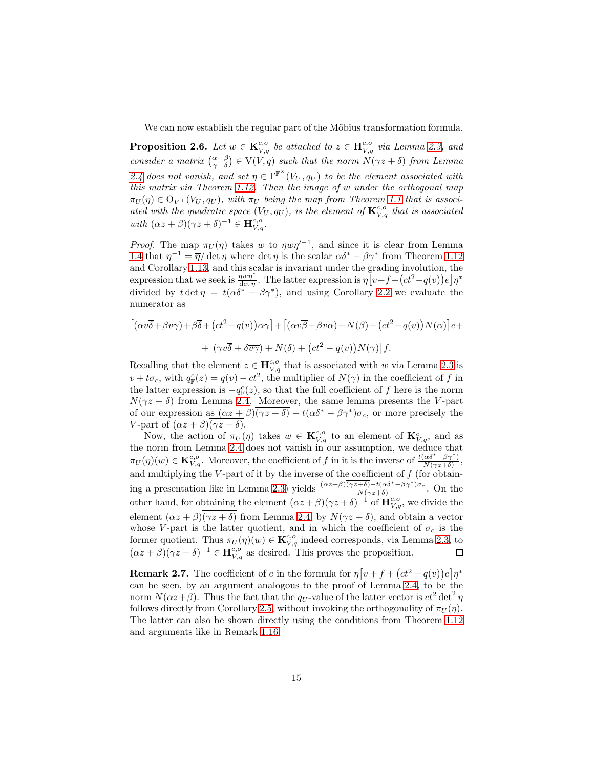We can now establish the regular part of the Möbius transformation formula.

<span id="page-14-0"></span>**Proposition 2.6.** Let  $w \in \mathbf{K}_{V,q}^{c,o}$  be attached to  $z \in \mathbf{H}_{V,q}^{c,o}$  via Lemma [2.3,](#page-12-1) and consider a matrix  $\begin{pmatrix} \alpha & \beta \\ \gamma & \delta \end{pmatrix} \in V(V,q)$  such that the norm  $N(\gamma z + \delta)$  from Lemma [2.4](#page-13-0) does not vanish, and set  $\eta \in \Gamma^{\mathbb{F}^{\times}}(V_U, q_U)$  to be the element associated with this matrix via Theorem [1.12.](#page-9-0) Then the image of w under the orthogonal map  $\pi_U(\eta) \in \mathrm{O}_{V^\perp}(V_U,q_U)$ , with  $\pi_U$  being the map from Theorem [1.1](#page-3-1) that is associated with the quadratic space  $(V_U, q_U)$ , is the element of  $\mathbf{K}_{V,q}^{c,o}$  that is associated with  $(\alpha z + \beta)(\gamma z + \delta)^{-1} \in \mathbf{H}^{c,o}_{V,q}.$ 

*Proof.* The map  $\pi_U(\eta)$  takes w to  $\eta w \eta'^{-1}$ , and since it is clear from Lemma [1.4](#page-4-3) that  $\eta^{-1} = \overline{\eta}/\det \eta$  where  $\det \eta$  is the scalar  $\alpha \delta^* - \beta \gamma^*$  from Theorem [1.12](#page-9-0) and Corollary [1.13,](#page-9-1) and this scalar is invariant under the grading involution, the expression that we seek is  $\frac{w v \eta^*}{\det \eta}$ . The latter expression is  $\eta \left[ v+f+\left( ct^2-q(v)\right) e\right] \eta^*$ divided by  $t \det \eta = t(\alpha \delta^* - \beta \gamma^*)$ , and using Corollary [2.2](#page-12-0) we evaluate the numerator as

$$
[(\alpha v\overline{\delta} + \beta v\overline{\gamma}) + \beta \overline{\delta} + (ct^2 - q(v))\alpha \overline{\gamma}] + [(\alpha v\overline{\beta} + \beta v\overline{\alpha}) + N(\beta) + (ct^2 - q(v))N(\alpha)]e +
$$
  
+ 
$$
+ [(\gamma v\overline{\delta} + \delta v\overline{\gamma}) + N(\delta) + (ct^2 - q(v))N(\gamma)]f.
$$

Recalling that the element  $z \in \mathbf{H}_{V,q}^{c,o}$  that is associated with w via Lemma [2.3](#page-12-1) is  $v + t\sigma_c$ , with  $q_{\mathbb{F}}^c(z) = q(v) - ct^2$ , the multiplier of  $N(\gamma)$  in the coefficient of f in the latter expression is  $-q_{\mathbb{F}}^c(z)$ , so that the full coefficient of f here is the norm  $N(\gamma z + \delta)$  from Lemma [2.4.](#page-13-0) Moreover, the same lemma presents the V-part of our expression as  $(\alpha z + \beta)(\overline{\gamma z + \delta}) - t(\alpha \delta^* - \beta \gamma^*) \sigma_c$ , or more precisely the V-part of  $(\alpha z + \beta)(\gamma z + \delta)$ .

Now, the action of  $\pi_U(\eta)$  takes  $w \in \mathbf{K}_{V,q}^{c,o}$  to an element of  $\mathbf{K}_{V,q}^c$ , and as the norm from Lemma [2.4](#page-13-0) does not vanish in our assumption, we deduce that  $\pi_U(\eta)(w) \in \mathbf{K}_{V,q}^{c,o}$ . Moreover, the coefficient of f in it is the inverse of  $\frac{t(\alpha\delta^* - \beta\gamma^*)}{N(\gamma z+\delta)}$  $\frac{\alpha o - \beta \gamma}{N(\gamma z+\delta)},$ and multiplying the  $V$ -part of it by the inverse of the coefficient of  $f$  (for obtain-ing a presentation like in Lemma [2.3\)](#page-12-1) yields  $\frac{(\alpha z+\beta)(\gamma z+\delta)-t(\alpha\delta^*-\beta\gamma^*)\sigma_c}{N(\gamma z+\delta)}$  $\frac{+0,-\iota(\alpha\sigma - \rho\gamma)\sigma_c}{N(\gamma z+\delta)}$ . On the other hand, for obtaining the element  $(\alpha z + \beta)(\gamma z + \delta)^{-1}$  of  $\mathbf{H}_{V,q}^{c,o}$ , we divide the element  $(\alpha z + \beta)(\overline{\gamma z + \delta})$  from Lemma [2.4,](#page-13-0) by  $N(\gamma z + \delta)$ , and obtain a vector whose V-part is the latter quotient, and in which the coefficient of  $\sigma_c$  is the former quotient. Thus  $\pi_U(\eta)(w) \in \mathbf{K}_{V,q}^{c,o}$  indeed corresponds, via Lemma [2.3,](#page-12-1) to  $(\alpha z + \beta)(\gamma z + \delta)^{-1} \in \mathbf{H}_{V,q}^{c,o}$  as desired. This proves the proposition. □

<span id="page-14-1"></span>**Remark 2.7.** The coefficient of e in the formula for  $\eta \left[ v + f + (ct^2 - q(v))e \right] \eta^*$ can be seen, by an argument analogous to the proof of Lemma [2.4,](#page-13-0) to be the norm  $N(\alpha z + \beta)$ . Thus the fact that the  $q_U$ -value of the latter vector is  $ct^2$  det<sup>2</sup>  $\eta$ follows directly from Corollary [2.5,](#page-13-1) without invoking the orthogonality of  $\pi_U(\eta)$ . The latter can also be shown directly using the conditions from Theorem [1.12](#page-9-0) and arguments like in Remark [1.16.](#page-10-2)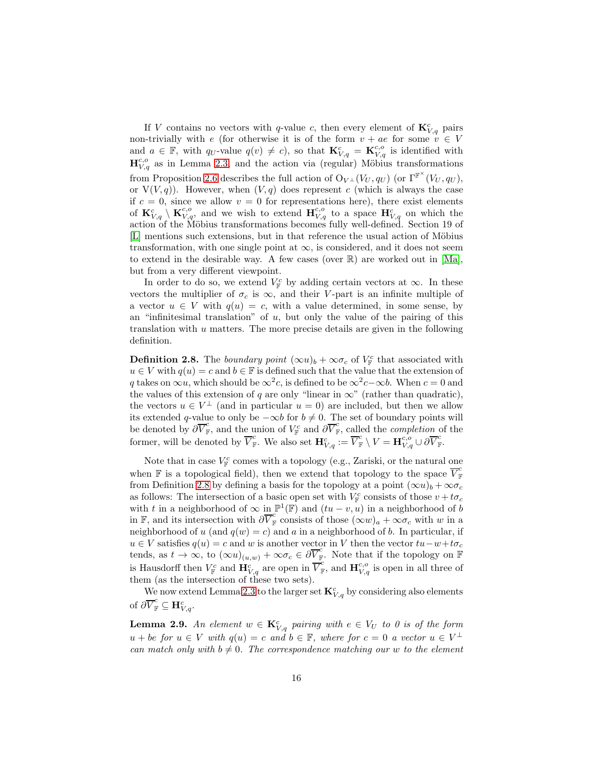If V contains no vectors with q-value c, then every element of  $\mathbf{K}_{V,q}^c$  pairs non-trivially with  $e$  (for otherwise it is of the form  $v + ae$  for some  $v \in V$ and  $a \in \mathbb{F}$ , with  $q_U$ -value  $q(v) \neq c$ , so that  $\mathbf{K}_{V,q}^c = \mathbf{K}_{V,q}^{c,o}$  is identified with  $\mathbf{H}_{V,q}^{c,o}$  as in Lemma [2.3,](#page-12-1) and the action via (regular) Möbius transformations from Proposition [2.6](#page-14-0) describes the full action of  $O_{V^{\perp}}(V_U, q_U)$  (or  $\Gamma^{\mathbb{F}^{\times}}(V_U, q_U)$ , or  $V(V, q)$ ). However, when  $(V, q)$  does represent c (which is always the case if  $c = 0$ , since we allow  $v = 0$  for representations here), there exist elements of  ${\bf K}_{V,q}^c \setminus {\bf K}_{V,q}^{c,o}$ , and we wish to extend  ${\bf H}_{V,q}^{c,o}$  to a space  ${\bf H}_{V,q}^c$  on which the action of the Möbius transformations becomes fully well-defined. Section 19 of [L] mentions such extensions, but in that reference the usual action of Möbius transformation, with one single point at  $\infty$ , is considered, and it does not seem to extend in the desirable way. A few cases (over  $\mathbb{R}$ ) are worked out in [Ma], but from a very different viewpoint.

In order to do so, we extend  $V_{\mathbb{F}}^c$  by adding certain vectors at  $\infty$ . In these vectors the multiplier of  $\sigma_c$  is  $\infty$ , and their V-part is an infinite multiple of a vector  $u \in V$  with  $q(u) = c$ , with a value determined, in some sense, by an "infinitesimal translation" of  $u$ , but only the value of the pairing of this translation with  $u$  matters. The more precise details are given in the following definition.

<span id="page-15-0"></span>**Definition 2.8.** The *boundary point*  $(\infty u)_b + \infty \sigma_c$  of  $V_F^c$  that associated with  $u \in V$  with  $q(u) = c$  and  $b \in \mathbb{F}$  is defined such that the value that the extension of q takes on  $\infty u$ , which should be  $\infty^2 c$ , is defined to be  $\infty^2 c - \infty b$ . When  $c = 0$  and the values of this extension of q are only "linear in  $\infty$ " (rather than quadratic), the vectors  $u \in V^{\perp}$  (and in particular  $u = 0$ ) are included, but then we allow its extended q-value to only be  $-\infty b$  for  $b \neq 0$ . The set of boundary points will be denoted by  $\partial \overline{V}_{\mathbb{F}}^c$ , and the union of  $V_{\mathbb{F}}^c$  and  $\partial \overline{V}_{\mathbb{F}}^c$ , called the *completion* of the former, will be denoted by  $\overline{V}_{\mathbb{F}}^c$ . We also set  $\mathbf{H}_{V,q}^c := \overline{V}_{\mathbb{F}}^c \setminus V = \mathbf{H}_{V,q}^{c,o} \cup \partial \overline{V}_{\mathbb{F}}^c$ .

Note that in case  $V_{\mathbb{F}}^c$  comes with a topology (e.g., Zariski, or the natural one when  $\mathbb F$  is a topological field), then we extend that topology to the space  $\overline{V}_{\mathbb F}^c$ from Definition [2.8](#page-15-0) by defining a basis for the topology at a point  $(\infty u)_b + \infty \sigma_c$ as follows: The intersection of a basic open set with  $V_F^c$  consists of those  $v + t\sigma_c$ with t in a neighborhood of  $\infty$  in  $\mathbb{P}^1(\mathbb{F})$  and  $(tu - v, u)$  in a neighborhood of b in F, and its intersection with  $\partial \overline{V}_{\mathbb{F}}^c$  consists of those  $(\infty w)_a + \infty \sigma_c$  with w in a neighborhood of u (and  $q(w) = c$ ) and a in a neighborhood of b. In particular, if  $u \in V$  satisfies  $q(u) = c$  and w is another vector in V then the vector  $tu - w + t\sigma_c$ tends, as  $t \to \infty$ , to  $(\infty u)_{(u,w)} + \infty \sigma_c \in \partial \overline{V}_{\mathbb{F}}^c$ . Note that if the topology on  $\overline{\mathbb{F}}$ is Hausdorff then  $V_{\mathbb{F}}^c$  and  $\mathbf{H}_{V,q}^c$  are open in  $\overline{V}_{\mathbb{F}}^c$ , and  $\mathbf{H}_{V,q}^{c,o}$  is open in all three of them (as the intersection of these two sets).

We now extend Lemma [2.3](#page-12-1) to the larger set  $\mathbf{K}_{V,q}^{c}$  by considering also elements of  $\partial \overline{V}_{\mathbb{F}}^c \subseteq \mathbf{H}_{V,q}^c$ .

<span id="page-15-1"></span>**Lemma 2.9.** An element  $w \in \mathbf{K}_{V,q}^c$  pairing with  $e \in V_U$  to 0 is of the form  $u + be \text{ for } u \in V \text{ with } q(u) = c \text{ and } b \in \mathbb{F}, \text{ where for } c = 0 \text{ a vector } u \in V^{\perp}$ can match only with  $b \neq 0$ . The correspondence matching our w to the element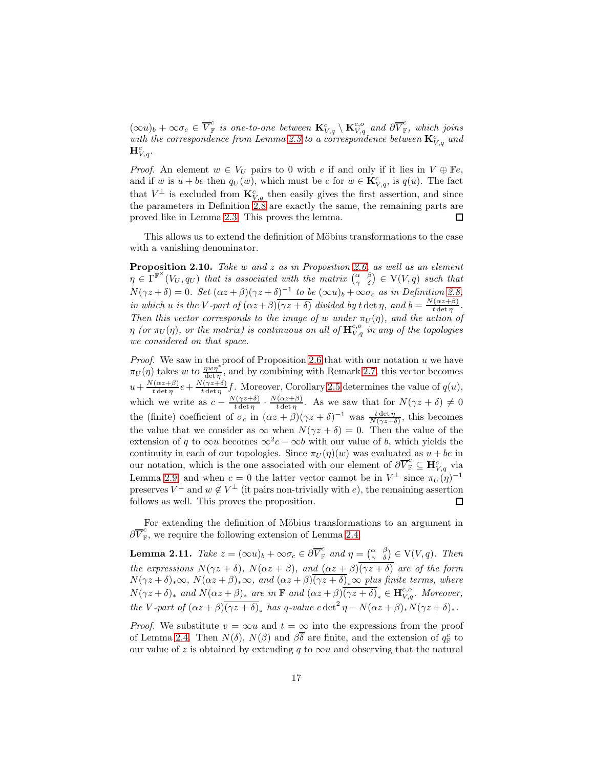$(\infty u)_b + \infty \sigma_c \in \overline{V}_{\mathbb{F}}^c$  is one-to-one between  $\mathbf{K}_{V,q}^c \setminus \mathbf{K}_{V,q}^{c,o}$  and  $\partial \overline{V}_{\mathbb{F}}^c$ , which joins with the correspondence from Lemma [2.3](#page-12-1) to a correspondence between  $\mathbf{K}_{V,q}^{c}$  and  $\mathbf{H}^c_{V,q}.$ 

*Proof.* An element  $w \in V_U$  pairs to 0 with e if and only if it lies in  $V \oplus \mathbb{F}e$ , and if w is  $u + be$  then  $q_U(w)$ , which must be c for  $w \in \mathbf{K}_{V,q}^c$ , is  $q(u)$ . The fact that  $V^{\perp}$  is excluded from  $\mathbf{K}_{V,q}^{c}$  then easily gives the first assertion, and since the parameters in Definition [2.8](#page-15-0) are exactly the same, the remaining parts are proved like in Lemma [2.3.](#page-12-1) This proves the lemma.  $\Box$ 

This allows us to extend the definition of Möbius transformations to the case with a vanishing denominator.

<span id="page-16-0"></span>Proposition 2.10. Take w and z as in Proposition [2.6,](#page-14-0) as well as an element  $\eta \in \Gamma^{\mathbb{F}^{\times}}(V_U, q_U)$  that is associated with the matrix  $\begin{pmatrix} \alpha & \beta \\ \gamma & \delta \end{pmatrix} \in V(V, q)$  such that  $N(\gamma z + \delta) = 0$ . Set  $(\alpha z + \beta)(\gamma z + \delta)^{-1}$  to be  $(\infty u)_b + \infty \sigma_c$  as in Definition [2.8,](#page-15-0) in which u is the V-part of  $(\alpha z + \beta)(\overline{\gamma z + \delta})$  divided by t det  $\eta$ , and  $b = \frac{N(\alpha z + \beta)}{t \det n}$  $\frac{(\alpha z+\rho)}{t \det \eta}$ . Then this vector corresponds to the image of w under  $\pi_U(\eta)$ , and the action of  $\eta$  (or  $\pi_U(\eta)$ , or the matrix) is continuous on all of  $\mathbf{H}_{V,q}^{c,o}$  in any of the topologies we considered on that space.

*Proof.* We saw in the proof of Proposition [2.6](#page-14-0) that with our notation  $u$  we have  $\pi_U(\eta)$  takes w to  $\frac{\eta w \eta^*}{\det \eta}$ , and by combining with Remark [2.7,](#page-14-1) this vector becomes  $u + \frac{N(\alpha z + \beta)}{t \det n}$  $\frac{f(\alpha z+\beta)}{t \det \eta}e + \frac{N(\gamma z+\delta)}{t \det \eta}$  $\frac{(\gamma z + \delta)}{t \det \eta} f$ . Moreover, Corollary [2.5](#page-13-1) determines the value of  $q(u)$ , which we write as  $c - \frac{N(\gamma z + \delta)}{t \det n}$  $\frac{N(\gamma z+\delta)}{t \det \eta} \cdot \frac{N(\alpha z+\beta)}{t \det \eta}$  $\frac{(\alpha z+\beta)}{t \det \eta}$ . As we saw that for  $N(\gamma z + \delta) \neq 0$ the (finite) coefficient of  $\sigma_c$  in  $(\alpha z + \beta)(\gamma z + \delta)^{-1}$  was  $\frac{t \det \eta}{N(\gamma z + \delta)}$ , this becomes the value that we consider as  $\infty$  when  $N(\gamma z + \delta) = 0$ . Then the value of the extension of q to  $\infty u$  becomes  $\infty^2 c - \infty b$  with our value of b, which yields the continuity in each of our topologies. Since  $\pi_U(\eta)(w)$  was evaluated as  $u + be$  in our notation, which is the one associated with our element of  $\partial \overline{V}_{\mathbb{F}}^c \subseteq \mathbf{H}_{V,q}^c$  via Lemma [2.9,](#page-15-1) and when  $c = 0$  the latter vector cannot be in  $V^{\perp}$  since  $\pi_U(\eta)^{-1}$ preserves  $V^{\perp}$  and  $w \notin V^{\perp}$  (it pairs non-trivially with e), the remaining assertion follows as well. This proves the proposition. □

For extending the definition of Möbius transformations to an argument in  $\partial \overline{V}_{\mathbb{F}}^c$ , we require the following extension of Lemma [2.4.](#page-13-0)

<span id="page-16-1"></span>**Lemma 2.11.** Take  $z = (\infty u)_b + \infty \sigma_c \in \partial \overline{V}_{\mathbb{F}}^c$  and  $\eta = \begin{pmatrix} \alpha & \beta \\ \gamma & \delta \end{pmatrix} \in V(V, q)$ . Then the expressions  $N(\gamma z + \delta)$ ,  $N(\alpha z + \beta)$ , and  $(\alpha z + \beta)(\gamma z + \delta)$  are of the form  $N(\gamma z + \delta)_*\infty$ ,  $N(\alpha z + \beta)_*\infty$ , and  $(\alpha z + \beta)(\overline{\gamma z + \delta})_*\infty$  plus finite terms, where  $N(\gamma z + \delta)_*$  and  $N(\alpha z + \beta)_*$  are in  $\mathbb F$  and  $(\alpha z + \beta)\overline{(\gamma z + \delta)}_* \in \mathbf{H}_{V,q}^{c,o}$ . Moreover, the V-part of  $(\alpha z + \beta)\overline{(\gamma z + \delta)}$ , has q-value  $c \det^2 \eta - N(\alpha z + \beta)_*N(\gamma z + \delta)_*.$ 

*Proof.* We substitute  $v = \infty u$  and  $t = \infty$  into the expressions from the proof of Lemma [2.4.](#page-13-0) Then  $N(\delta)$ ,  $N(\beta)$  and  $\beta\overline{\delta}$  are finite, and the extension of  $q_{\mathbb{F}}^c$  to our value of z is obtained by extending q to  $\infty u$  and observing that the natural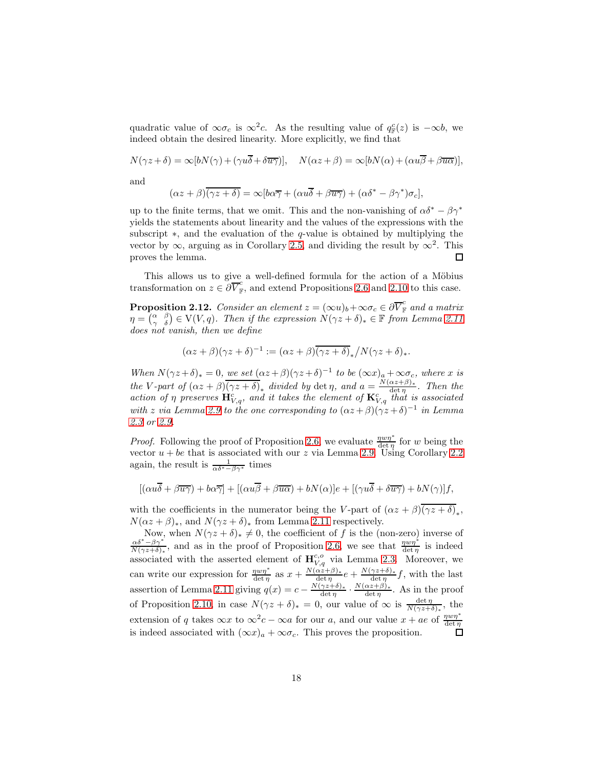quadratic value of  $\infty \sigma_c$  is  $\infty^2 c$ . As the resulting value of  $q_{\mathbb{F}}^c(z)$  is  $-\infty b$ , we indeed obtain the desired linearity. More explicitly, we find that

$$
N(\gamma z + \delta) = \infty[bN(\gamma) + (\gamma u\overline{\delta} + \delta \overline{u\gamma})], \quad N(\alpha z + \beta) = \infty[bN(\alpha) + (\alpha u\overline{\beta} + \beta u\overline{\alpha})],
$$

and

$$
(\alpha z + \beta)\overline{(\gamma z + \delta)} = \infty[b\alpha\overline{\gamma} + (\alpha u\overline{\delta} + \beta\overline{u\gamma}) + (\alpha \delta^* - \beta\gamma^*)\sigma_c],
$$

up to the finite terms, that we omit. This and the non-vanishing of  $\alpha \delta^* - \beta \gamma^*$ yields the statements about linearity and the values of the expressions with the subscript ∗, and the evaluation of the q-value is obtained by multiplying the vector by  $\infty$ , arguing as in Corollary [2.5,](#page-13-1) and dividing the result by  $\infty^2$ . This proves the lemma.  $\Box$ 

This allows us to give a well-defined formula for the action of a Möbius transformation on  $z \in \partial \overline{V}_{\mathbb{F}}^c$ , and extend Propositions [2.6](#page-14-0) and [2.10](#page-16-0) to this case.

<span id="page-17-0"></span>**Proposition 2.12.** Consider an element  $z = (\infty u)_b + \infty \sigma_c \in \partial \overline{V}_{\mathbb{F}}^c$  and a matrix  $\eta = \begin{pmatrix} \alpha & \beta \\ \gamma & \delta \end{pmatrix} \in V(V, q)$ . Then if the expression  $N(\gamma z + \delta)_* \in \mathbb{F}$  from Lemma [2.11](#page-16-1) does not vanish, then we define

$$
(\alpha z + \beta)(\gamma z + \delta)^{-1} := (\alpha z + \beta)\overline{(\gamma z + \delta)}_* / N(\gamma z + \delta)_*.
$$

When  $N(\gamma z + \delta)_* = 0$ , we set  $(\alpha z + \beta)(\gamma z + \delta)^{-1}$  to be  $(\infty x)_a + \infty \sigma_c$ , where x is the V-part of  $(\alpha z + \beta)\overline{(\gamma z + \delta)}_*$  divided by det  $\eta$ , and  $a = \frac{N(\alpha z + \beta)}{\det n}$  $\frac{\alpha z + p_{\theta}}{\det \eta}$ . Then the action of  $\eta$  preserves  $\mathbf{H}_{V,q}^c$ , and it takes the element of  $\mathbf{K}_{V,q}^c$  that is associated with z via Lemma [2.9](#page-15-1) to the one corresponding to  $(\alpha z + \beta)(\gamma z + \delta)^{-1}$  in Lemma [2.3](#page-12-1) or [2.9.](#page-15-1)

*Proof.* Following the proof of Proposition [2.6,](#page-14-0) we evaluate  $\frac{\eta w \eta^*}{\det \eta}$  for w being the vector  $u + be$  that is associated with our z via Lemma [2.9.](#page-15-1) Using Corollary [2.2](#page-12-0) again, the result is  $\frac{1}{\alpha \delta^* - \beta \gamma^*}$  times

$$
[(\alpha u\overline{\delta} + \beta \overline{u\gamma}) + b\alpha \overline{\gamma}] + [(\alpha u\overline{\beta} + \beta \overline{u\alpha}) + bN(\alpha)]e + [(\gamma u\overline{\delta} + \delta \overline{u\gamma}) + bN(\gamma)]f,
$$

with the coefficients in the numerator being the V-part of  $(\alpha z + \beta)(\gamma z + \delta)_*,$  $N(\alpha z + \beta)_*,$  and  $N(\gamma z + \delta)_*$  from Lemma [2.11](#page-16-1) respectively.

Now, when  $N(\gamma z + \delta)_* \neq 0$ , the coefficient of f is the (non-zero) inverse of  $\frac{\alpha \delta^* - \beta \gamma^*}{N(\gamma z + \delta)_*}$ , and as in the proof of Proposition [2.6,](#page-14-0) we see that  $\frac{\eta w \eta^*}{\det \eta}$  is indeed associated with the asserted element of  $\mathbf{H}_{V,q}^{c,o}$  via Lemma [2.3.](#page-12-1) Moreover, we can write our expression for  $\frac{w v \eta^*}{\det \eta}$  as  $x + \frac{N(\alpha z + \beta)_*}{\det \eta}$  $\frac{\alpha z+\beta)_*}{\det \eta}e + \frac{N(\gamma z+\delta)_*}{\det \eta}$  $\frac{\gamma z+0}{\det \eta}f$ , with the last assertion of Lemma [2.11](#page-16-1) giving  $q(x) = c - \frac{N(\gamma z + \delta)_*}{\det n}$  $\frac{\gamma z+\delta)_*}{\det \eta} \cdot \frac{N(\alpha z+\beta)_*}{\det \eta}$  $\frac{\alpha z + \rho_{\ell}}{\det \eta}$ . As in the proof of Proposition [2.10,](#page-16-0) in case  $N(\gamma z + \delta)_* = 0$ , our value of  $\infty$  is  $\frac{\det \eta}{N(\gamma z + \delta)_*}$ , the extension of q takes  $\infty x$  to  $\infty^2 c - \infty a$  for our a, and our value  $x + ae$  of  $\frac{\eta w \eta^*}{\det \eta}$ is indeed associated with  $(\infty x)_a + \infty \sigma_c$ . This proves the proposition.  $\Box$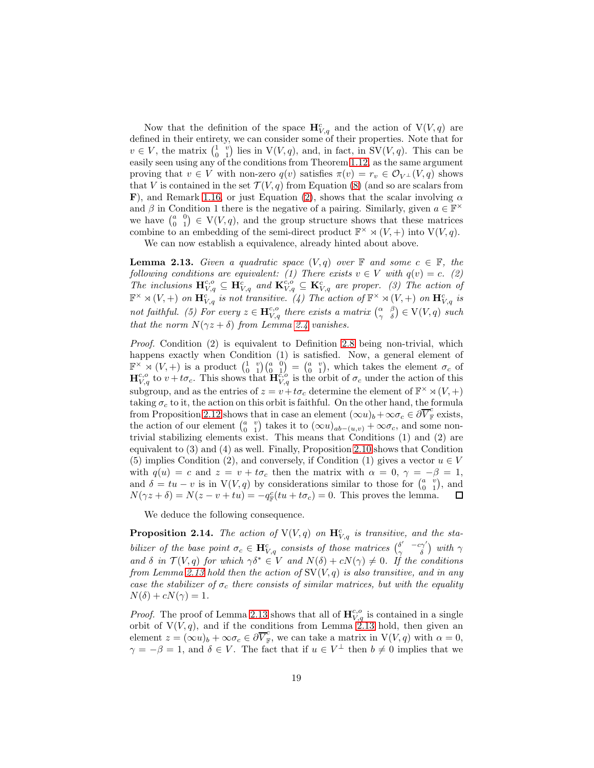Now that the definition of the space  $\mathbf{H}^c_{V,q}$  and the action of  $V(V,q)$  are defined in their entirety, we can consider some of their properties. Note that for  $v \in V$ , the matrix  $\begin{pmatrix} 1 & v \\ 0 & 1 \end{pmatrix}$  lies in  $V(V, q)$ , and, in fact, in  $SV(V, q)$ . This can be easily seen using any of the conditions from Theorem [1.12,](#page-9-0) as the same argument proving that  $v \in V$  with non-zero  $q(v)$  satisfies  $\pi(v) = r_v \in \mathcal{O}_{V^{\perp}}(V, q)$  shows that V is contained in the set  $\mathcal{T}(V, q)$  from Equation [\(8\)](#page-8-1) (and so are scalars from F), and Remark [1.16,](#page-10-2) or just Equation [\(2\)](#page-2-3), shows that the scalar involving  $\alpha$ and  $\beta$  in Condition 1 there is the negative of a pairing. Similarly, given  $a \in \mathbb{F}^{\times}$ we have  $\begin{pmatrix} a & 0 \\ 0 & 1 \end{pmatrix} \in V(V,q)$ , and the group structure shows that these matrices combine to an embedding of the semi-direct product  $\mathbb{F}^{\times} \rtimes (V, +)$  into  $V(V, q)$ .

We can now establish a equivalence, already hinted about above.

<span id="page-18-0"></span>**Lemma 2.13.** Given a quadratic space  $(V, q)$  over  $\mathbb{F}$  and some  $c \in \mathbb{F}$ , the following conditions are equivalent: (1) There exists  $v \in V$  with  $q(v) = c$ . (2) The inclusions  $\mathbf{H}_{V,q}^{c,o} \subseteq \mathbf{H}_{V,q}^{c}$  and  $\mathbf{K}_{V,q}^{c,o} \subseteq \mathbf{K}_{V,q}^{c}$  are proper. (3) The action of  $\mathbb{F}^\times \rtimes (V,+)$  on  $\mathbf{H}_{V,q}^{c}$  is not transitive. (4) The action of  $\mathbb{F}^\times \rtimes (V,+)$  on  $\mathbf{H}_{V,q}^{c}$  is not faithful. (5) For every  $z \in \mathbf{H}_{V,q}^{c,o}$  there exists a matrix  $\begin{pmatrix} \alpha & \beta \\ \gamma & \delta \end{pmatrix} \in V(V,q)$  such that the norm  $N(\gamma z + \delta)$  from Lemma [2.4](#page-13-0) vanishes.

*Proof.* Condition  $(2)$  is equivalent to Definition [2.8](#page-15-0) being non-trivial, which happens exactly when Condition (1) is satisfied. Now, a general element of  $\mathbb{F}^{\times} \rtimes (V,+)$  is a product  $\begin{pmatrix} 1 & v \\ 0 & 1 \end{pmatrix} \begin{pmatrix} a & 0 \\ 0 & 1 \end{pmatrix} = \begin{pmatrix} a & v \\ 0 & 1 \end{pmatrix}$ , which takes the element  $\sigma_c$  of  $\mathbf{H}_{V,q}^{c,o}$  to  $v+t\sigma_c$ . This shows that  $\mathbf{H}_{V,q}^{c,o}$  is the orbit of  $\sigma_c$  under the action of this subgroup, and as the entries of  $z = v + t\sigma_c$  determine the element of  $\mathbb{F}^{\times} \rtimes (V, +)$ taking  $\sigma_c$  to it, the action on this orbit is faithful. On the other hand, the formula from Proposition [2.12](#page-17-0) shows that in case an element  $(\infty u)_b + \infty \sigma_c \in \partial \overline{V}_{\mathbb{F}}^c$  exists, the action of our element  $\begin{pmatrix} a & v \\ 0 & 1 \end{pmatrix}$  takes it to  $(\infty u)_{ab-(u,v)} + \infty \sigma_c$ , and some nontrivial stabilizing elements exist. This means that Conditions (1) and (2) are equivalent to (3) and (4) as well. Finally, Proposition [2.10](#page-16-0) shows that Condition (5) implies Condition (2), and conversely, if Condition (1) gives a vector  $u \in V$ with  $q(u) = c$  and  $z = v + t\sigma_c$  then the matrix with  $\alpha = 0, \gamma = -\beta = 1$ , and  $\delta = tu - v$  is in  $V(V, q)$  by considerations similar to those for  $\begin{pmatrix} a & v \\ 0 & 1 \end{pmatrix}$ , and  $N(\gamma z + \delta) = N(z - v + tu) = -q_{\mathbb{F}}^c(tu + t\sigma_c) = 0.$  This proves the lemma.  $\Box$ 

We deduce the following consequence.

<span id="page-18-1"></span>**Proposition 2.14.** The action of  $V(V,q)$  on  $\mathbf{H}_{V,q}^c$  is transitive, and the stabilizer of the base point  $\sigma_c \in \mathbf{H}^c_{V,q}$  consists of those matrices  $\begin{pmatrix} \delta' & -c\gamma' \\ \gamma & \delta \end{pmatrix}$  with  $\gamma$ and  $\delta$  in  $\mathcal{T}(V, q)$  for which  $\gamma \delta^* \in V$  and  $N(\delta) + cN(\gamma) \neq 0$ . If the conditions from Lemma [2.13](#page-18-0) hold then the action of  $SV(V, q)$  is also transitive, and in any case the stabilizer of  $\sigma_c$  there consists of similar matrices, but with the equality  $N(\delta) + cN(\gamma) = 1.$ 

*Proof.* The proof of Lemma [2.13](#page-18-0) shows that all of  $\mathbf{H}_{V,q}^{c,o}$  is contained in a single orbit of  $V(V, q)$ , and if the conditions from Lemma [2.13](#page-18-0) hold, then given an element  $z = (\infty u)_b + \infty \sigma_c \in \partial \overline{V}_{\mathbb{F}}^c$ , we can take a matrix in  $V(V, q)$  with  $\alpha = 0$ ,  $\gamma = -\beta = 1$ , and  $\delta \in V$ . The fact that if  $u \in V^{\perp}$  then  $b \neq 0$  implies that we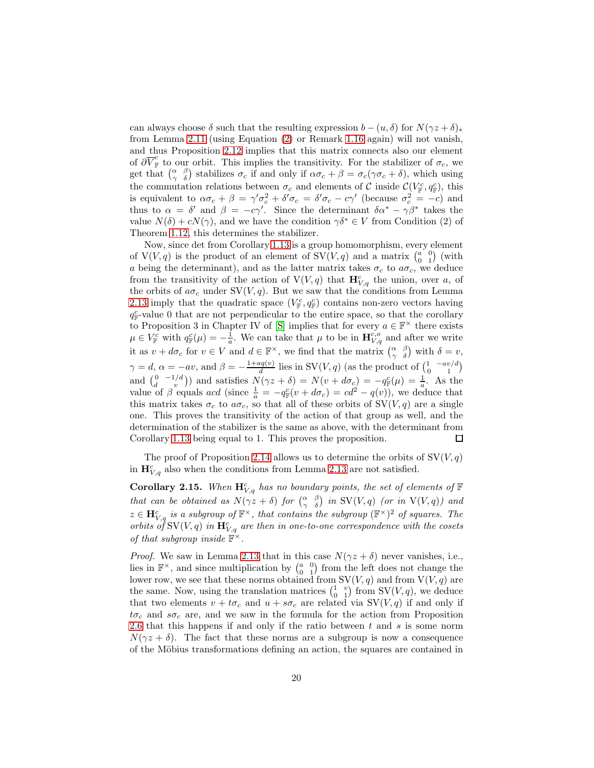can always choose  $\delta$  such that the resulting expression  $b - (u, \delta)$  for  $N(\gamma z + \delta)_*$ from Lemma [2.11](#page-16-1) (using Equation [\(2\)](#page-2-3) or Remark [1.16](#page-10-2) again) will not vanish, and thus Proposition [2.12](#page-17-0) implies that this matrix connects also our element of  $\partial \overline{V}_{\mathbb{F}}^c$  to our orbit. This implies the transitivity. For the stabilizer of  $\sigma_c$ , we get that  $\begin{pmatrix} \alpha & \beta \\ \gamma & \delta \end{pmatrix}$  stabilizes  $\sigma_c$  if and only if  $\alpha \sigma_c + \beta = \sigma_c(\gamma \sigma_c + \delta)$ , which using the commutation relations between  $\sigma_c$  and elements of C inside  $\mathcal{C}(V_{\mathbb{F}}^c, q_{\mathbb{F}}^c)$ , this is equivalent to  $\alpha \sigma_c + \beta = \gamma' \sigma_c^2 + \delta' \sigma_c = \delta' \sigma_c - c \gamma'$  (because  $\sigma_c^2 = -c$ ) and thus to  $\alpha = \delta'$  and  $\beta = -c\gamma'$ . Since the determinant  $\delta \alpha^* - \gamma \beta^*$  takes the value  $N(\delta) + cN(\gamma)$ , and we have the condition  $\gamma \delta^* \in V$  from Condition (2) of Theorem [1.12,](#page-9-0) this determines the stabilizer.

Now, since det from Corollary [1.13](#page-9-1) is a group homomorphism, every element of  $V(V, q)$  is the product of an element of  $SV(V, q)$  and a matrix  $\begin{pmatrix} a & 0 \\ 0 & 1 \end{pmatrix}$  (with a being the determinant), and as the latter matrix takes  $\sigma_c$  to  $a\sigma_c$ , we deduce from the transitivity of the action of  $V(V,q)$  that  $\mathbf{H}_{V,q}^c$  the union, over a, of the orbits of  $a\sigma_c$  under SV(V, q). But we saw that the conditions from Lemma [2.13](#page-18-0) imply that the quadratic space  $(V_{\mathbb{F}}^c, q_{\mathbb{F}}^c)$  contains non-zero vectors having  $q_{\mathbb{F}}^c$ -value 0 that are not perpendicular to the entire space, so that the corollary to Proposition 3 in Chapter IV of [S] implies that for every  $a \in \mathbb{F}^\times$  there exists  $\mu \in V_{\mathbb{F}}^c$  with  $q_{\mathbb{F}}^c(\mu) = -\frac{1}{a}$ . We can take that  $\mu$  to be in  $\mathbf{H}_{V,q}^{c,\sigma}$  and after we write it as  $v + d\sigma_c$  for  $v \in V$  and  $d \in \mathbb{F}^\times$ , we find that the matrix  $\begin{pmatrix} \alpha & \beta \\ \gamma & \delta \end{pmatrix}$  with  $\delta = v$ ,  $\frac{uq(v)}{d}$  lies in SV(V, q) (as the product of  $\begin{pmatrix} 1 & -av/d \\ 0 & 1 \end{pmatrix}$  $\gamma = d, \, \alpha = -av, \text{ and } \beta = -\frac{1 + aq(v)}{d}$ and  $\begin{pmatrix} 0 & -1/d \\ d & v \end{pmatrix}$  and satisfies  $N(\gamma z + \delta) = N(v + d\sigma_c) = -q_F^c(\mu) = \frac{1}{a}$ . As the value of  $\beta$  equals acd (since  $\frac{1}{a} = -q_{\mathbb{F}}^c(v + d\sigma_c) = cd^2 - q(v)$ ), we deduce that this matrix takes  $\sigma_c$  to  $a\sigma_c$ , so that all of these orbits of  $SV(V, q)$  are a single one. This proves the transitivity of the action of that group as well, and the determination of the stabilizer is the same as above, with the determinant from Corollary [1.13](#page-9-1) being equal to 1. This proves the proposition. □

The proof of Proposition [2.14](#page-18-1) allows us to determine the orbits of  $SV(V, q)$ in  $\mathbf{H}_{V,q}^c$  also when the conditions from Lemma [2.13](#page-18-0) are not satisfied.

<span id="page-19-0"></span>**Corollary 2.15.** When  $\mathbf{H}_{V,q}^c$  has no boundary points, the set of elements of  $\mathbb F$ that can be obtained as  $N(\gamma z + \delta)$  for  $\begin{pmatrix} \alpha & \beta \\ \gamma & \delta \end{pmatrix}$  in SV(V, q) (or in V(V, q)) and  $z \in \mathbf{H}^c_{V,q}$  is a subgroup of  $\mathbb{F}^\times$ , that contains the subgroup  $(\mathbb{F}^\times)^2$  of squares. The orbits of SV(V, q) in  $\mathbf{H}^c_{V,q}$  are then in one-to-one correspondence with the cosets of that subgroup inside  $\mathbb{F}^{\times}$ .

*Proof.* We saw in Lemma [2.13](#page-18-0) that in this case  $N(\gamma z + \delta)$  never vanishes, i.e., lies in  $\mathbb{F}^{\times}$ , and since multiplication by  $\begin{pmatrix} a & 0 \\ 0 & 1 \end{pmatrix}$  from the left does not change the lower row, we see that these norms obtained from  $SV(V, q)$  and from  $V(V, q)$  are the same. Now, using the translation matrices  $\begin{pmatrix} 1 & v \\ 0 & 1 \end{pmatrix}$  from SV(V, q), we deduce that two elements  $v + t\sigma_c$  and  $u + s\sigma_c$  are related via SV(V, q) if and only if  $t\sigma_c$  and  $s\sigma_c$  are, and we saw in the formula for the action from Proposition [2.6](#page-14-0) that this happens if and only if the ratio between  $t$  and  $s$  is some norm  $N(\gamma z + \delta)$ . The fact that these norms are a subgroup is now a consequence of the Möbius transformations defining an action, the squares are contained in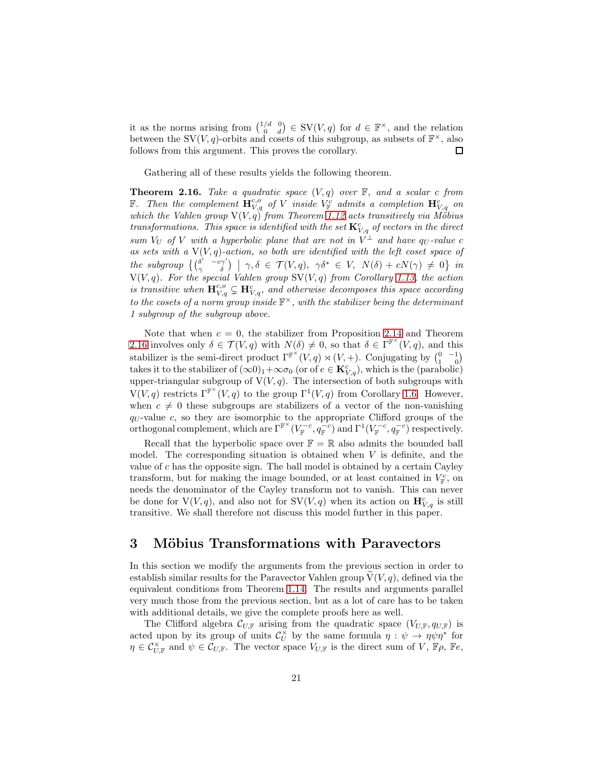it as the norms arising from  $\binom{1/d}{0}$   $\in$  SV(V, q) for  $d \in \mathbb{F}^{\times}$ , and the relation between the SV(V, q)-orbits and cosets of this subgroup, as subsets of  $\mathbb{F}^{\times}$ , also follows from this argument. This proves the corollary. □

Gathering all of these results yields the following theorem.

<span id="page-20-0"></span>**Theorem 2.16.** Take a quadratic space  $(V, q)$  over  $\mathbb{F}$ , and a scalar c from **F**. Then the complement  $\mathbf{H}_{V,q}^{c,o}$  of V inside  $V_{\mathbb{F}}^c$  admits a completion  $\mathbf{H}_{V,q}^c$  on which the Vahlen group  $V(V, q)$  from Theorem [1.12](#page-9-0) acts transitively via Möbius transformations. This space is identified with the set  $\mathbf{K}_{V,q}^c$  of vectors in the direct sum  $V_U$  of V with a hyperbolic plane that are not in  $\hat{V}^{\perp}$  and have  $q_U$ -value c as sets with a  $V(V, q)$ -action, so both are identified with the left coset space of  $the \; subgroup \; \{ \left( \begin{matrix} \delta' & -c\gamma' \ \gamma & \delta \end{matrix} \right) \; \mid \; \gamma, \delta \; \in \; \mathcal{T}(V, q), \; \; \gamma \delta^* \; \in \; V, \; \; N(\delta) \; + \; cN(\gamma) \; \neq \; 0 \} \; \; in$  $V(V, q)$ . For the special Vahlen group  $SV(V, q)$  from Corollary [1.13,](#page-9-1) the action is transitive when  $\mathbf{H}_{V,q}^{c,o} \subsetneq \mathbf{H}_{V,q}^{c}$ , and otherwise decomposes this space according to the cosets of a norm group inside  $\mathbb{F}^{\times}$ , with the stabilizer being the determinant 1 subgroup of the subgroup above.

Note that when  $c = 0$ , the stabilizer from Proposition [2.14](#page-18-1) and Theorem [2.16](#page-20-0) involves only  $\delta \in \mathcal{T}(V, q)$  with  $N(\delta) \neq 0$ , so that  $\delta \in \Gamma^{\mathbb{F}^{\times}}(V, q)$ , and this stabilizer is the semi-direct product  $\Gamma^{\mathbb{F}^{\times}}(V,q) \rtimes (V,+)$ . Conjugating by  $\begin{pmatrix} 0 & -1 \\ 1 & 0 \end{pmatrix}$ takes it to the stabilizer of  $(\infty 0)_1 + \infty \sigma_0$  (or of  $e \in \mathbf{K}_{V,q}^c$ ), which is the (parabolic) upper-triangular subgroup of  $V(V, q)$ . The intersection of both subgroups with  $V(V, q)$  restricts  $\Gamma^{\mathbb{F}^{\times}}(V, q)$  to the group  $\Gamma^1(V, q)$  from Corollary [1.6.](#page-5-1) However, when  $c \neq 0$  these subgroups are stabilizers of a vector of the non-vanishing  $q_U$ -value c, so they are isomorphic to the appropriate Clifford groups of the orthogonal complement, which are  $\Gamma^{\mathbb{F}^{\times}}(V_{\mathbb{F}}^{-c}, q_{\mathbb{F}}^{-c})$  and  $\Gamma^{1}(V_{\mathbb{F}}^{-c}, q_{\mathbb{F}}^{-c})$  respectively.

Recall that the hyperbolic space over  $\mathbb{F} = \mathbb{R}$  also admits the bounded ball model. The corresponding situation is obtained when  $V$  is definite, and the value of  $c$  has the opposite sign. The ball model is obtained by a certain Cayley transform, but for making the image bounded, or at least contained in  $V_{\mathbb{F}}^c$ , on needs the denominator of the Cayley transform not to vanish. This can never be done for  $V(V, q)$ , and also not for  $SV(V, q)$  when its action on  $\mathbf{H}^c_{V,q}$  is still transitive. We shall therefore not discuss this model further in this paper.

### <span id="page-20-1"></span>3 Möbius Transformations with Paravectors

In this section we modify the arguments from the previous section in order to establish similar results for the Paravector Vahlen group  $V(V, q)$ , defined via the equivalent conditions from Theorem [1.14.](#page-10-0) The results and arguments parallel very much those from the previous section, but as a lot of care has to be taken with additional details, we give the complete proofs here as well.

The Clifford algebra  $\mathcal{C}_{U,\mathbb{F}}$  arising from the quadratic space  $(V_{U,\mathbb{F}}, q_{U,\mathbb{F}})$  is acted upon by its group of units  $\mathcal{C}_U^{\times}$  $\check{\check{\nu}}$  by the same formula  $\eta : \check{\psi} \to \eta \psi \eta^*$  for  $\eta \in \mathcal{C}_{U,\mathbb{F}}^{\times}$  and  $\psi \in \mathcal{C}_{U,\mathbb{F}}$ . The vector space  $V_{U,\mathbb{F}}$  is the direct sum of  $V$ ,  $\mathbb{F}\rho$ ,  $\mathbb{F}e$ ,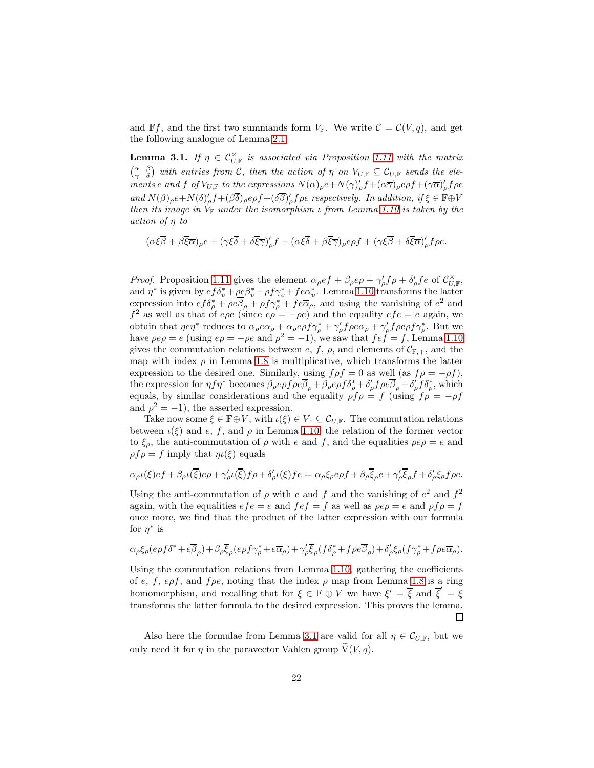and  $\mathbb{F}f$ , and the first two summands form  $V_{\mathbb{F}}$ . We write  $\mathcal{C} = \mathcal{C}(V, q)$ , and get the following analogue of Lemma [2.1.](#page-11-1)

<span id="page-21-0"></span>**Lemma 3.1.** If  $\eta \in C_{U,\mathbb{F}}^{\times}$  is associated via Proposition [1.11](#page-8-0) with the matrix  $\begin{pmatrix} \alpha & \beta \\ \gamma & \delta \end{pmatrix}$  with entries from C, then the action of  $\eta$  on  $V_{U,\mathbb{F}} \subseteq \mathcal{C}_{U,\mathbb{F}}$  sends the elements e and f of  $V_{U,\mathbb{F}}$  to the expressions  $N(\alpha)_{\rho}e+N(\gamma)_{\rho}'f+(\alpha\overline{\gamma})_{\rho}e\rho f+(\gamma\overline{\alpha})_{\rho}'f\rho e$ and  $N(\beta)_{\rho}e+N(\delta)_{\rho}'f+(\beta\overline{\delta})_{\rho}e\rho f+(\delta\overline{\beta})_{\rho}'f\rho e$  respectively. In addition, if  $\xi \in \mathbb{F} \oplus V$ then its image in  $V_F$  under the isomorphism  $\iota$  from Lemma [1.10](#page-7-0) is taken by the action of η to

$$
(\alpha\xi\overline{\beta}+\beta\overline{\xi}\overline{\alpha})_\rho e+(\gamma\xi\overline{\delta}+\delta\overline{\xi}\overline{\gamma})_\rho' f+(\alpha\xi\overline{\delta}+\beta\overline{\xi}\overline{\gamma})_\rho e\rho f+(\gamma\xi\overline{\beta}+\delta\overline{\xi}\overline{\alpha})_\rho' f\rho e.
$$

*Proof.* Proposition [1.11](#page-8-0) gives the element  $\alpha_\rho e f + \beta_\rho e \rho + \gamma'_\rho f \rho + \delta'_\rho f e$  of  $\mathcal{C}_{U,\mathbb{F}}^\times$ , and  $\eta^*$  is given by  $ef\delta_v^* + \rho e\beta_v^* + \rho f\gamma_v^* + fe\alpha_v^*$ . Lemma [1.10](#page-7-0) transforms the latter expression into  $ef\delta^*_{\rho} + \rho e\overline{\beta}_{\rho} + \rho f\gamma^*_{\rho} + f e\overline{\alpha}_{\rho}$ , and using the vanishing of  $e^2$  and  $f^2$  as well as that of  $e\rho e$  (since  $e\rho = -\rho e$ ) and the equality  $e f e = e$  again, we obtain that  $\eta e \eta^*$  reduces to  $\alpha_\rho e \overline{\alpha}_\rho + \alpha_\rho e \rho f \gamma_\rho^* + \gamma_\rho' f \rho e \overline{\alpha}_\rho + \gamma_\rho' f \rho e \rho f \gamma_\rho^*$ . But we have  $\rho e \rho = e$  (using  $e\rho = -\rho e$  and  $\rho^2 = -1$ ), we saw that  $f e f = f$ , Lemma [1.10](#page-7-0) gives the commutation relations between e, f,  $\rho$ , and elements of  $\mathcal{C}_{\mathbb{F},+}$ , and the map with index  $\rho$  in Lemma [1.8](#page-6-1) is multiplicative, which transforms the latter expression to the desired one. Similarly, using  $f \rho f = 0$  as well (as  $f \rho = -\rho f$ ), the expression for  $\eta f \eta^*$  becomes  $\beta_\rho e \rho f \rho e \overline{\beta}_\rho + \beta_\rho e \rho f \delta_\rho^* + \delta_\rho f \rho e \overline{\beta}_\rho + \delta_\rho f \delta_\rho^*$ , which equals, by similar considerations and the equality  $\rho f \rho = f$  (using  $f \rho = -\rho f$ and  $\rho^2 = -1$ , the asserted expression.

Take now some  $\xi \in \mathbb{F} \oplus V$ , with  $\iota(\xi) \in V_{\mathbb{F}} \subseteq \mathcal{C}_{U,\mathbb{F}}$ . The commutation relations between  $\iota(\xi)$  and  $e, f$ , and  $\rho$  in Lemma [1.10,](#page-7-0) the relation of the former vector to  $\xi_{\rho}$ , the anti-commutation of  $\rho$  with e and f, and the equalities  $\rho e \rho = e$  and  $\rho f \rho = f$  imply that  $\eta \iota(\xi)$  equals

$$
\alpha_{\rho}\iota(\xi)ef + \beta_{\rho}\iota(\overline{\xi})e\rho + \gamma'_{\rho}\iota(\overline{\xi})f\rho + \delta'_{\rho}\iota(\xi)fe = \alpha_{\rho}\xi_{\rho}e\rho f + \beta_{\rho}\overline{\xi}_{\rho}e + \gamma'_{\rho}\overline{\xi}_{\rho}f + \delta'_{\rho}\xi_{\rho}f\rho e.
$$

Using the anti-commutation of  $\rho$  with e and f and the vanishing of  $e^2$  and  $f^2$ again, with the equalities  $efe = e$  and  $fef = f$  as well as  $\rho e \rho = e$  and  $\rho f \rho = f$ once more, we find that the product of the latter expression with our formula for  $\eta^*$  is

$$
\alpha_{\rho}\xi_{\rho}(e\rho f\delta^* + e\overline{\beta}_{\rho}) + \beta_{\rho}\overline{\xi}_{\rho}(e\rho f\gamma_{\rho}^* + e\overline{\alpha}_{\rho}) + \gamma_{\rho}'\overline{\xi}_{\rho}(f\delta_{\rho}^* + f\rho e\overline{\beta}_{\rho}) + \delta_{\rho}'\xi_{\rho}(f\gamma_{\rho}^* + f\rho e\overline{\alpha}_{\rho}).
$$

Using the commutation relations from Lemma [1.10,](#page-7-0) gathering the coefficients of e, f, epf, and  $f \rho e$ , noting that the index  $\rho$  map from Lemma [1.8](#page-6-1) is a ring homomorphism, and recalling that for  $\xi \in \mathbb{F} \oplus V$  we have  $\xi' = \overline{\xi}$  and  $\overline{\xi}' = \xi$ transforms the latter formula to the desired expression. This proves the lemma.  $\Box$ 

Also here the formulae from Lemma [3.1](#page-21-0) are valid for all  $\eta \in C_{U,\mathbb{F}}$ , but we only need it for  $\eta$  in the paravector Vahlen group  $V(V, q)$ .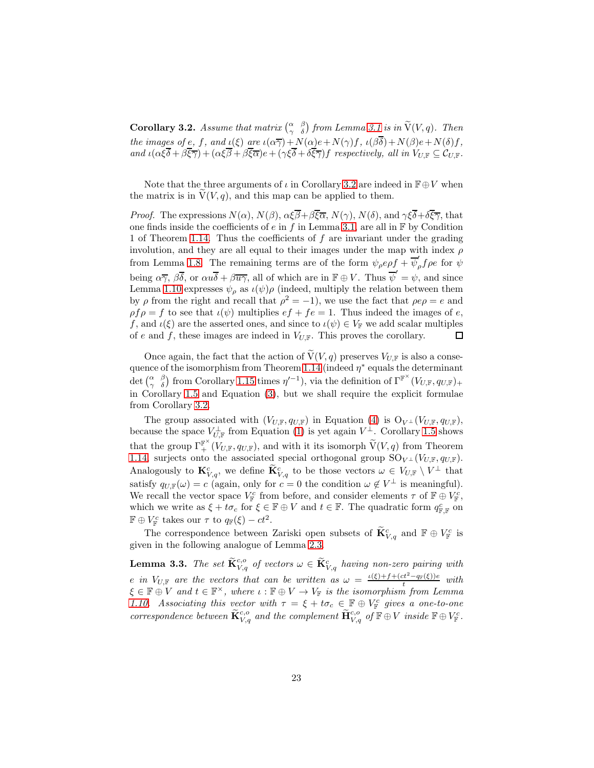<span id="page-22-0"></span>**Corollary 3.2.** Assume that matrix  $\begin{pmatrix} \alpha & \beta \\ \gamma & \delta \end{pmatrix}$  from Lemma [3.1](#page-21-0) is in  $\widetilde{V}(V, q)$ . Then the images of e, f, and  $\iota(\xi)$  are  $\iota(\alpha \overline{\gamma})+N(\alpha)e+N(\gamma)f$ ,  $\iota(\beta \overline{\delta})+N(\beta)e+N(\delta)f$ , and  $\iota(\alpha \xi \overline{\delta} + \beta \overline{\xi \overline{\gamma}}) + (\alpha \xi \overline{\beta} + \beta \overline{\xi \overline{\alpha}})e + (\gamma \xi \overline{\delta} + \delta \overline{\xi \overline{\gamma}})f$  respectively, all in  $V_{U,\mathbb{F}} \subseteq C_{U,\mathbb{F}}$ .

Note that the three arguments of  $\iota$  in Corollary [3.2](#page-22-0) are indeed in  $\mathbb{F} \oplus V$  when the matrix is in  $V(V, q)$ , and this map can be applied to them.

*Proof.* The expressions  $N(\alpha)$ ,  $N(\beta)$ ,  $\alpha \xi \overline{\beta} + \beta \overline{\xi} \overline{\alpha}$ ,  $N(\gamma)$ ,  $N(\delta)$ , and  $\gamma \xi \overline{\delta} + \delta \overline{\xi} \overline{\gamma}$ , that one finds inside the coefficients of e in f in Lemma [3.1,](#page-21-0) are all in  $\mathbb F$  by Condition 1 of Theorem [1.14.](#page-10-0) Thus the coefficients of  $f$  are invariant under the grading involution, and they are all equal to their images under the map with index  $\rho$ from Lemma [1.8.](#page-6-1) The remaining terms are of the form  $\psi_{\rho}e\rho f + \overline{\psi}_{\rho}' f\rho e$  for  $\psi$ being  $\alpha \overline{\gamma}$ ,  $\beta \overline{\delta}$ , or  $\alpha u \overline{\delta} + \beta \overline{u} \overline{\gamma}$ , all of which are in  $\mathbb{F} \oplus V$ . Thus  $\overline{\psi}' = \psi$ , and since Lemma [1.10](#page-7-0) expresses  $\psi_{\rho}$  as  $\iota(\psi)$  (indeed, multiply the relation between them by  $\rho$  from the right and recall that  $\rho^2 = -1$ , we use the fact that  $\rho e \rho = e$  and  $\rho f \rho = f$  to see that  $\iota(\psi)$  multiplies  $ef + fe = 1$ . Thus indeed the images of e, f, and  $\iota(\xi)$  are the asserted ones, and since to  $\iota(\psi) \in V_{\mathbb{F}}$  we add scalar multiples of e and f, these images are indeed in  $V_{U,\mathbb{F}}$ . This proves the corollary.  $\Box$ 

Once again, the fact that the action of  $\widetilde{V}(V, q)$  preserves  $V_{U,\mathbb{F}}$  is also a conse-quence of the isomorphism from Theorem [1.14](#page-10-0) (indeed  $\eta^*$  equals the determinant det  $\begin{pmatrix} \alpha & \beta \\ \gamma & \delta \end{pmatrix}$  from Corollary [1.15](#page-10-1) times  $\eta'^{-1}$ , via the definition of  $\Gamma^{\mathbb{F}^{\times}}(V_{U,\mathbb{F}},q_{U,\mathbb{F}})$ + in Corollary [1.5](#page-5-0) and Equation [\(3\)](#page-2-1), but we shall require the explicit formulae from Corollary [3.2.](#page-22-0)

The group associated with  $(V_{U,\mathbb{F}}, q_{U,\mathbb{F}})$  in Equation [\(4\)](#page-2-4) is  $O_{V^{\perp}}(V_{U,\mathbb{F}}, q_{U,\mathbb{F}})$ , because the space  $V_{U,\mathbb{F}}^{\perp}$  from Equation [\(1\)](#page-2-2) is yet again  $V^{\perp}$ . Corollary [1.5](#page-5-0) shows that the group  $\Gamma^{\mathbb{F}^{\times}}_+ (V_{U,\mathbb{F}}, q_{U,\mathbb{F}})$ , and with it its isomorph  $\widetilde{V}(V, q)$  from Theorem [1.14,](#page-10-0) surjects onto the associated special orthogonal group  $\mathrm{SO}_{V^\perp}(V_{U,\mathbb{F}}, q_{U,\mathbb{F}})$ . Analogously to  $\mathbf{K}_{V,q}^c$ , we define  $\widetilde{\mathbf{K}}_{V,q}^c$  to be those vectors  $\omega \in V_{U,\mathbb{F}} \setminus V^{\perp}$  that satisfy  $q_{U,\mathbb{F}}(\omega) = c$  (again, only for  $c = 0$  the condition  $\omega \notin V^{\perp}$  is meaningful). We recall the vector space  $V_{\mathbb{F}}^c$  from before, and consider elements  $\tau$  of  $\mathbb{F} \oplus V_{\mathbb{F}}^c$ , which we write as  $\xi + t\sigma_c$  for  $\xi \in \mathbb{F} \oplus V$  and  $t \in \mathbb{F}$ . The quadratic form  $q_{\mathbb{F},\mathbb{F}}^c$  on  $\mathbb{F} \oplus V^c_{\mathbb{F}}$  takes our  $\tau$  to  $q_{\mathbb{F}}(\xi) - ct^2$ .

The correspondence between Zariski open subsets of  $\mathbf{K}_{V,q}^c$  and  $\mathbb{F} \oplus V_{\mathbb{F}}^c$  is given in the following analogue of Lemma [2.3.](#page-12-1)

<span id="page-22-1"></span>**Lemma 3.3.** The set  $\widetilde{\mathbf{K}}_{V,q}^{c,o}$  of vectors  $\omega \in \widetilde{\mathbf{K}}_{V,q}^{c}$  having non-zero pairing with e in V<sub>U,F</sub> are the vectors that can be written as  $\omega = \frac{\iota(\xi) + f + (ct^2 - q_F(\xi))e}{t}$  $\frac{c_t - q_F(\xi)}{t}$  with  $\xi \in \mathbb{F} \oplus V$  and  $t \in \mathbb{F}^\times$ , where  $\iota : \mathbb{F} \oplus V \to V_{\mathbb{F}}$  is the isomorphism from Lemma [1.10.](#page-7-0) Associating this vector with  $\tau = \xi + t\sigma_c \in \mathbb{F} \oplus V_{\mathbb{F}}^c$  gives a one-to-one correspondence between  $\widetilde{\mathbf{K}}_{V,q}^{c,o}$  and the complement  $\widetilde{\mathbf{H}}_{V,q}^{c,o}$  of  $\mathbb{F} \oplus V$  inside  $\mathbb{F} \oplus V_{\mathbb{F}}^{c}$ .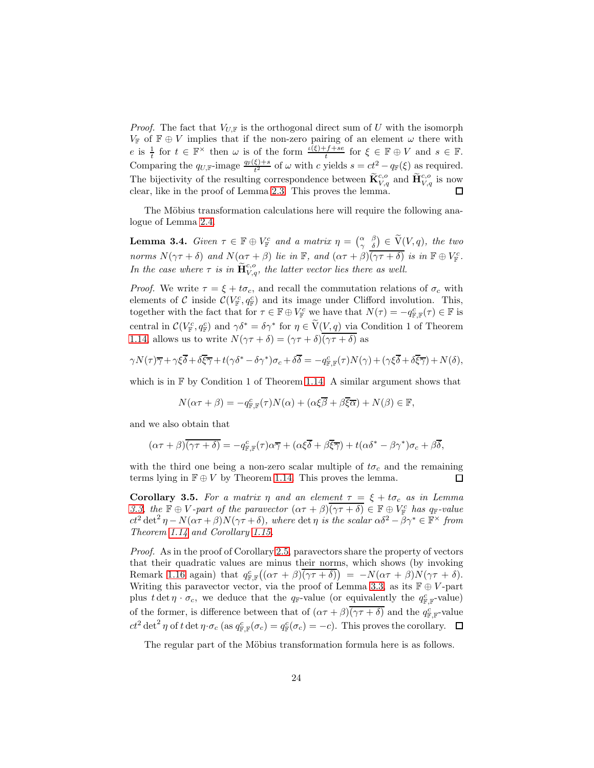*Proof.* The fact that  $V_{U,\mathbb{F}}$  is the orthogonal direct sum of U with the isomorph  $V_{\mathbb{F}}$  of  $\mathbb{F} \oplus V$  implies that if the non-zero pairing of an element  $\omega$  there with e is  $\frac{1}{t}$  for  $t \in \mathbb{F}^\times$  then  $\omega$  is of the form  $\frac{\iota(\xi)+f+se}{t}$  for  $\xi \in \mathbb{F} \oplus V$  and  $s \in \mathbb{F}$ . Comparing the  $q_{U,\mathbb{F}}$ -image  $\frac{q_{\mathbb{F}}(\xi)+s}{t^2}$  of  $\omega$  with c yields  $s = ct^2 - q_{\mathbb{F}}(\xi)$  as required. The bijectivity of the resulting correspondence between  $\widetilde{\mathbf{K}}_{V,q}^{c,o}$  and  $\widetilde{\mathbf{H}}_{V,q}^{c,o}$  is now clear, like in the proof of Lemma [2.3.](#page-12-1) This proves the lemma.

The Möbius transformation calculations here will require the following analogue of Lemma [2.4.](#page-13-0)

<span id="page-23-0"></span>**Lemma 3.4.** Given  $\tau \in \mathbb{F} \oplus V_{\mathbb{F}}^c$  and a matrix  $\eta = \begin{pmatrix} \alpha & \beta \\ \gamma & \delta \end{pmatrix} \in \widetilde{V}(V, q)$ , the two norms  $N(\gamma \tau + \delta)$  and  $N(\alpha \tau + \beta)$  lie in F, and  $(\alpha \tau + \beta)$  $\overline{(\gamma \tau + \delta)}$  is in  $\mathbb{F} \oplus V_{\mathbb{F}}^c$ . In the case where  $\tau$  is in  $\tilde{\mathbf{H}}_{V,q}^{c,o}$ , the latter vector lies there as well.

*Proof.* We write  $\tau = \xi + t\sigma_c$ , and recall the commutation relations of  $\sigma_c$  with elements of C inside  $\mathcal{C}(V_{\mathbb{F}}^c, q_{\mathbb{F}}^c)$  and its image under Clifford involution. This, together with the fact that for  $\tau \in \mathbb{F} \oplus V^c_{\mathbb{F}}$  we have that  $N(\tau) = -q^c_{\mathbb{F},\mathbb{F}}(\tau) \in \mathbb{F}$  is central in  $\mathcal{C}(V_{\mathbb{F}}^c, q_{\mathbb{F}}^c)$  and  $\gamma \delta^* = \delta \gamma^*$  for  $\eta \in \widetilde{V}(V, q)$  via Condition 1 of Theorem [1.14,](#page-10-0) allows us to write  $N(\gamma \tau + \delta) = (\gamma \tau + \delta)(\overline{\gamma \tau + \delta})$  as

$$
\gamma N(\tau)\overline{\gamma} + \gamma \xi \overline{\delta} + \delta \overline{\xi} \overline{\gamma} + t(\gamma \delta^* - \delta \gamma^*) \sigma_c + \delta \overline{\delta} = -q_{\mathbb{F}, \mathbb{F}}^c(\tau)N(\gamma) + (\gamma \xi \overline{\delta} + \delta \overline{\xi} \overline{\gamma}) + N(\delta),
$$

which is in  $\mathbb F$  by Condition 1 of Theorem [1.14.](#page-10-0) A similar argument shows that

$$
N(\alpha \tau + \beta) = -q_{\mathbb{F}, \mathbb{F}}^c(\tau)N(\alpha) + (\alpha \xi \overline{\beta} + \beta \overline{\xi} \overline{\alpha}) + N(\beta) \in \mathbb{F},
$$

and we also obtain that

$$
(\alpha \tau + \beta)(\overline{\gamma \tau + \delta}) = -q_{\mathbb{F}, \mathbb{F}}^c(\tau)\alpha \overline{\gamma} + (\alpha \xi \overline{\delta} + \beta \overline{\xi} \overline{\gamma}) + t(\alpha \delta^* - \beta \gamma^*) \sigma_c + \beta \overline{\delta},
$$

with the third one being a non-zero scalar multiple of  $t\sigma_c$  and the remaining terms lying in  $\mathbb{F} \oplus V$  by Theorem [1.14.](#page-10-0) This proves the lemma. 口

<span id="page-23-1"></span>Corollary 3.5. For a matrix  $\eta$  and an element  $\tau = \xi + t\sigma_c$  as in Lemma [3.3,](#page-22-1) the  $\mathbb{F} \oplus V$ -part of the paravector  $(\alpha \tau + \beta)(\gamma \tau + \delta) \in \mathbb{F} \oplus V_{\mathbb{F}}^c$  has  $q_{\mathbb{F}}$ -value  $ct^2 det^2 \eta - N(\alpha \tau + \beta) N(\gamma \tau + \delta)$ , where det  $\eta$  is the scalar  $\alpha \delta^2 - \beta \gamma^* \in \mathbb{F}^\times$  from Theorem [1.14](#page-10-0) and Corollary [1.15.](#page-10-1)

Proof. As in the proof of Corollary [2.5,](#page-13-1) paravectors share the property of vectors that their quadratic values are minus their norms, which shows (by invoking Remark [1.16](#page-10-2) again) that  $q_{\mathbb{F},\mathbb{F}}^c((\alpha\tau+\beta)(\overline{\gamma\tau+\delta})) = -N(\alpha\tau+\beta)N(\gamma\tau+\delta).$ Writing this paravector vector, via the proof of Lemma [3.3,](#page-22-1) as its  $\mathbb{F} \oplus V$ -part plus  $t \det \eta \cdot \sigma_c$ , we deduce that the  $q_F$ -value (or equivalently the  $q_{\mathbb{F},\mathbb{F}}^c$ -value) of the former, is difference between that of  $(\alpha \tau + \beta)(\overline{\gamma \tau + \delta})$  and the  $q_{\mathbb{F}, \mathbb{F}}^c$ -value  $ct^2 \det^2 \eta$  of t det  $\eta \cdot \sigma_c$  (as  $q_{\mathbb{F},\mathbb{F}}^c(\sigma_c) = q_{\mathbb{F}}^c(\sigma_c) = -c$ ). This proves the corollary.

The regular part of the Möbius transformation formula here is as follows.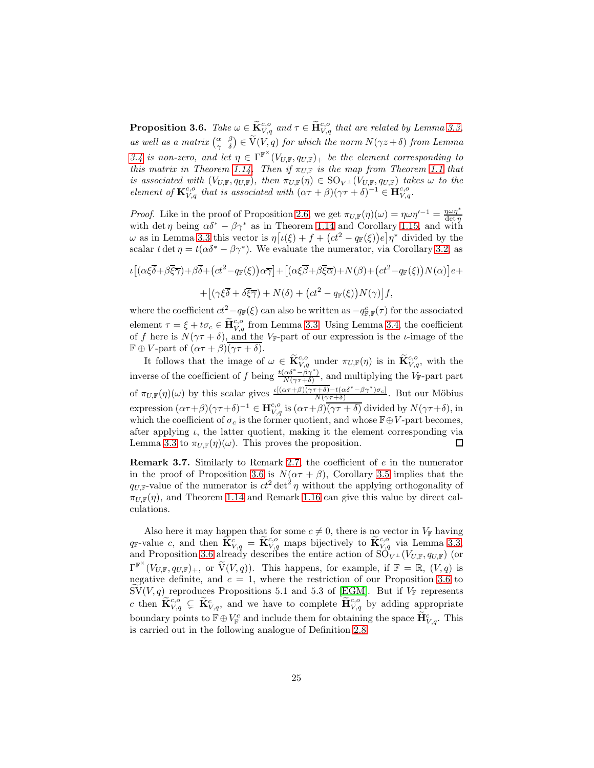<span id="page-24-0"></span>**Proposition 3.6.** Take  $\omega \in \widetilde{\mathbf{K}}_{V,q}^{c,o}$  and  $\tau \in \widetilde{\mathbf{H}}_{V,q}^{c,o}$  that are related by Lemma [3.3,](#page-22-1) as well as a matrix  $\begin{pmatrix} \alpha & \beta \\ \gamma & \delta \end{pmatrix} \in \widetilde{V}(V,q)$  for which the norm  $N(\gamma z + \delta)$  from Lemma [3.4](#page-23-0) is non-zero, and let  $\eta \in \Gamma^{\mathbb{F}^{\times}}(V_{U,\mathbb{F}}, q_{U,\mathbb{F}})$  be the element corresponding to this matrix in Theorem [1.14.](#page-10-0) Then if  $\pi_{U,\mathbb{F}}$  is the map from Theorem [1.1](#page-3-1) that is associated with  $(V_{U,\mathbb{F}}, q_{U,\mathbb{F}})$ , then  $\pi_{U,\mathbb{F}}(\eta) \in \mathrm{SO}_{V^{\perp}}(V_{U,\mathbb{F}}, q_{U,\mathbb{F}})$  takes  $\omega$  to the element of  $\mathbf{K}_{V,q}^{c,o}$  that is associated with  $(\alpha \tau + \beta)(\gamma \tau + \delta)^{-1} \in \mathbf{H}_{V,q}^{c,o}$ .

*Proof.* Like in the proof of Proposition [2.6,](#page-14-0) we get  $\pi_{U,\mathbb{F}}(\eta)(\omega) = \eta \omega \eta'^{-1} = \frac{\eta \omega \eta^*}{\det \eta}$  with det  $\eta$  being  $\alpha \delta^* - \beta \gamma^*$  as in Theorem [1.14](#page-10-0) and Corollary [1.15,](#page-10-1) and with  $ω$  as in Lemma [3.3](#page-22-1) this vector is  $η[ι(ξ) + f + (ct<sup>2</sup> – q<sub>Γ</sub>(ξ))e]η<sup>*</sup>$  divided by the scalar t det  $\eta = t(\alpha \delta^* - \beta \gamma^*)$ . We evaluate the numerator, via Corollary [3.2,](#page-22-0) as

$$
\iota \left[ (\alpha \xi \overline{\delta} + \beta \overline{\xi} \overline{\gamma}) + \beta \overline{\delta} + \left( ct^2 - q_{\mathbb{F}}(\xi) \right) \alpha \overline{\gamma} \right] + \left[ (\alpha \xi \overline{\beta} + \beta \overline{\xi} \overline{\alpha}) + N(\beta) + \left( ct^2 - q_{\mathbb{F}}(\xi) \right) N(\alpha) \right] e +
$$
  
+ 
$$
\left[ (\gamma \xi \overline{\delta} + \delta \overline{\xi} \overline{\gamma}) + N(\delta) + \left( ct^2 - q_{\mathbb{F}}(\xi) \right) N(\gamma) \right] f,
$$

where the coefficient  $ct^2 - q_{\mathbb{F}}(\xi)$  can also be written as  $-q_{\mathbb{F},\mathbb{F}}^c(\tau)$  for the associated element  $\tau = \xi + t\sigma_c \in \widetilde{\mathbf{H}}_{V,q}^{c,o}$  from Lemma [3.3.](#page-22-1) Using Lemma [3.4,](#page-23-0) the coefficient of f here is  $N(\gamma \tau + \delta)$ , and the V<sub>F</sub>-part of our expression is the *ι*-image of the  $\mathbb{F} \oplus V$ -part of  $(\alpha \tau + \beta)(\gamma \tau + \delta)$ .

It follows that the image of  $\omega \in \widetilde{\mathbf{K}}_{V,q}^{c,o}$  under  $\pi_{U,\mathbb{F}}(\eta)$  is in  $\widetilde{\mathbf{K}}_{V,q}^{c,o}$ , with the inverse of the coefficient of f being  $\frac{t(\alpha\delta^*-\beta\gamma^*)}{N(\alpha\tau+\delta)}$  $\frac{\alpha \sigma - \beta \gamma}{N(\gamma \tau + \delta)}$ , and multiplying the V<sub>F</sub>-part part of  $\pi_{U,\mathbb{F}}(\eta)(\omega)$  by this scalar gives  $\frac{\iota[(\alpha\tau+\beta)](\gamma\tau+\delta)-t(\alpha\delta^*-\beta\gamma^*)\sigma_c]}{N(\gamma\tau+\delta)}$  $\frac{N(\gamma\tau+\delta)-l(\alpha\delta-\beta\gamma-\beta\sigma_c)}{N(\gamma\tau+\delta)}$ . But our Möbius expression  $(\alpha \tau + \beta)(\gamma \tau + \delta)^{-1} \in \mathbf{H}_{V,q}^{c,o}$  is  $(\alpha \tau + \beta)(\overline{\gamma \tau + \delta})$  divided by  $N(\gamma \tau + \delta)$ , in which the coefficient of  $\sigma_c$  is the former quotient, and whose  $\mathbb{F} \oplus V$ -part becomes, after applying  $\iota$ , the latter quotient, making it the element corresponding via Lemma [3.3](#page-22-1) to  $\pi_{U,\mathbb{F}}(\eta)(\omega)$ . This proves the proposition.  $\Box$ 

<span id="page-24-1"></span>**Remark 3.7.** Similarly to Remark [2.7,](#page-14-1) the coefficient of  $e$  in the numerator in the proof of Proposition [3.6](#page-24-0) is  $N(\alpha \tau + \beta)$ , Corollary [3.5](#page-23-1) implies that the  $q_{U,\mathbb{F}}$ -value of the numerator is  $ct^2$  det<sup>2</sup>  $\eta$  without the applying orthogonality of  $\pi_{U,\mathbb{F}}(\eta)$ , and Theorem [1.14](#page-10-0) and Remark [1.16](#page-10-2) can give this value by direct calculations.

Also here it may happen that for some  $c \neq 0$ , there is no vector in  $V_{\mathbb{F}}$  having  $q_{\mathbb{F}}$ -value c, and then  $\widetilde{\mathbf{K}}_{V,q}^{c} = \widetilde{\mathbf{K}}_{V,q}^{c,o}$  maps bijectively to  $\widetilde{\mathbf{K}}_{V,q}^{c,o}$  via Lemma [3.3,](#page-22-1) and Proposition [3.6](#page-24-0) already describes the entire action of  $\text{SO}_{V^{\perp}}(V_{U,\mathbb{F}}, q_{U,\mathbb{F}})$  (or  $\Gamma^{\mathbb{F}^{\times}}(V_{U,\mathbb{F}},q_{U,\mathbb{F}})_{+}$ , or  $\widetilde{V}(V,q)$ ). This happens, for example, if  $\mathbb{F} = \mathbb{R}, (V,q)$  is negative definite, and  $c = 1$ , where the restriction of our Proposition [3.6](#page-24-0) to  $\text{SV}(V, q)$  reproduces Propositions 5.1 and 5.3 of [EGM]. But if  $V_{\mathbb{F}}$  represents c then  $\widetilde{\mathbf{K}}_{V,q}^{c,o} \subsetneq \widetilde{\mathbf{K}}_{V,q}^{c}$ , and we have to complete  $\widetilde{\mathbf{H}}_{V,q}^{c,o}$  by adding appropriate boundary points to  $\mathbb{F} \oplus V^c_{\mathbb{F}}$  and include them for obtaining the space  $\mathbf{H}^c_{V,q}$ . This is carried out in the following analogue of Definition [2.8.](#page-15-0)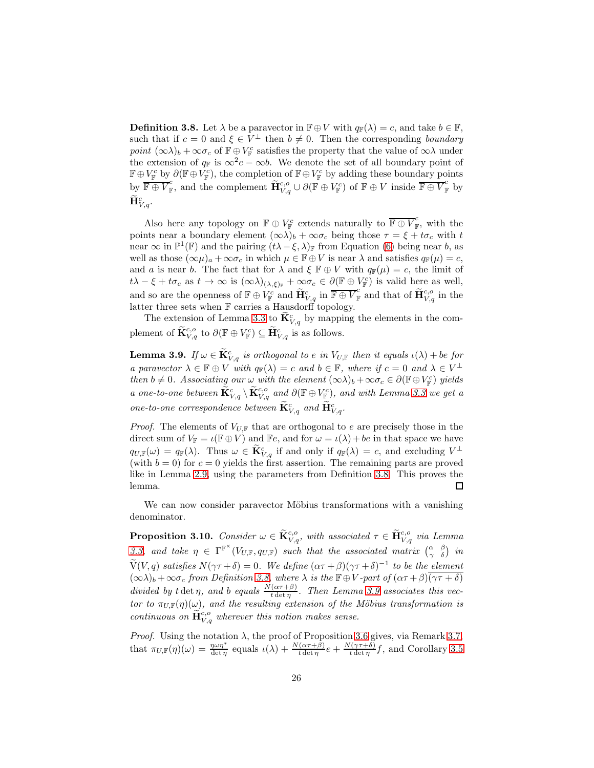<span id="page-25-0"></span>**Definition 3.8.** Let  $\lambda$  be a paravector in  $\mathbb{F} \oplus V$  with  $q_{\mathbb{F}}(\lambda) = c$ , and take  $b \in \mathbb{F}$ , such that if  $c = 0$  and  $\xi \in V^{\perp}$  then  $b \neq 0$ . Then the corresponding boundary point  $(\infty \lambda)_b + \infty \sigma_c$  of  $\mathbb{F} \oplus V^c_{\mathbb{F}}$  satisfies the property that the value of  $\infty \lambda$  under the extension of  $q_F$  is  $\infty^2 c - \infty b$ . We denote the set of all boundary point of  $\mathbb{F}\oplus V_{\mathbb{F}}^c$  by  $\partial(\mathbb{F}\oplus V_{\mathbb{F}}^c)$ , the completion of  $\mathbb{F}\oplus V_{\mathbb{F}}^c$  by adding these boundary points by  $\overline{\mathbb{F}\oplus V_{\mathbb{F}}^{c}}$ , and the complement  $\widetilde{H}_{V,q}^{c,o} \cup \partial(\mathbb{F}\oplus V_{\mathbb{F}}^{c})$  of  $\mathbb{F}\oplus V$  inside  $\overline{\mathbb{F}\oplus V_{\mathbb{F}}^{c}}$  by  $\widetilde{\mathbf H}_{V,q}^c.$ 

Also here any topology on  $\mathbb{F} \oplus V_{\mathbb{F}}^c$  extends naturally to  $\overline{\mathbb{F} \oplus V_{\mathbb{F}}^c}$ , with the points near a boundary element  $(\infty \lambda)_b + \infty \sigma_c$  being those  $\tau = \xi + t \sigma_c$  with t near  $\infty$  in  $\mathbb{P}^1(\mathbb{F})$  and the pairing  $(t\lambda - \xi, \lambda)_{\mathbb{F}}$  from Equation [\(6\)](#page-4-0) being near b, as well as those  $(\infty \mu)_a + \infty \sigma_c$  in which  $\mu \in \mathbb{F} \oplus V$  is near  $\lambda$  and satisfies  $q_{\mathbb{F}}(\mu) = c$ , and a is near b. The fact that for  $\lambda$  and  $\xi \mathbb{F} \oplus V$  with  $q_{\mathbb{F}}(\mu) = c$ , the limit of  $t\lambda - \xi + t\sigma_c$  as  $t \to \infty$  is  $(\infty \lambda)_{(\lambda,\xi)_{\mathbb{F}}} + \infty \sigma_c \in \partial(\mathbb{F} \oplus V_{\mathbb{F}}^c)$  is valid here as well, and so are the openness of  $\mathbb{F} \oplus V_{\mathbb{F}}^c$  and  $\widetilde{\mathbf{H}}_{V,q}^c$  in  $\overline{\mathbb{F} \oplus V_{\mathbb{F}}^c}$  and that of  $\widetilde{\mathbf{H}}_{V,q}^{c,o}$  in the latter three sets when F carries a Hausdorff topology.

The extension of Lemma [3.3](#page-22-1) to  $\mathbf{K}_{V,q}^c$  by mapping the elements in the complement of  $\widetilde{\mathbf{K}}_{V,q}^{c,o}$  to  $\partial(\mathbb{F} \oplus V_{\mathbb{F}}^c) \subseteq \widetilde{\mathbf{H}}_{V,q}^c$  is as follows.

<span id="page-25-1"></span>**Lemma 3.9.** If  $\omega \in \mathbf{K}_{V,q}^c$  is orthogonal to e in  $V_{U,\mathbb{F}}$  then it equals  $\iota(\lambda) + be$  for a paravector  $\lambda \in \mathbb{F} \oplus V$  with  $q_{\mathbb{F}}(\lambda) = c$  and  $b \in \mathbb{F}$ , where if  $c = 0$  and  $\lambda \in V^{\perp}$ then  $b \neq 0$ . Associating our  $\omega$  with the element  $(\infty \lambda)_b + \infty \sigma_c \in \partial (\mathbb{F} \oplus V_{\mathbb{F}}^c)$  yields a one-to-one between  $\widetilde{\mathbf{K}}_{V,q}^c \setminus \widetilde{\mathbf{K}}_{V,q}^{c,o}$  and  $\partial(\mathbb{F} \oplus V_{\mathbb{F}}^c)$ , and with Lemma [3.3](#page-22-1) we get a one-to-one correspondence between  $\mathbf{K}_{V,q}^c$  and  $\mathbf{H}_{V,q}^c$ .

*Proof.* The elements of  $V_{U,\mathbb{F}}$  that are orthogonal to e are precisely those in the direct sum of  $V_{\mathbb{F}} = \iota(\mathbb{F} \oplus V)$  and  $\mathbb{F}e$ , and for  $\omega = \iota(\lambda) + be$  in that space we have  $q_{U,\mathbb{F}}(\omega) = q_{\mathbb{F}}(\lambda)$ . Thus  $\omega \in \widetilde{\mathbf{K}}_{V,q}^c$  if and only if  $q_{\mathbb{F}}(\lambda) = c$ , and excluding  $V^{\perp}$ (with  $b = 0$ ) for  $c = 0$  yields the first assertion. The remaining parts are proved like in Lemma [2.9,](#page-15-1) using the parameters from Definition [3.8.](#page-25-0) This proves the lemma. □

We can now consider paravector Möbius transformations with a vanishing denominator.

<span id="page-25-2"></span>**Proposition 3.10.** Consider  $\omega \in \widetilde{\mathbf{K}}_{V,q}^{c,o}$ , with associated  $\tau \in \widetilde{\mathbf{H}}_{V,q}^{c,o}$  via Lemma [3.3,](#page-22-1) and take  $\eta \in \Gamma^{\mathbb{F}^{\times}}(V_{U,\mathbb{F}}, q_{U,\mathbb{F}})$  such that the associated matrix  $\begin{pmatrix} \alpha & \beta \\ \gamma & \delta \end{pmatrix}$  in  $\widetilde{V}(V,q)$  satisfies  $N(\gamma \tau + \delta) = 0$ . We define  $(\alpha \tau + \beta)(\gamma \tau + \delta)^{-1}$  to be the element  $(\infty\lambda)_b + \infty\sigma_c$  from Definition [3.8,](#page-25-0) where  $\lambda$  is the  $\mathbb{F} \oplus V$ -part of  $(\alpha\tau+\beta)(\gamma\tau+\delta)$ divided by t det  $\eta$ , and b equals  $\frac{N(\alpha \tau + \beta)}{t \det \eta}$ . Then Lemma [3.9](#page-25-1) associates this vector to  $\pi_{U,\mathbb{F}}(\eta)(\omega)$ , and the resulting extension of the Möbius transformation is continuous on  $\widetilde{H}_{V,q}^{c,o}$  wherever this notion makes sense.

*Proof.* Using the notation  $\lambda$ , the proof of Proposition [3.6](#page-24-0) gives, via Remark [3.7,](#page-24-1) that  $\pi_{U,\mathbb{F}}(\eta)(\omega) = \frac{\eta \omega \eta^*}{\det \eta}$  equals  $\iota(\lambda) + \frac{N(\alpha \tau + \hat{\beta})}{t \det \eta} e + \frac{N(\gamma \tau + \hat{\delta})}{t \det \eta}$  $\frac{(\gamma \tau + o)}{t \det \eta} f$ , and Corollary [3.5](#page-23-1)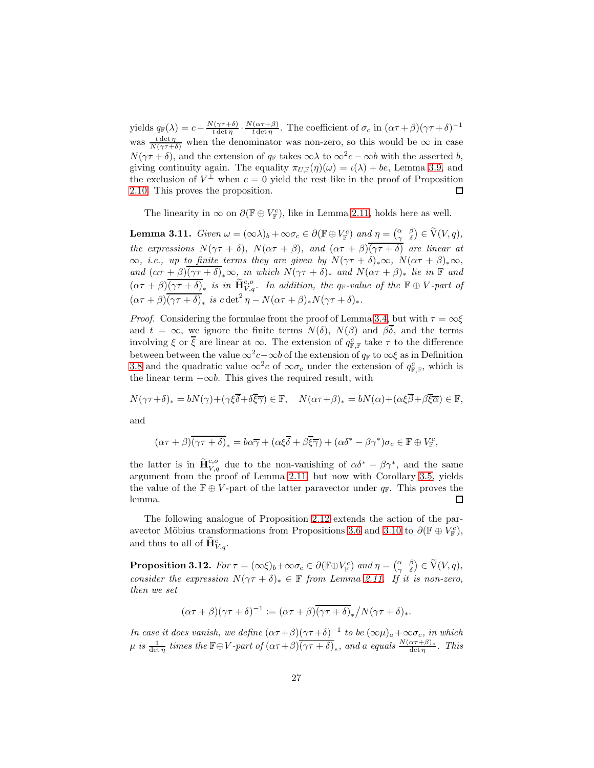yields  $q_{\mathbb{F}}(\lambda) = c - \frac{N(\gamma \tau + \delta)}{t \det n}$  $\frac{N(\gamma\tau+\delta)}{t\det\eta}\cdot\frac{N(\alpha\tau+\beta)}{t\det\eta}$  $\frac{(\alpha \tau + \beta)}{t \det \eta}$ . The coefficient of  $\sigma_c$  in  $(\alpha \tau + \beta)(\gamma \tau + \delta)^{-1}$ was  $\frac{t \det \eta}{N(\gamma \tau + \delta)}$  when the denominator was non-zero, so this would be  $\infty$  in case  $N(\gamma \tau + \delta)$ , and the extension of  $q_F$  takes  $\infty \lambda$  to  $\infty^2 c - \infty b$  with the asserted b, giving continuity again. The equality  $\pi_{U,\mathbb{F}}(\eta)(\omega) = \iota(\lambda) + be$ , Lemma [3.9,](#page-25-1) and the exclusion of  $V^{\perp}$  when  $c=0$  yield the rest like in the proof of Proposition [2.10.](#page-16-0) This proves the proposition. 口

The linearity in  $\infty$  on  $\partial(\mathbb{F} \oplus V_{\mathbb{F}}^c)$ , like in Lemma [2.11,](#page-16-1) holds here as well.

<span id="page-26-0"></span>**Lemma 3.11.** Given  $\omega = (\infty \lambda)_b + \infty \sigma_c \in \partial (\mathbb{F} \oplus V_{\mathbb{F}}^c)$  and  $\eta = \begin{pmatrix} \alpha & \beta \\ \gamma & \delta \end{pmatrix} \in \widetilde{V}(V, q)$ , the expressions  $N(\gamma \tau + \delta)$ ,  $N(\alpha \tau + \beta)$ , and  $(\alpha \tau + \beta)$  $\overline{(\gamma \tau + \delta)}$  are linear at  $\infty$ , *i.e.*, up to finite terms they are given by  $N(\gamma \tau + \delta)_* \infty$ ,  $N(\alpha \tau + \beta)_* \infty$ , and  $(\alpha \tau + \beta)(\gamma \tau + \delta)_* \infty$ , in which  $N(\gamma \tau + \delta)_*$  and  $N(\alpha \tau + \beta)_*$  lie in  $\mathbb{F}$  and  $(\alpha \tau + \beta) \overline{(\gamma \tau + \delta)}$ <sub>\*</sub> is in  $\widetilde{H}_{V,q}^{c,o}$ . In addition, the q<sub>F</sub>-value of the  $F \oplus V$ -part of  $(\alpha \tau + \beta) \overline{(\gamma \tau + \delta)}_*$  is  $c \det^2 \eta - N(\alpha \tau + \beta)_* N(\gamma \tau + \delta)_*.$ 

*Proof.* Considering the formulae from the proof of Lemma [3.4,](#page-23-0) but with  $\tau = \infty \xi$ and  $t = \infty$ , we ignore the finite terms  $N(\delta)$ ,  $N(\beta)$  and  $\beta\overline{\delta}$ , and the terms involving  $\xi$  or  $\overline{\xi}$  are linear at  $\infty$ . The extension of  $q_{\mathbb{F},\mathbb{F}}^c$  take  $\tau$  to the difference between between the value  $\infty^2 c - \infty b$  of the extension of  $q_F$  to  $\infty \xi$  as in Definition [3.8](#page-25-0) and the quadratic value  $\infty^2 c$  of  $\infty \sigma_c$  under the extension of  $q_{\mathbb{F},\mathbb{F}}^c$ , which is the linear term  $-\infty b$ . This gives the required result, with

$$
N(\gamma \tau + \delta)_* = bN(\gamma) + (\gamma \xi \overline{\delta} + \delta \overline{\xi} \overline{\gamma}) \in \mathbb{F}, \quad N(\alpha \tau + \beta)_* = bN(\alpha) + (\alpha \xi \overline{\beta} + \beta \overline{\xi} \overline{\alpha}) \in \mathbb{F},
$$

and

$$
(\alpha \tau + \beta)\overline{(\gamma \tau + \delta)}_* = b\alpha \overline{\gamma} + (\alpha \xi \overline{\delta} + \beta \overline{\xi} \overline{\gamma}) + (\alpha \delta^* - \beta \gamma^*) \sigma_c \in \mathbb{F} \oplus V_{\mathbb{F}}^c,
$$

the latter is in  $\tilde{\mathbf{H}}_{V,q}^{c,o}$  due to the non-vanishing of  $\alpha \delta^* - \beta \gamma^*$ , and the same argument from the proof of Lemma [2.11,](#page-16-1) but now with Corollary [3.5,](#page-23-1) yields the value of the  $\mathbb{F} \oplus V$ -part of the latter paravector under  $q_{\mathbb{F}}$ . This proves the lemma.  $\Box$ 

The following analogue of Proposition [2.12](#page-17-0) extends the action of the par-avector Möbius transformations from Propositions [3.6](#page-24-0) and [3.10](#page-25-2) to  $\partial (\mathbb{F} \oplus V_{\mathbb{F}}^c)$ , and thus to all of  $\widetilde{\mathbf{H}}_{V,q}^{c}$ .

**Proposition 3.12.** For  $\tau = (\infty \xi)_b + \infty \sigma_c \in \partial (\mathbb{F} \oplus V_{\mathbb{F}}^c)$  and  $\eta = \begin{pmatrix} \alpha & \beta \\ \gamma & \delta \end{pmatrix} \in \widetilde{V}(V, q)$ , consider the expression  $N(\gamma \tau + \delta)_* \in \mathbb{F}$  from Lemma [2.11.](#page-16-1) If it is non-zero, then we set

$$
(\alpha \tau + \beta)(\gamma \tau + \delta)^{-1} := (\alpha \tau + \beta)\overline{(\gamma \tau + \delta)}_{*} / N(\gamma \tau + \delta)_{*}.
$$

In case it does vanish, we define  $(\alpha \tau + \beta)(\gamma \tau + \delta)^{-1}$  to be  $(\infty \mu)_a + \infty \sigma_c$ , in which  $\mu$  is  $\frac{1}{\det \eta}$  times the  $\mathbb{F} \oplus V$ -part of  $(\alpha \tau + \beta) \overline{(\gamma \tau + \delta)}_{*}$ , and a equals  $\frac{N(\alpha \tau + \beta)_{*}}{\det \eta}$ . This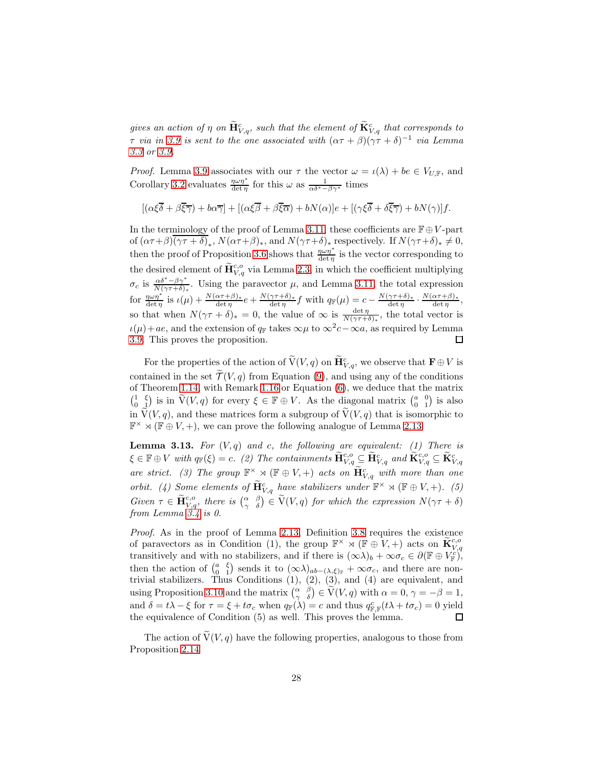gives an action of  $\eta$  on  $\tilde{\mathbf{H}}_{V,q}^{c}$ , such that the element of  $\tilde{\mathbf{K}}_{V,q}^{c}$  that corresponds to  $\tau$  via in [3.9](#page-25-1) is sent to the one associated with  $(\alpha \tau + \beta)(\gamma \tau + \delta)^{-1}$  via Lemma [3.3](#page-22-1) or [3.9.](#page-25-1)

*Proof.* Lemma [3.9](#page-25-1) associates with our  $\tau$  the vector  $\omega = \iota(\lambda) + be \in V_{U,\mathbb{F}}$ , and Corollary [3.2](#page-22-0) evaluates  $\frac{\eta \omega \eta^*}{\det \eta}$  for this  $\omega$  as  $\frac{1}{\alpha \delta^* - \beta \gamma^*}$  times

$$
[(\alpha\xi\overline{\delta}+\beta\overline{\xi}\overline{\gamma})+b\alpha\overline{\gamma}]+[(\alpha\xi\overline{\beta}+\beta\overline{\xi}\overline{\alpha})+bN(\alpha)]e+[(\gamma\xi\overline{\delta}+\delta\overline{\xi}\overline{\gamma})+bN(\gamma)]f.
$$

In the terminology of the proof of Lemma [3.11,](#page-26-0) these coefficients are  $\mathbb{F} \oplus V$ -part of  $(\alpha \tau + \beta)(\gamma \tau + \delta)_*, N(\alpha \tau + \beta)_*,$  and  $N(\gamma \tau + \delta)_*$  respectively. If  $N(\gamma \tau + \delta)_* \neq 0$ , then the proof of Proposition [3.6](#page-24-0) shows that  $\frac{\eta \omega \eta^*}{\det \eta}$  is the vector corresponding to the desired element of  $\widetilde{\mathbf{H}}_{V,q}^{c,o}$  via Lemma [2.3,](#page-12-1) in which the coefficient multiplying  $\sigma_c$  is  $\frac{\alpha \delta^* - \beta \gamma^*}{N(\gamma \tau + \delta)_*}$ . Using the paravector  $\mu$ , and Lemma [3.11,](#page-26-0) the total expression for  $\frac{\eta \omega \eta^*}{\det \eta}$  is  $\iota(\mu) + \frac{N(\alpha \tau + \beta)_*}{\det \eta} e + \frac{N(\gamma \tau + \delta)_*}{\det \eta}$  $\frac{\gamma \tau + \delta)_*}{\det \eta} f$  with  $q_{\mathbb{F}}(\mu) = c - \frac{N(\gamma \tau + \delta)_*}{\det \eta}$  $\frac{\gamma \tau + \delta)_*}{\det \eta} \cdot \frac{N(\alpha \tau + \beta)_*}{\det \eta}$  $\frac{\alpha \tau + \rho_{\ell}}{\det \eta},$ so that when  $N(\gamma \tau + \delta)_* = 0$ , the value of  $\infty$  is  $\frac{\det \eta}{N(\gamma \tau + \delta)_*}$ , the total vector is  $u(\mu) + ae$ , and the extension of  $q_{\mathbb{F}}$  takes  $\infty \mu$  to  $\infty^2 c - \infty a$ , as required by Lemma [3.9.](#page-25-1) This proves the proposition. 口

For the properties of the action of  $\widetilde{V}(V,q)$  on  $\widetilde{H}^c_{V,q}$ , we observe that  $\mathbf{F} \oplus V$  is contained in the set  $\mathcal{T}(V, q)$  from Equation [\(9\)](#page-9-2), and using any of the conditions of Theorem [1.14,](#page-10-0) with Remark [1.16](#page-10-2) or Equation [\(6\)](#page-4-0), we deduce that the matrix  $\begin{pmatrix} 1 & \xi \\ 0 & 1 \end{pmatrix}$  is in  $\tilde{V}(V, q)$  for every  $\xi \in \mathbb{F} \oplus V$ . As the diagonal matrix  $\begin{pmatrix} a & 0 \\ 0 & 1 \end{pmatrix}$  is also in  $\widetilde{V}(V, q)$ , and these matrices form a subgroup of  $\widetilde{V}(V, q)$  that is isomorphic to  $\mathbb{F}^{\times} \rtimes (\mathbb{F} \oplus V, +)$ , we can prove the following analogue of Lemma [2.13.](#page-18-0)

<span id="page-27-0"></span>**Lemma 3.13.** For  $(V, q)$  and c, the following are equivalent: (1) There is  $\xi\in \mathbb{F}\oplus V$  with  $q_{\mathbb{F}}(\xi)=c.$  (2) The containments  $\widetilde{\mathbf{H}}_{V,q}^{c,o}\subseteq \widetilde{\mathbf{H}}_{V,q}^{c}$  and  $\widetilde{\mathbf{K}}_{V,q}^{c,o}\subseteq \widetilde{\mathbf{K}}_{V,q}^{c}$ are strict. (3) The group  $\mathbb{F}^{\times} \rtimes (\mathbb{F} \oplus V, +)$  acts on  $\widetilde{\mathbf{H}}_{V,q}^{c}$  with more than one orbit. (4) Some elements of  $\widetilde{H}^c_{V,q}$  have stabilizers under  $\mathbb{F}^\times \rtimes (\mathbb{F} \oplus V, +)$ . (5) Given  $\tau \in \widetilde{\mathbf{H}}_{V,q}^{c,o}$ , there is  $\begin{pmatrix} \alpha & \beta \\ \gamma & \delta \end{pmatrix} \in \widetilde{V}(V,q)$  for which the expression  $N(\gamma \tau + \delta)$ from Lemma [3.4](#page-23-0) is 0.

Proof. As in the proof of Lemma [2.13,](#page-18-0) Definition [3.8](#page-25-0) requires the existence of paravectors as in Condition (1), the group  $\mathbb{F}^\times \rtimes (\mathbb{F} \oplus V, +)$  acts on  $\widetilde{\mathbf{K}}_{V,q}^{c,o}$ transitively and with no stabilizers, and if there is  $(\infty \lambda)_b + \infty \sigma_c \in \partial (\mathbb{F} \oplus V_{\mathbb{F}}^{c})^2$ , then the action of  $\begin{pmatrix} a & \xi \\ 0 & 1 \end{pmatrix}$  sends it to  $(\infty \lambda)_{ab-(\lambda,\xi)_{\mathbb{F}}} + \infty \sigma_c$ , and there are nontrivial stabilizers. Thus Conditions  $(1)$ ,  $(2)$ ,  $(3)$ , and  $(4)$  are equivalent, and using Proposition [3.10](#page-25-2) and the matrix  $\begin{pmatrix} \alpha & \beta \\ \gamma & \delta \end{pmatrix} \in \widetilde{V}(V, q)$  with  $\alpha = 0, \gamma = -\beta = 1$ , and  $\delta = t\lambda - \xi$  for  $\tau = \xi + t\sigma_c$  when  $q_{\mathbb{F}}(\lambda) = c$  and thus  $q_{\mathbb{F},\mathbb{F}}^c(t\lambda + t\sigma_c) = 0$  yield the equivalence of Condition (5) as well. This proves the lemma.  $\Box$ 

The action of  $V(V, q)$  have the following properties, analogous to those from Proposition [2.14](#page-18-1)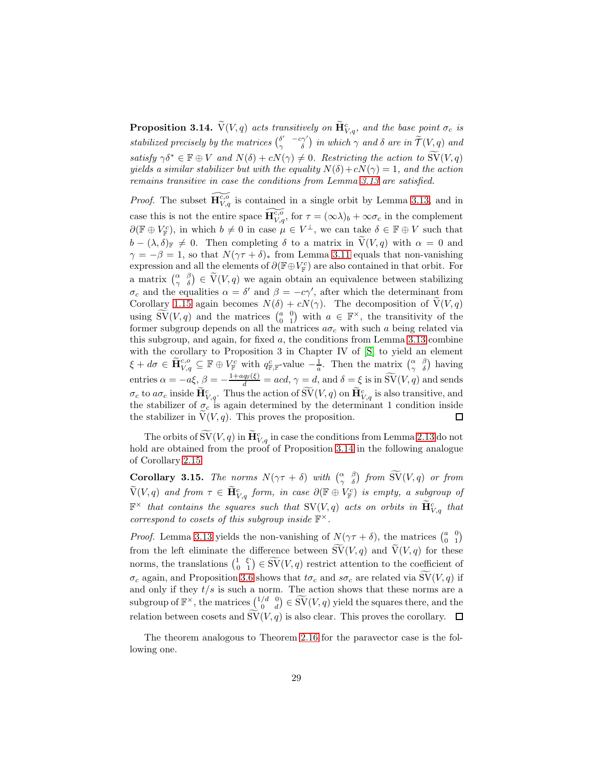<span id="page-28-0"></span>**Proposition 3.14.**  $\widetilde{V}(V, q)$  acts transitively on  $\widetilde{\mathbf{H}}_{V, q}^c$ , and the base point  $\sigma_c$  is stabilized precisely by the matrices  $\begin{pmatrix} \delta' & -c\gamma' \ \gamma & \delta \end{pmatrix}$  in which  $\gamma$  and  $\delta$  are in  $\widetilde{\mathcal{T}}(V, q)$  and satisfy  $\gamma \delta^* \in \mathbb{F} \oplus V$  and  $N(\delta) + cN(\gamma) \neq 0$ . Restricting the action to  $\widetilde{SV}(V, q)$ yields a similar stabilizer but with the equality  $N(\delta) + cN(\gamma) = 1$ , and the action remains transitive in case the conditions from Lemma [3.13](#page-27-0) are satisfied.

*Proof.* The subset  $\widetilde{H}_{V,q}^{\epsilon,\sigma}$  is contained in a single orbit by Lemma [3.13,](#page-27-0) and in case this is not the entire space  $\widetilde{\mathbf{H}_{V,q}^{c,\sigma}}$ , for  $\tau = (\infty \lambda)_b + \infty \sigma_c$  in the complement  $\partial(\mathbb{F} \oplus V_{\mathbb{F}}^c)$ , in which  $b \neq 0$  in case  $\mu \in V^{\perp}$ , we can take  $\delta \in \mathbb{F} \oplus V$  such that  $b - (\lambda, \delta)_{\mathbb{F}} \neq 0$ . Then completing  $\delta$  to a matrix in  $\widetilde{V}(V, q)$  with  $\alpha = 0$  and  $\gamma = -\beta = 1$ , so that  $N(\gamma \tau + \delta)$ <sup>\*</sup> from Lemma [3.11](#page-26-0) equals that non-vanishing expression and all the elements of  $\partial(\mathbb{F}\oplus V_{\mathbb{F}}^c)$  are also contained in that orbit. For a matrix  $\begin{pmatrix} \alpha & \beta \\ \gamma & \delta \end{pmatrix} \in \widetilde{V}(V, q)$  we again obtain an equivalence between stabilizing  $\sigma_c$  and the equalities  $\alpha = \delta'$  and  $\beta = -c\gamma'$ , after which the determinant from Corollary [1.15](#page-10-1) again becomes  $N(\delta) + cN(\gamma)$ . The decomposition of  $V(V, q)$ using  $\widetilde{\mathrm{SV}}(V,q)$  and the matrices  $\begin{pmatrix} a & 0 \\ 0 & 1 \end{pmatrix}$  with  $a \in \mathbb{F}^{\times}$ , the transitivity of the former subgroup depends on all the matrices  $a\sigma_c$  with such a being related via this subgroup, and again, for fixed  $a$ , the conditions from Lemma [3.13](#page-27-0) combine with the corollary to Proposition 3 in Chapter IV of [S] to yield an element  $\xi + d\sigma \in \widetilde{\mathbf{H}}_{V,q}^{c,o} \subseteq \mathbb{F} \oplus V_{\mathbb{F}}^{c}$  with  $q_{\mathbb{F},\mathbb{F}}^{c}$ -value  $-\frac{1}{a}$ . Then the matrix  $\begin{pmatrix} \alpha & \beta \\ \gamma & \delta \end{pmatrix}$  having entries  $\alpha = -a\xi$ ,  $\beta = -\frac{1+aq_F(\xi)}{d} = acd$ ,  $\gamma = d$ , and  $\delta = \xi$  is in  $\widetilde{SV}(V, q)$  and sends  $\sigma_c$  to  $a\sigma_c$  inside  $\dot{H}^c_{V,q}$ . Thus the action of  $\overline{SV}(V,q)$  on  $\dot{H}^c_{V,q}$  is also transitive, and the stabilizer of  $\sigma_c$  is again determined by the determinant 1 condition inside the stabilizer in  $V(V, q)$ . This proves the proposition.  $\Box$ 

The orbits of  $\mathrm{SV}(V,q)$  in  $\mathbf{H}_{V,q}^c$  in case the conditions from Lemma [2.13](#page-18-0) do not hold are obtained from the proof of Proposition [3.14](#page-28-0) in the following analogue of Corollary [2.15](#page-19-0)

**Corollary 3.15.** The norms  $N(\gamma \tau + \delta)$  with  $\begin{pmatrix} \alpha & \beta \\ \gamma & \delta \end{pmatrix}$  from  $\widetilde{SV}(V,q)$  or from  $\widetilde{\mathrm{V}}(V,q)$  and from  $\tau\,\in\,\mathbf{H}^c_{V,q}$  form, in case  $\partial(\mathbb{F}\oplus V^c_{\mathbb{F}})$  is empty, a subgroup of  $\mathbb{F}^\times$  that contains the squares such that  $\mathrm{SV}(V,q)$  acts on orbits in  $\widetilde{\mathbf{H}}^c_{V,q}$  that correspond to cosets of this subgroup inside  $\mathbb{F}^{\times}$ .

*Proof.* Lemma [3.13](#page-27-0) yields the non-vanishing of  $N(\gamma \tau + \delta)$ , the matrices  $\begin{pmatrix} a & 0 \\ 0 & 1 \end{pmatrix}$ from the left eliminate the difference between  $\widetilde{SV}(V, q)$  and  $\widetilde{V}(V, q)$  for these norms, the translations  $\begin{pmatrix} 1 & \xi' \\ 0 & 1 \end{pmatrix} \in \widetilde{\text{SV}}(V, q)$  restrict attention to the coefficient of  $\sigma_c$  again, and Proposition [3.6](#page-24-0) shows that  $t\sigma_c$  and  $s\sigma_c$  are related via  $\text{SV}(V, q)$  if and only if they  $t/s$  is such a norm. The action shows that these norms are a subgroup of  $\mathbb{F}^\times$ , the matrices  $\begin{pmatrix} 1/d & 0 \\ 0 & d \end{pmatrix} \in \widetilde{SV}(V, q)$  yield the squares there, and the relation between cosets and  $SV(V, q)$  is also clear. This proves the corollary.  $\Box$ 

The theorem analogous to Theorem [2.16](#page-20-0) for the paravector case is the following one.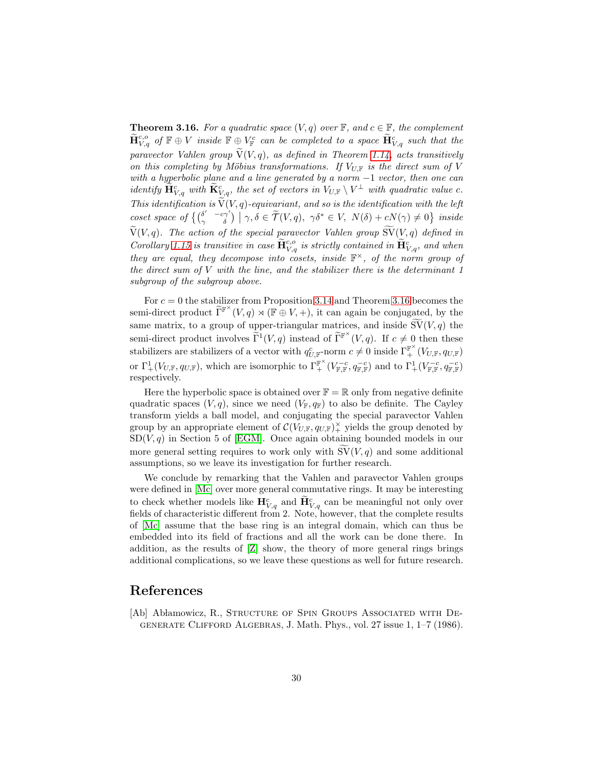<span id="page-29-0"></span>**Theorem 3.16.** For a quadratic space  $(V, q)$  over  $\mathbb{F}$ , and  $c \in \mathbb{F}$ , the complement  $\widetilde{\mathbf{H}}_{V,q}^{c,o}$  of  $\mathbb{F}\oplus V$  inside  $\mathbb{F}\oplus V_\mathbb{F}^c$  can be completed to a space  $\widetilde{\mathbf{H}}_{V,q}^c$  such that the paravector Vahlen group  $\widetilde{V}(V, q)$ , as defined in Theorem [1.14,](#page-10-0) acts transitively on this completing by Möbius transformations. If  $V_{U}$  is the direct sum of V with a hyperbolic plane and a line generated by a norm  $-1$  vector, then one can identify  $\widetilde{\mathbf{H}}_{V,q}^{c}$  with  $\widetilde{\mathbf{K}}_{V,q}^{c}$ , the set of vectors in  $V_{U,\mathbb{F}} \setminus V^{\perp}$  with quadratic value c. This identification is  $\widetilde{V}(V, q)$ -equivariant, and so is the identification with the left coset space of  $\{(\begin{matrix} \delta' & -c\gamma' \\ \gamma & \delta \end{matrix}) \mid \gamma, \delta \in \widetilde{\mathcal{T}}(V, q), \ \gamma \delta^* \in V, \ N(\delta) + cN(\gamma) \neq 0\}$  inside  $\widetilde{V}(V, q)$ . The action of the special paravector Vahlen group  $\widetilde{SV}(V, q)$  defined in Corollary [1.15](#page-10-1) is transitive in case  $\tilde{H}^{c,o}_{V,q}$  is strictly contained in  $\tilde{H}^{c}_{V,q}$ , and when they are equal, they decompose into cosets, inside  $\mathbb{F}^{\times}$ , of the norm group of the direct sum of  $V$  with the line, and the stabilizer there is the determinant  $1$ subgroup of the subgroup above.

For  $c = 0$  the stabilizer from Proposition [3.14](#page-28-0) and Theorem [3.16](#page-29-0) becomes the semi-direct product  $\widetilde{\Gamma}^{\mathbb{F}^{\times}}(V,q) \rtimes (\mathbb{F} \oplus V, +)$ , it can again be conjugated, by the same matrix, to a group of upper-triangular matrices, and inside  $\widetilde{\mathrm{SV}}(V, q)$  the semi-direct product involves  $\tilde{\Gamma}^1(V,q)$  instead of  $\tilde{\Gamma}^{\mathbb{F}^{\times}}(V,q)$ . If  $c \neq 0$  then these stabilizers are stabilizers of a vector with  $q_{U,\mathbb{F}}^c$ -norm  $c \neq 0$  inside  $\Gamma_+^{\mathbb{F}^\times}(V_{U,\mathbb{F}},q_{U,\mathbb{F}})$ or  $\Gamma^1_+(V_{U,\mathbb{F}}, q_{U,\mathbb{F}})$ , which are isomorphic to  $\Gamma^{\mathbb{F}^{\times}}_+ (V^{-c}_{\mathbb{F},\mathbb{F}}, q^{-c}_{\mathbb{F},\mathbb{F}})$  and to  $\Gamma^1_+(V^{-c}_{\mathbb{F},\mathbb{F}}, q^{-c}_{\mathbb{F},\mathbb{F}})$ respectively.

Here the hyperbolic space is obtained over  $\mathbb{F} = \mathbb{R}$  only from negative definite quadratic spaces  $(V, q)$ , since we need  $(V_F, q_F)$  to also be definite. The Cayley transform yields a ball model, and conjugating the special paravector Vahlen group by an appropriate element of  $\mathcal{C}(V_{U,\mathbb{F}}, q_{U,\mathbb{F}})$ <sup> $\times$ </sup> yields the group denoted by  $SD(V, q)$  in Section 5 of [EGM]. Once again obtaining bounded models in our more general setting requires to work only with  $SV(V, q)$  and some additional assumptions, so we leave its investigation for further research.

We conclude by remarking that the Vahlen and paravector Vahlen groups were defined in [Mc] over more general commutative rings. It may be interesting to check whether models like  $\mathbf{H}^c_{V,q}$  and  $\widetilde{\mathbf{H}}^c_{V,q}$  can be meaningful not only over fields of characteristic different from 2. Note, however, that the complete results of [Mc] assume that the base ring is an integral domain, which can thus be embedded into its field of fractions and all the work can be done there. In addition, as the results of [Z] show, the theory of more general rings brings additional complications, so we leave these questions as well for future research.

#### References

[Ab] Abłamowicz, R., STRUCTURE OF SPIN GROUPS ASSOCIATED WITH DEgenerate Clifford Algebras, J. Math. Phys., vol. 27 issue 1, 1–7 (1986).